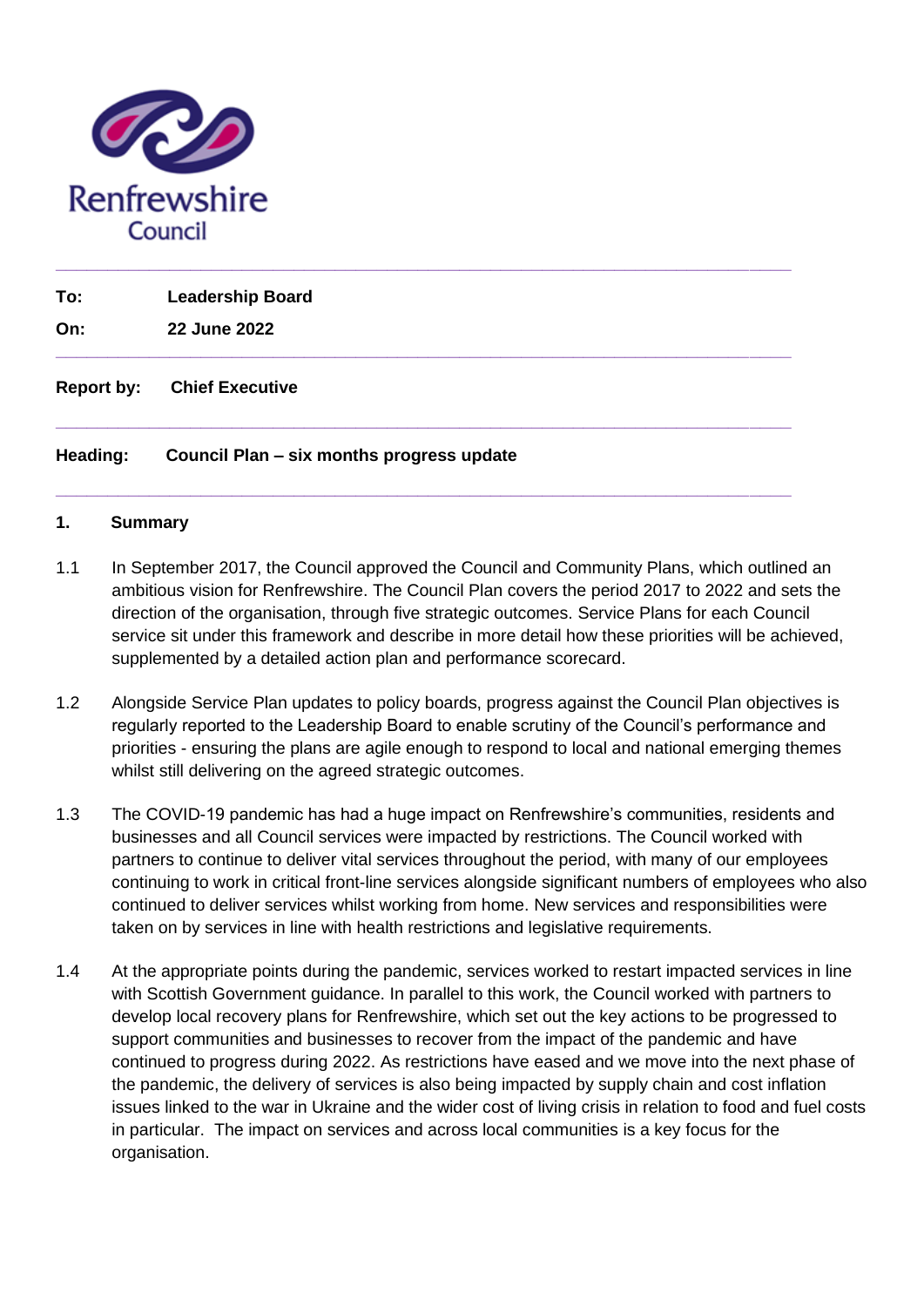

| Heading:          | Council Plan – six months progress update |  |
|-------------------|-------------------------------------------|--|
| <b>Report by:</b> | <b>Chief Executive</b>                    |  |
| On:               | 22 June 2022                              |  |
| To:               | <b>Leadership Board</b>                   |  |
|                   |                                           |  |

**\_\_\_\_\_\_\_\_\_\_\_\_\_\_\_\_\_\_\_\_\_\_\_\_\_\_\_\_\_\_\_\_\_\_\_\_\_\_\_\_\_\_\_\_\_\_\_\_\_\_\_\_\_\_\_\_\_\_\_\_\_\_\_\_\_\_\_\_\_\_\_**

#### **1. Summary**

- 1.1 In September 2017, the Council approved the Council and Community Plans, which outlined an ambitious vision for Renfrewshire. The Council Plan covers the period 2017 to 2022 and sets the direction of the organisation, through five strategic outcomes. Service Plans for each Council service sit under this framework and describe in more detail how these priorities will be achieved, supplemented by a detailed action plan and performance scorecard.
- 1.2 Alongside Service Plan updates to policy boards, progress against the Council Plan objectives is regularly reported to the Leadership Board to enable scrutiny of the Council's performance and priorities - ensuring the plans are agile enough to respond to local and national emerging themes whilst still delivering on the agreed strategic outcomes.
- 1.3 The COVID-19 pandemic has had a huge impact on Renfrewshire's communities, residents and businesses and all Council services were impacted by restrictions. The Council worked with partners to continue to deliver vital services throughout the period, with many of our employees continuing to work in critical front-line services alongside significant numbers of employees who also continued to deliver services whilst working from home. New services and responsibilities were taken on by services in line with health restrictions and legislative requirements.
- 1.4 At the appropriate points during the pandemic, services worked to restart impacted services in line with Scottish Government guidance. In parallel to this work, the Council worked with partners to develop local recovery plans for Renfrewshire, which set out the key actions to be progressed to support communities and businesses to recover from the impact of the pandemic and have continued to progress during 2022. As restrictions have eased and we move into the next phase of the pandemic, the delivery of services is also being impacted by supply chain and cost inflation issues linked to the war in Ukraine and the wider cost of living crisis in relation to food and fuel costs in particular. The impact on services and across local communities is a key focus for the organisation.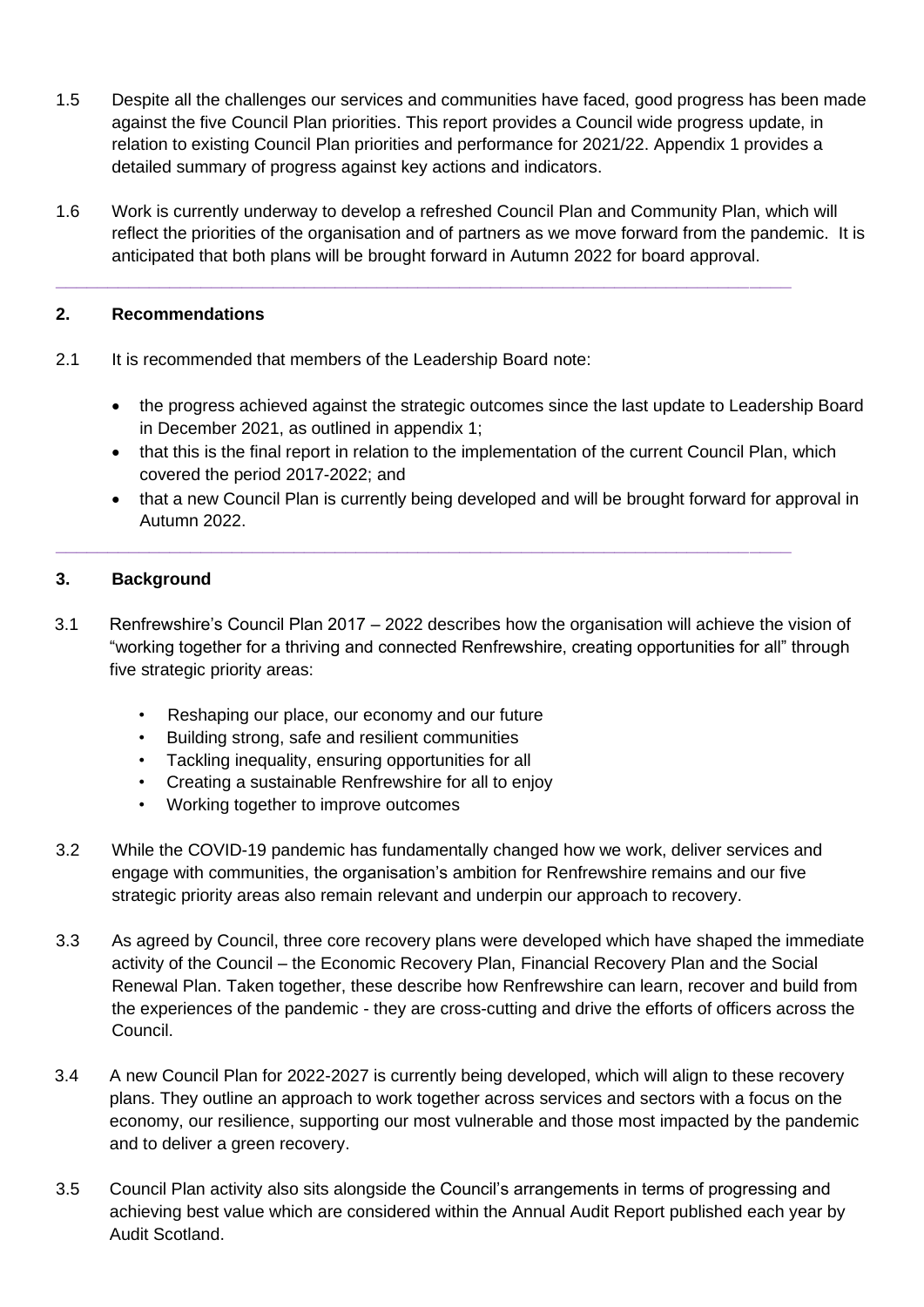- 1.5 Despite all the challenges our services and communities have faced, good progress has been made against the five Council Plan priorities. This report provides a Council wide progress update, in relation to existing Council Plan priorities and performance for 2021/22. Appendix 1 provides a detailed summary of progress against key actions and indicators.
- 1.6 Work is currently underway to develop a refreshed Council Plan and Community Plan, which will reflect the priorities of the organisation and of partners as we move forward from the pandemic. It is anticipated that both plans will be brought forward in Autumn 2022 for board approval.

**\_\_\_\_\_\_\_\_\_\_\_\_\_\_\_\_\_\_\_\_\_\_\_\_\_\_\_\_\_\_\_\_\_\_\_\_\_\_\_\_\_\_\_\_\_\_\_\_\_\_\_\_\_\_\_\_\_\_\_\_\_\_\_\_\_\_\_\_\_\_\_**

#### **2. Recommendations**

- 2.1 It is recommended that members of the Leadership Board note:
	- the progress achieved against the strategic outcomes since the last update to Leadership Board in December 2021, as outlined in appendix 1;
	- that this is the final report in relation to the implementation of the current Council Plan, which covered the period 2017-2022; and
	- that a new Council Plan is currently being developed and will be brought forward for approval in Autumn 2022.

#### **3. Background**

3.1 Renfrewshire's Council Plan 2017 – 2022 describes how the organisation will achieve the vision of "working together for a thriving and connected Renfrewshire, creating opportunities for all" through five strategic priority areas:

**\_\_\_\_\_\_\_\_\_\_\_\_\_\_\_\_\_\_\_\_\_\_\_\_\_\_\_\_\_\_\_\_\_\_\_\_\_\_\_\_\_\_\_\_\_\_\_\_\_\_\_\_\_\_\_\_\_\_\_\_\_\_\_\_\_\_\_\_\_\_\_**

- Reshaping our place, our economy and our future
- Building strong, safe and resilient communities
- Tackling inequality, ensuring opportunities for all
- Creating a sustainable Renfrewshire for all to enjoy
- Working together to improve outcomes
- 3.2 While the COVID-19 pandemic has fundamentally changed how we work, deliver services and engage with communities, the organisation's ambition for Renfrewshire remains and our five strategic priority areas also remain relevant and underpin our approach to recovery.
- 3.3 As agreed by Council, three core recovery plans were developed which have shaped the immediate activity of the Council – the Economic Recovery Plan, Financial Recovery Plan and the Social Renewal Plan. Taken together, these describe how Renfrewshire can learn, recover and build from the experiences of the pandemic - they are cross-cutting and drive the efforts of officers across the Council.
- 3.4 A new Council Plan for 2022-2027 is currently being developed, which will align to these recovery plans. They outline an approach to work together across services and sectors with a focus on the economy, our resilience, supporting our most vulnerable and those most impacted by the pandemic and to deliver a green recovery.
- 3.5 Council Plan activity also sits alongside the Council's arrangements in terms of progressing and achieving best value which are considered within the Annual Audit Report published each year by Audit Scotland.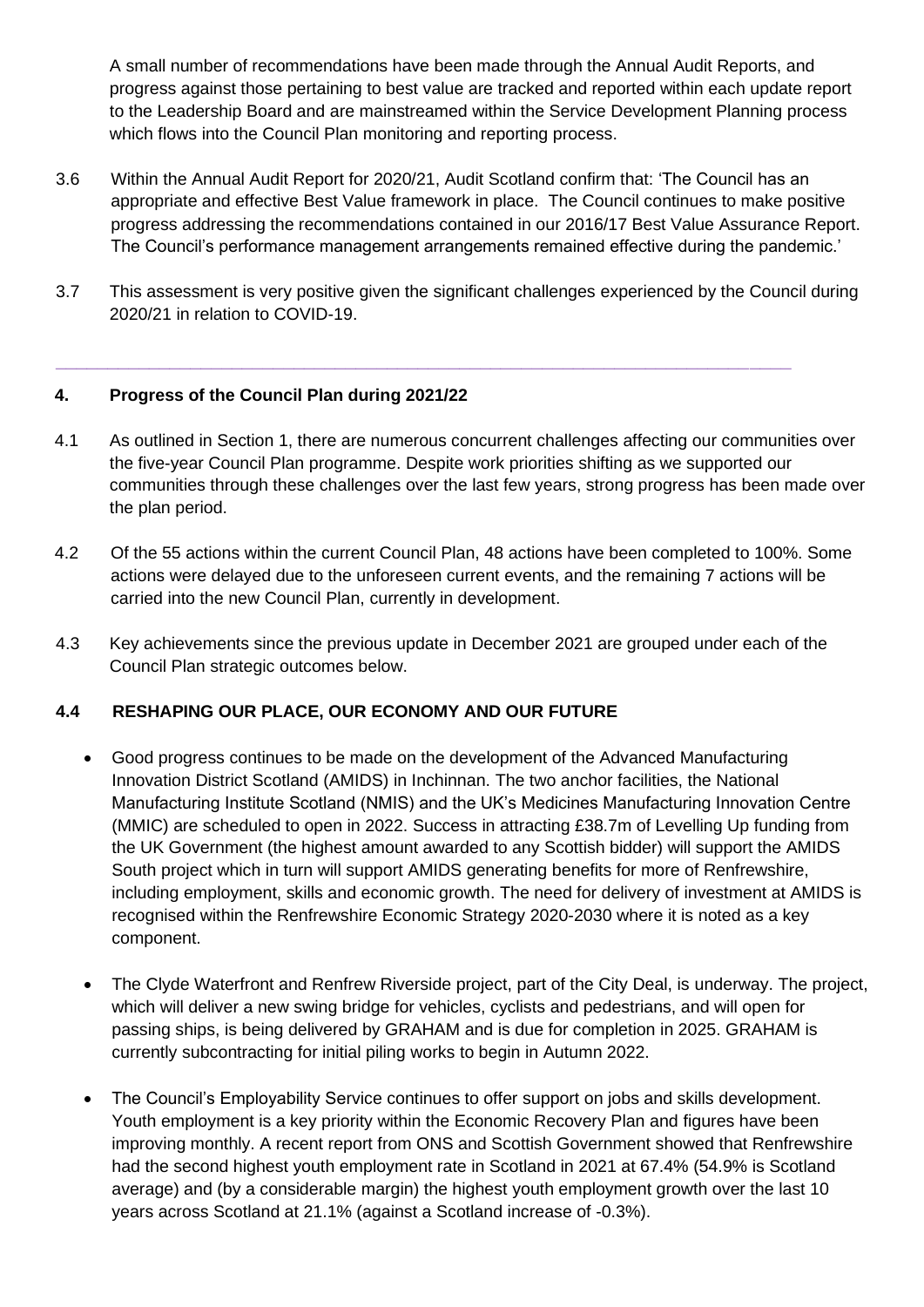A small number of recommendations have been made through the Annual Audit Reports, and progress against those pertaining to best value are tracked and reported within each update report to the Leadership Board and are mainstreamed within the Service Development Planning process which flows into the Council Plan monitoring and reporting process.

- 3.6 Within the Annual Audit Report for 2020/21, Audit Scotland confirm that: 'The Council has an appropriate and effective Best Value framework in place. The Council continues to make positive progress addressing the recommendations contained in our 2016/17 Best Value Assurance Report. The Council's performance management arrangements remained effective during the pandemic.'
- 3.7 This assessment is very positive given the significant challenges experienced by the Council during 2020/21 in relation to COVID-19.

**\_\_\_\_\_\_\_\_\_\_\_\_\_\_\_\_\_\_\_\_\_\_\_\_\_\_\_\_\_\_\_\_\_\_\_\_\_\_\_\_\_\_\_\_\_\_\_\_\_\_\_\_\_\_\_\_\_\_\_\_\_\_\_\_\_\_\_\_\_\_\_**

#### **4. Progress of the Council Plan during 2021/22**

- 4.1 As outlined in Section 1, there are numerous concurrent challenges affecting our communities over the five-year Council Plan programme. Despite work priorities shifting as we supported our communities through these challenges over the last few years, strong progress has been made over the plan period.
- 4.2 Of the 55 actions within the current Council Plan, 48 actions have been completed to 100%. Some actions were delayed due to the unforeseen current events, and the remaining 7 actions will be carried into the new Council Plan, currently in development.
- 4.3 Key achievements since the previous update in December 2021 are grouped under each of the Council Plan strategic outcomes below.

#### **4.4 RESHAPING OUR PLACE, OUR ECONOMY AND OUR FUTURE**

- Good progress continues to be made on the development of the Advanced Manufacturing Innovation District Scotland (AMIDS) in Inchinnan. The two anchor facilities, the National Manufacturing Institute Scotland (NMIS) and the UK's Medicines Manufacturing Innovation Centre (MMIC) are scheduled to open in 2022. Success in attracting £38.7m of Levelling Up funding from the UK Government (the highest amount awarded to any Scottish bidder) will support the AMIDS South project which in turn will support AMIDS generating benefits for more of Renfrewshire, including employment, skills and economic growth. The need for delivery of investment at AMIDS is recognised within the Renfrewshire Economic Strategy 2020-2030 where it is noted as a key component.
- The Clyde Waterfront and Renfrew Riverside project, part of the City Deal, is underway. The project, which will deliver a new swing bridge for vehicles, cyclists and pedestrians, and will open for passing ships, is being delivered by GRAHAM and is due for completion in 2025. GRAHAM is currently subcontracting for initial piling works to begin in Autumn 2022.
- The Council's Employability Service continues to offer support on jobs and skills development. Youth employment is a key priority within the Economic Recovery Plan and figures have been improving monthly. A recent report from ONS and Scottish Government showed that Renfrewshire had the second highest youth employment rate in Scotland in 2021 at 67.4% (54.9% is Scotland average) and (by a considerable margin) the highest youth employment growth over the last 10 years across Scotland at 21.1% (against a Scotland increase of -0.3%).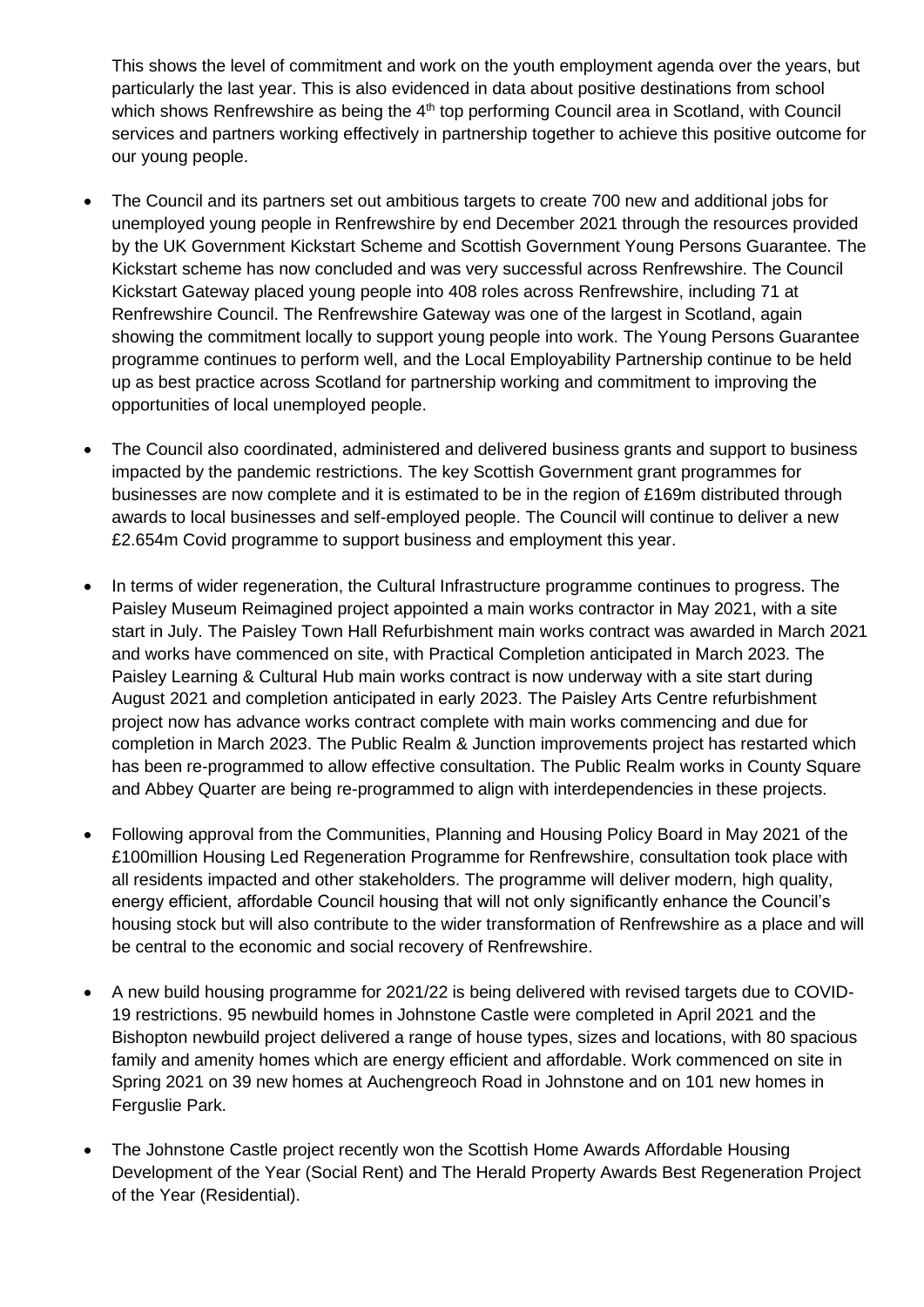This shows the level of commitment and work on the youth employment agenda over the years, but particularly the last year. This is also evidenced in data about positive destinations from school which shows Renfrewshire as being the 4<sup>th</sup> top performing Council area in Scotland, with Council services and partners working effectively in partnership together to achieve this positive outcome for our young people.

- The Council and its partners set out ambitious targets to create 700 new and additional jobs for unemployed young people in Renfrewshire by end December 2021 through the resources provided by the UK Government Kickstart Scheme and Scottish Government Young Persons Guarantee. The Kickstart scheme has now concluded and was very successful across Renfrewshire. The Council Kickstart Gateway placed young people into 408 roles across Renfrewshire, including 71 at Renfrewshire Council. The Renfrewshire Gateway was one of the largest in Scotland, again showing the commitment locally to support young people into work. The Young Persons Guarantee programme continues to perform well, and the Local Employability Partnership continue to be held up as best practice across Scotland for partnership working and commitment to improving the opportunities of local unemployed people.
- The Council also coordinated, administered and delivered business grants and support to business impacted by the pandemic restrictions. The key Scottish Government grant programmes for businesses are now complete and it is estimated to be in the region of £169m distributed through awards to local businesses and self-employed people. The Council will continue to deliver a new £2.654m Covid programme to support business and employment this year.
- In terms of wider regeneration, the Cultural Infrastructure programme continues to progress. The Paisley Museum Reimagined project appointed a main works contractor in May 2021, with a site start in July. The Paisley Town Hall Refurbishment main works contract was awarded in March 2021 and works have commenced on site, with Practical Completion anticipated in March 2023. The Paisley Learning & Cultural Hub main works contract is now underway with a site start during August 2021 and completion anticipated in early 2023. The Paisley Arts Centre refurbishment project now has advance works contract complete with main works commencing and due for completion in March 2023. The Public Realm & Junction improvements project has restarted which has been re-programmed to allow effective consultation. The Public Realm works in County Square and Abbey Quarter are being re-programmed to align with interdependencies in these projects.
- Following approval from the Communities, Planning and Housing Policy Board in May 2021 of the £100million Housing Led Regeneration Programme for Renfrewshire, consultation took place with all residents impacted and other stakeholders. The programme will deliver modern, high quality, energy efficient, affordable Council housing that will not only significantly enhance the Council's housing stock but will also contribute to the wider transformation of Renfrewshire as a place and will be central to the economic and social recovery of Renfrewshire.
- A new build housing programme for 2021/22 is being delivered with revised targets due to COVID-19 restrictions. 95 newbuild homes in Johnstone Castle were completed in April 2021 and the Bishopton newbuild project delivered a range of house types, sizes and locations, with 80 spacious family and amenity homes which are energy efficient and affordable. Work commenced on site in Spring 2021 on 39 new homes at Auchengreoch Road in Johnstone and on 101 new homes in Ferguslie Park.
- The Johnstone Castle project recently won the Scottish Home Awards Affordable Housing Development of the Year (Social Rent) and The Herald Property Awards Best Regeneration Project of the Year (Residential).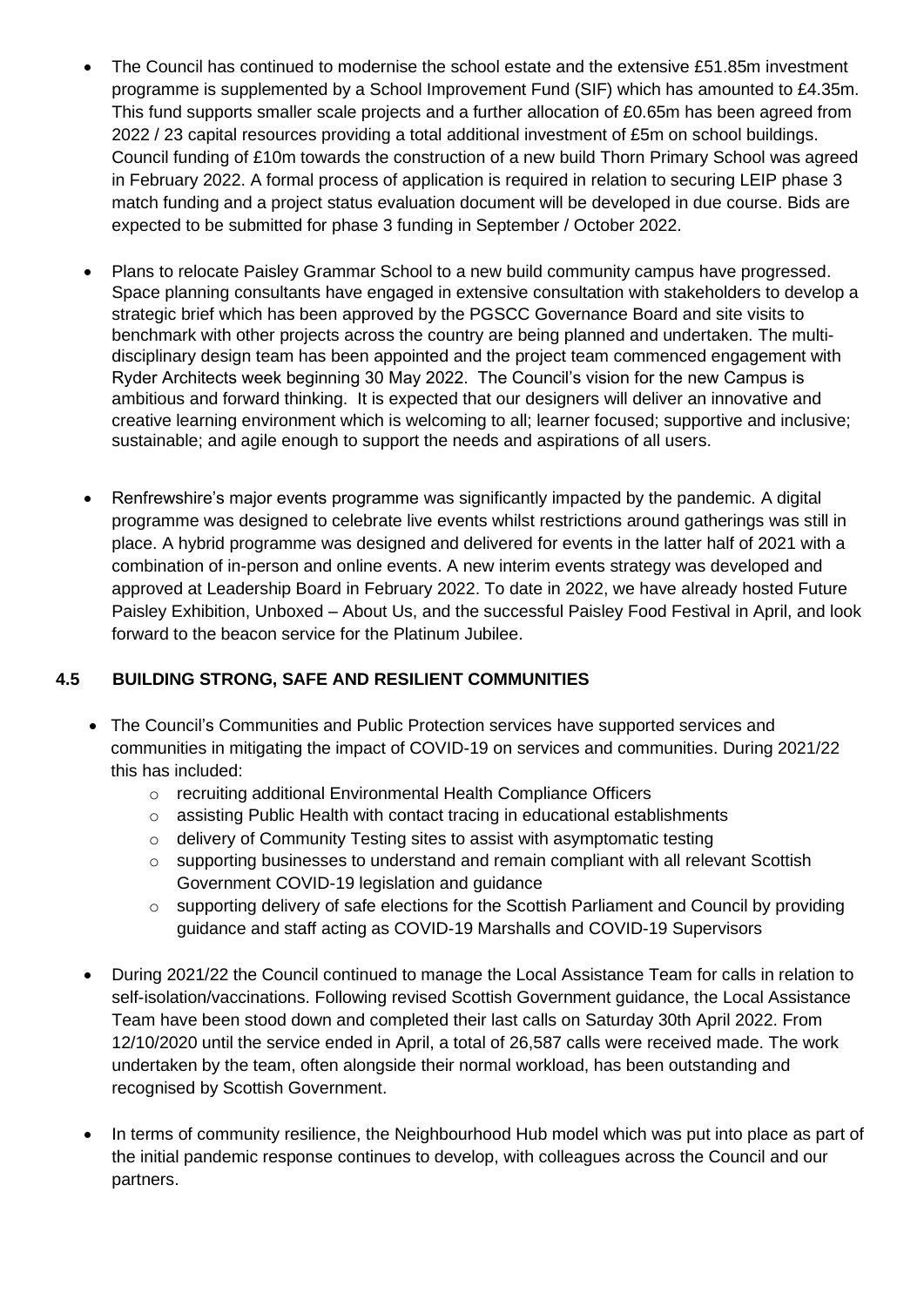- The Council has continued to modernise the school estate and the extensive £51.85m investment programme is supplemented by a School Improvement Fund (SIF) which has amounted to £4.35m. This fund supports smaller scale projects and a further allocation of £0.65m has been agreed from 2022 / 23 capital resources providing a total additional investment of £5m on school buildings. Council funding of £10m towards the construction of a new build Thorn Primary School was agreed in February 2022. A formal process of application is required in relation to securing LEIP phase 3 match funding and a project status evaluation document will be developed in due course. Bids are expected to be submitted for phase 3 funding in September / October 2022.
- Plans to relocate Paisley Grammar School to a new build community campus have progressed. Space planning consultants have engaged in extensive consultation with stakeholders to develop a strategic brief which has been approved by the PGSCC Governance Board and site visits to benchmark with other projects across the country are being planned and undertaken. The multidisciplinary design team has been appointed and the project team commenced engagement with Ryder Architects week beginning 30 May 2022. The Council's vision for the new Campus is ambitious and forward thinking. It is expected that our designers will deliver an innovative and creative learning environment which is welcoming to all; learner focused; supportive and inclusive; sustainable; and agile enough to support the needs and aspirations of all users.
- Renfrewshire's major events programme was significantly impacted by the pandemic. A digital programme was designed to celebrate live events whilst restrictions around gatherings was still in place. A hybrid programme was designed and delivered for events in the latter half of 2021 with a combination of in-person and online events. A new interim events strategy was developed and approved at Leadership Board in February 2022. To date in 2022, we have already hosted Future Paisley Exhibition, Unboxed – About Us, and the successful Paisley Food Festival in April, and look forward to the beacon service for the Platinum Jubilee.

# **4.5 BUILDING STRONG, SAFE AND RESILIENT COMMUNITIES**

- The Council's Communities and Public Protection services have supported services and communities in mitigating the impact of COVID-19 on services and communities. During 2021/22 this has included:
	- o recruiting additional Environmental Health Compliance Officers
	- o assisting Public Health with contact tracing in educational establishments
	- o delivery of Community Testing sites to assist with asymptomatic testing
	- o supporting businesses to understand and remain compliant with all relevant Scottish Government COVID-19 legislation and guidance
	- o supporting delivery of safe elections for the Scottish Parliament and Council by providing guidance and staff acting as COVID-19 Marshalls and COVID-19 Supervisors
- During 2021/22 the Council continued to manage the Local Assistance Team for calls in relation to self-isolation/vaccinations. Following revised Scottish Government guidance, the Local Assistance Team have been stood down and completed their last calls on Saturday 30th April 2022. From 12/10/2020 until the service ended in April, a total of 26,587 calls were received made. The work undertaken by the team, often alongside their normal workload, has been outstanding and recognised by Scottish Government.
- In terms of community resilience, the Neighbourhood Hub model which was put into place as part of the initial pandemic response continues to develop, with colleagues across the Council and our partners.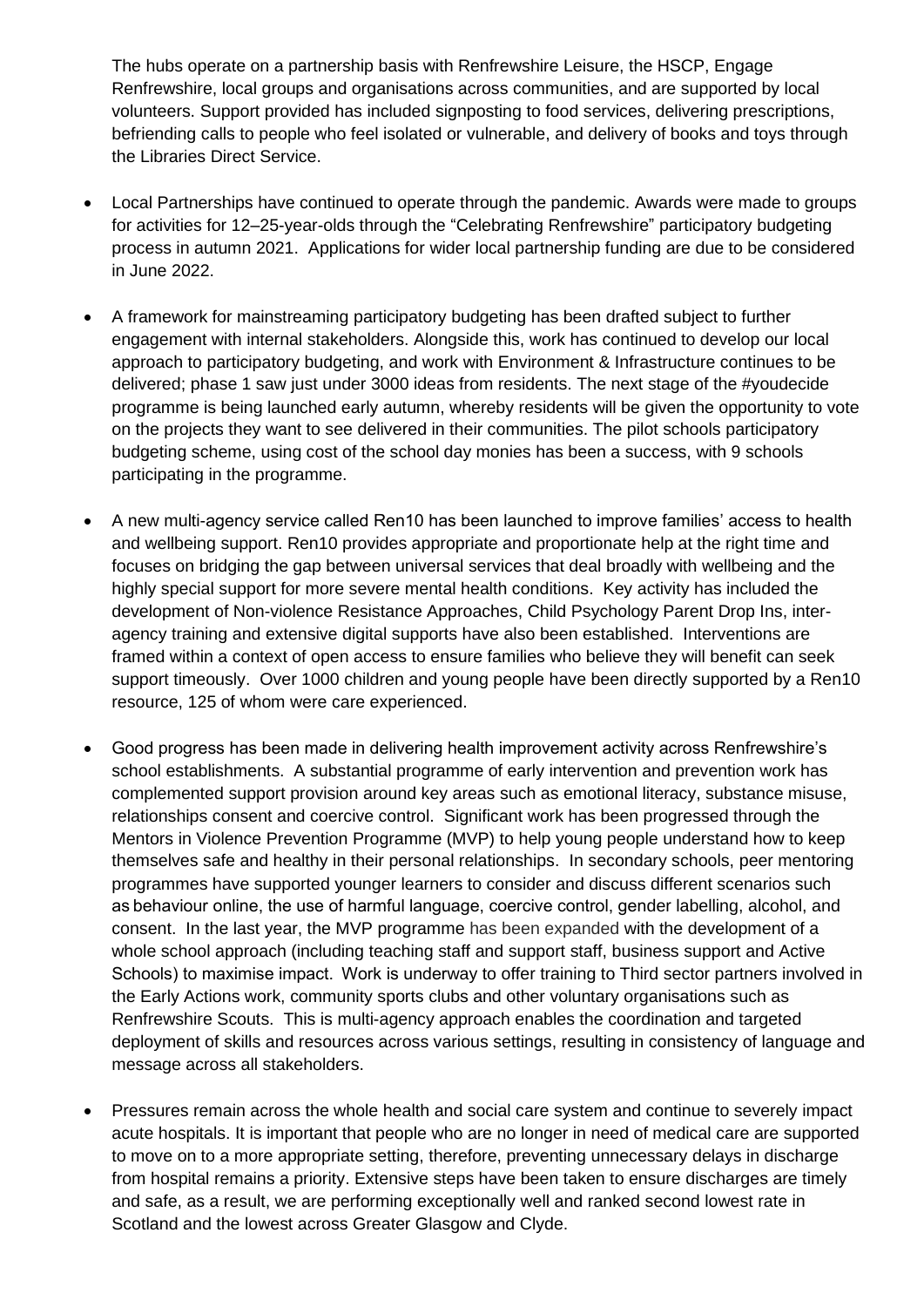The hubs operate on a partnership basis with Renfrewshire Leisure, the HSCP, Engage Renfrewshire, local groups and organisations across communities, and are supported by local volunteers. Support provided has included signposting to food services, delivering prescriptions, befriending calls to people who feel isolated or vulnerable, and delivery of books and toys through the Libraries Direct Service.

- Local Partnerships have continued to operate through the pandemic. Awards were made to groups for activities for 12–25-year-olds through the "Celebrating Renfrewshire" participatory budgeting process in autumn 2021. Applications for wider local partnership funding are due to be considered in June 2022.
- A framework for mainstreaming participatory budgeting has been drafted subject to further engagement with internal stakeholders. Alongside this, work has continued to develop our local approach to participatory budgeting, and work with Environment & Infrastructure continues to be delivered; phase 1 saw just under 3000 ideas from residents. The next stage of the #youdecide programme is being launched early autumn, whereby residents will be given the opportunity to vote on the projects they want to see delivered in their communities. The pilot schools participatory budgeting scheme, using cost of the school day monies has been a success, with 9 schools participating in the programme.
- A new multi-agency service called Ren10 has been launched to improve families' access to health and wellbeing support. Ren10 provides appropriate and proportionate help at the right time and focuses on bridging the gap between universal services that deal broadly with wellbeing and the highly special support for more severe mental health conditions. Key activity has included the development of Non-violence Resistance Approaches, Child Psychology Parent Drop Ins, interagency training and extensive digital supports have also been established. Interventions are framed within a context of open access to ensure families who believe they will benefit can seek support timeously. Over 1000 children and young people have been directly supported by a Ren10 resource, 125 of whom were care experienced.
- Good progress has been made in delivering health improvement activity across Renfrewshire's school establishments. A substantial programme of early intervention and prevention work has complemented support provision around key areas such as emotional literacy, substance misuse, relationships consent and coercive control. Significant work has been progressed through the Mentors in Violence Prevention Programme (MVP) to help young people understand how to keep themselves safe and healthy in their personal relationships. In secondary schools, peer mentoring programmes have supported younger learners to consider and discuss different scenarios such as behaviour online, the use of harmful language, coercive control, gender labelling, alcohol, and consent. In the last year, the MVP programme has been expanded with the development of a whole school approach (including teaching staff and support staff, business support and Active Schools) to maximise impact.  Work is underway to offer training to Third sector partners involved in the Early Actions work, community sports clubs and other voluntary organisations such as Renfrewshire Scouts. This is multi-agency approach enables the coordination and targeted deployment of skills and resources across various settings, resulting in consistency of language and message across all stakeholders.
- Pressures remain across the whole health and social care system and continue to severely impact acute hospitals. It is important that people who are no longer in need of medical care are supported to move on to a more appropriate setting, therefore, preventing unnecessary delays in discharge from hospital remains a priority. Extensive steps have been taken to ensure discharges are timely and safe, as a result, we are performing exceptionally well and ranked second lowest rate in Scotland and the lowest across Greater Glasgow and Clyde.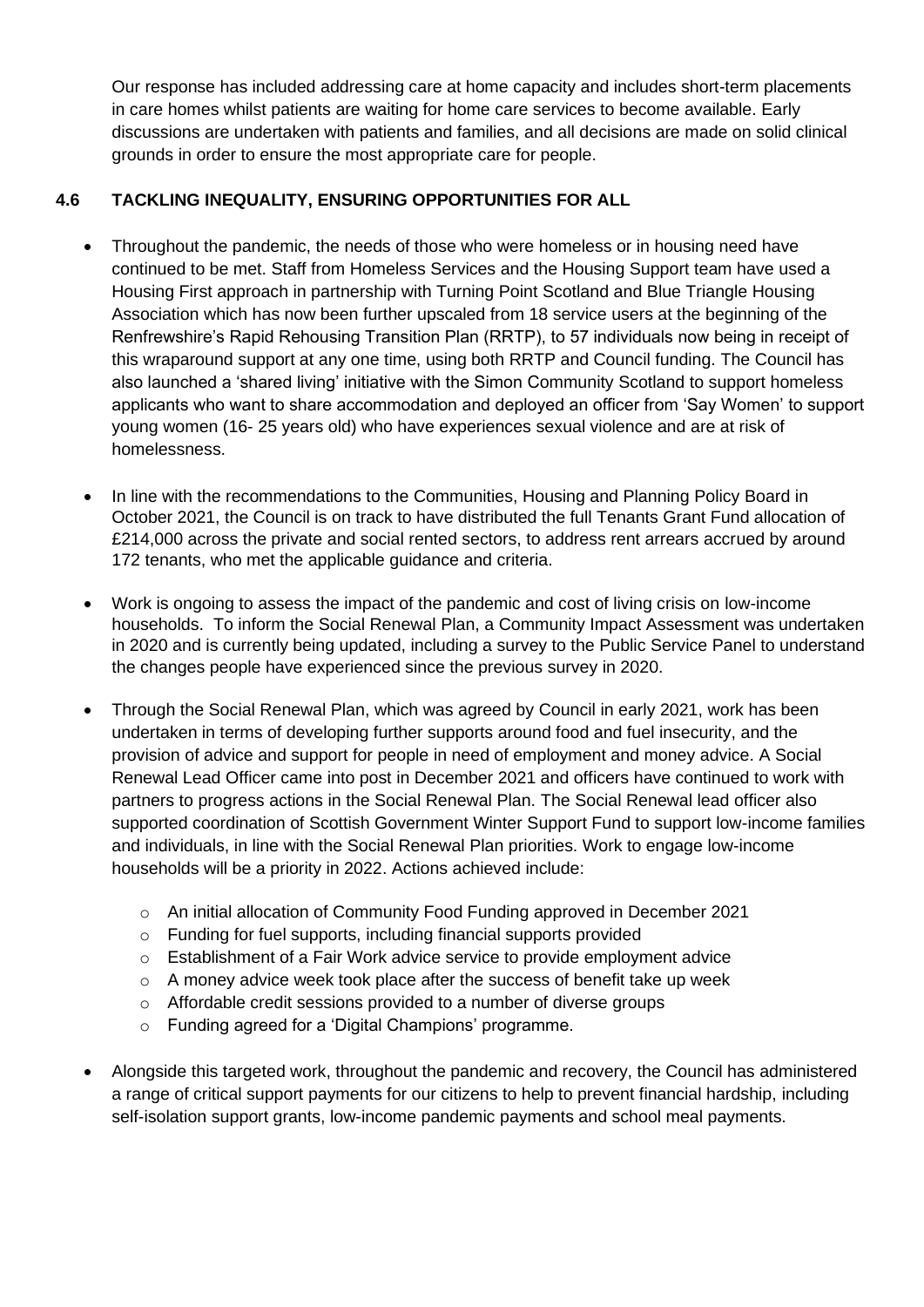Our response has included addressing care at home capacity and includes short-term placements in care homes whilst patients are waiting for home care services to become available. Early discussions are undertaken with patients and families, and all decisions are made on solid clinical grounds in order to ensure the most appropriate care for people.

## **4.6 TACKLING INEQUALITY, ENSURING OPPORTUNITIES FOR ALL**

- Throughout the pandemic, the needs of those who were homeless or in housing need have continued to be met. Staff from Homeless Services and the Housing Support team have used a Housing First approach in partnership with Turning Point Scotland and Blue Triangle Housing Association which has now been further upscaled from 18 service users at the beginning of the Renfrewshire's Rapid Rehousing Transition Plan (RRTP), to 57 individuals now being in receipt of this wraparound support at any one time, using both RRTP and Council funding. The Council has also launched a 'shared living' initiative with the Simon Community Scotland to support homeless applicants who want to share accommodation and deployed an officer from 'Say Women' to support young women (16- 25 years old) who have experiences sexual violence and are at risk of homelessness.
- In line with the recommendations to the Communities, Housing and Planning Policy Board in October 2021, the Council is on track to have distributed the full Tenants Grant Fund allocation of £214,000 across the private and social rented sectors, to address rent arrears accrued by around 172 tenants, who met the applicable guidance and criteria.
- Work is ongoing to assess the impact of the pandemic and cost of living crisis on low-income households. To inform the Social Renewal Plan, a Community Impact Assessment was undertaken in 2020 and is currently being updated, including a survey to the Public Service Panel to understand the changes people have experienced since the previous survey in 2020.
- Through the Social Renewal Plan, which was agreed by Council in early 2021, work has been undertaken in terms of developing further supports around food and fuel insecurity, and the provision of advice and support for people in need of employment and money advice. A Social Renewal Lead Officer came into post in December 2021 and officers have continued to work with partners to progress actions in the Social Renewal Plan. The Social Renewal lead officer also supported coordination of Scottish Government Winter Support Fund to support low-income families and individuals, in line with the Social Renewal Plan priorities. Work to engage low-income households will be a priority in 2022. Actions achieved include:
	- o An initial allocation of Community Food Funding approved in December 2021
	- o Funding for fuel supports, including financial supports provided
	- $\circ$  Establishment of a Fair Work advice service to provide employment advice
	- $\circ$  A money advice week took place after the success of benefit take up week
	- o Affordable credit sessions provided to a number of diverse groups
	- o Funding agreed for a 'Digital Champions' programme.
- Alongside this targeted work, throughout the pandemic and recovery, the Council has administered a range of critical support payments for our citizens to help to prevent financial hardship, including self-isolation support grants, low-income pandemic payments and school meal payments.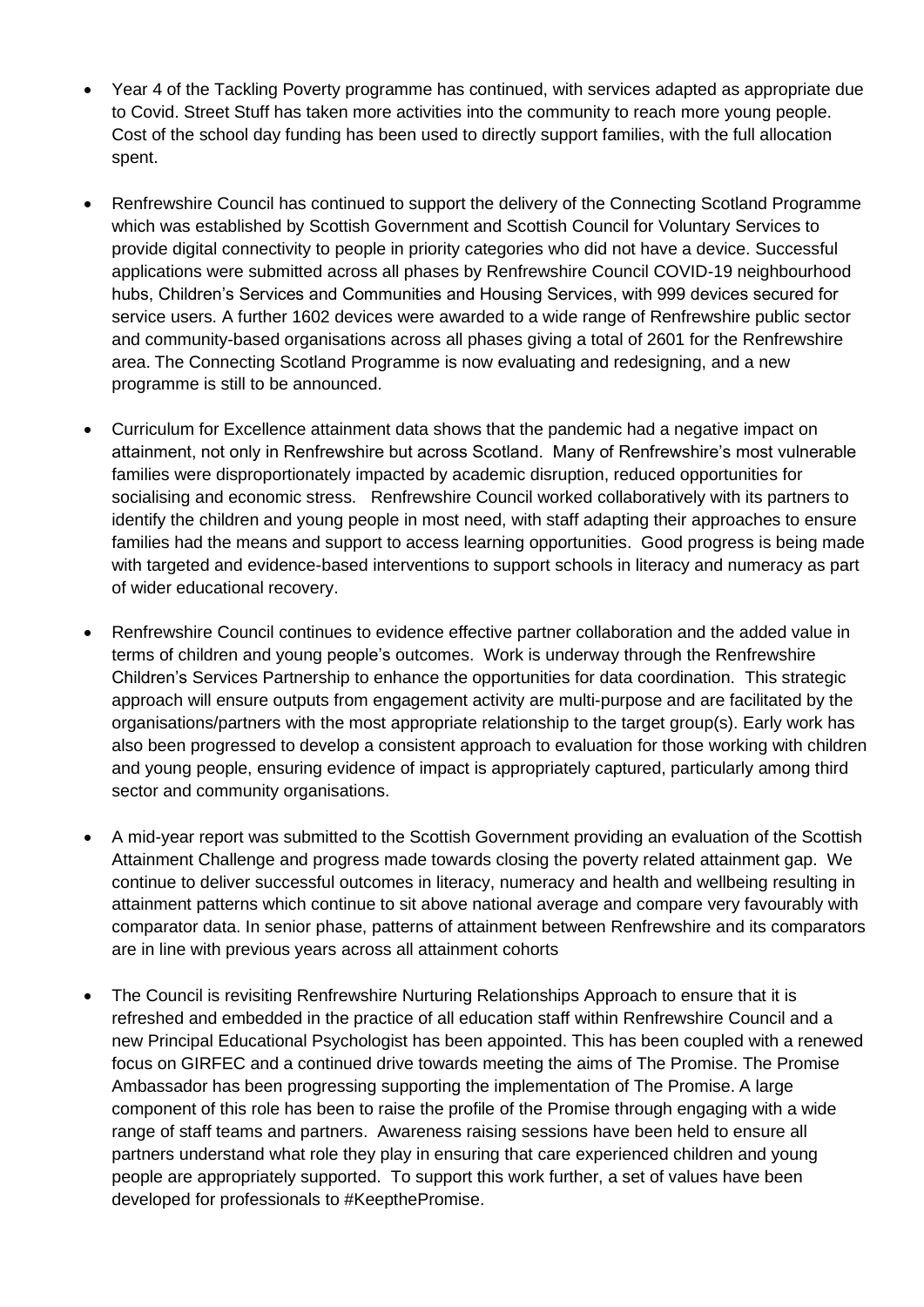- Year 4 of the Tackling Poverty programme has continued, with services adapted as appropriate due to Covid. Street Stuff has taken more activities into the community to reach more young people. Cost of the school day funding has been used to directly support families, with the full allocation spent.
- Renfrewshire Council has continued to support the delivery of the Connecting Scotland Programme which was established by Scottish Government and Scottish Council for Voluntary Services to provide digital connectivity to people in priority categories who did not have a device. Successful applications were submitted across all phases by Renfrewshire Council COVID-19 neighbourhood hubs, Children's Services and Communities and Housing Services, with 999 devices secured for service users. A further 1602 devices were awarded to a wide range of Renfrewshire public sector and community-based organisations across all phases giving a total of 2601 for the Renfrewshire area. The Connecting Scotland Programme is now evaluating and redesigning, and a new programme is still to be announced.
- Curriculum for Excellence attainment data shows that the pandemic had a negative impact on attainment, not only in Renfrewshire but across Scotland. Many of Renfrewshire's most vulnerable families were disproportionately impacted by academic disruption, reduced opportunities for socialising and economic stress. Renfrewshire Council worked collaboratively with its partners to identify the children and young people in most need, with staff adapting their approaches to ensure families had the means and support to access learning opportunities. Good progress is being made with targeted and evidence-based interventions to support schools in literacy and numeracy as part of wider educational recovery.
- Renfrewshire Council continues to evidence effective partner collaboration and the added value in terms of children and young people's outcomes. Work is underway through the Renfrewshire Children's Services Partnership to enhance the opportunities for data coordination. This strategic approach will ensure outputs from engagement activity are multi-purpose and are facilitated by the organisations/partners with the most appropriate relationship to the target group(s). Early work has also been progressed to develop a consistent approach to evaluation for those working with children and young people, ensuring evidence of impact is appropriately captured, particularly among third sector and community organisations.
- A mid-year report was submitted to the Scottish Government providing an evaluation of the Scottish Attainment Challenge and progress made towards closing the poverty related attainment gap. We continue to deliver successful outcomes in literacy, numeracy and health and wellbeing resulting in attainment patterns which continue to sit above national average and compare very favourably with comparator data. In senior phase, patterns of attainment between Renfrewshire and its comparators are in line with previous years across all attainment cohorts
- The Council is revisiting Renfrewshire Nurturing Relationships Approach to ensure that it is refreshed and embedded in the practice of all education staff within Renfrewshire Council and a new Principal Educational Psychologist has been appointed. This has been coupled with a renewed focus on GIRFEC and a continued drive towards meeting the aims of The Promise. The Promise Ambassador has been progressing supporting the implementation of The Promise. A large component of this role has been to raise the profile of the Promise through engaging with a wide range of staff teams and partners. Awareness raising sessions have been held to ensure all partners understand what role they play in ensuring that care experienced children and young people are appropriately supported. To support this work further, a set of values have been developed for professionals to #KeepthePromise.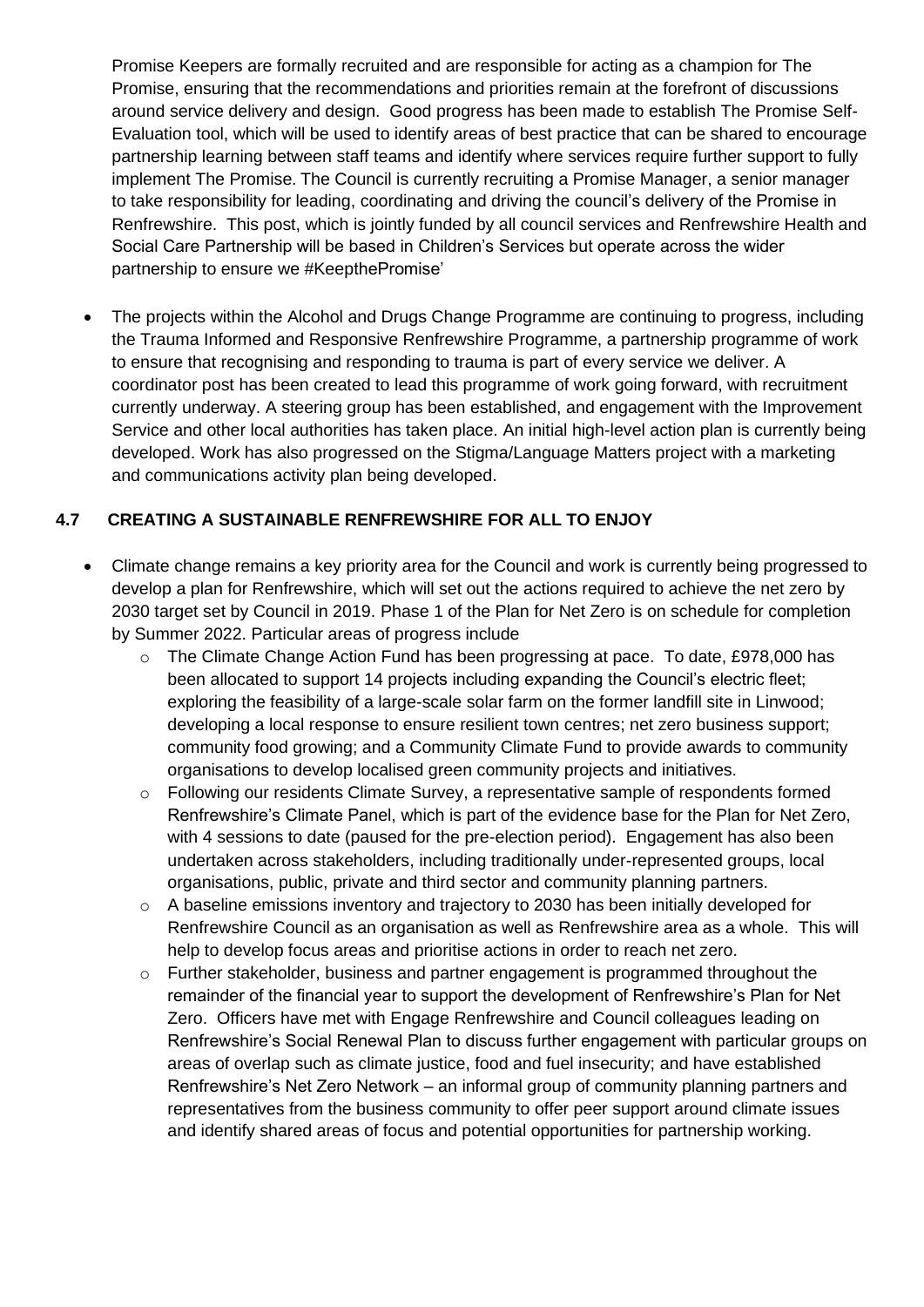Promise Keepers are formally recruited and are responsible for acting as a champion for The Promise, ensuring that the recommendations and priorities remain at the forefront of discussions around service delivery and design. Good progress has been made to establish The Promise Self-Evaluation tool, which will be used to identify areas of best practice that can be shared to encourage partnership learning between staff teams and identify where services require further support to fully implement The Promise. The Council is currently recruiting a Promise Manager, a senior manager to take responsibility for leading, coordinating and driving the council's delivery of the Promise in Renfrewshire. This post, which is jointly funded by all council services and Renfrewshire Health and Social Care Partnership will be based in Children's Services but operate across the wider partnership to ensure we #KeepthePromise'

• The projects within the Alcohol and Drugs Change Programme are continuing to progress, including the Trauma Informed and Responsive Renfrewshire Programme, a partnership programme of work to ensure that recognising and responding to trauma is part of every service we deliver. A coordinator post has been created to lead this programme of work going forward, with recruitment currently underway. A steering group has been established, and engagement with the Improvement Service and other local authorities has taken place. An initial high-level action plan is currently being developed. Work has also progressed on the Stigma/Language Matters project with a marketing and communications activity plan being developed.

#### **4.7 CREATING A SUSTAINABLE RENFREWSHIRE FOR ALL TO ENJOY**

- Climate change remains a key priority area for the Council and work is currently being progressed to develop a plan for Renfrewshire, which will set out the actions required to achieve the net zero by 2030 target set by Council in 2019. Phase 1 of the Plan for Net Zero is on schedule for completion by Summer 2022. Particular areas of progress include
	- o The Climate Change Action Fund has been progressing at pace. To date, £978,000 has been allocated to support 14 projects including expanding the Council's electric fleet; exploring the feasibility of a large-scale solar farm on the former landfill site in Linwood; developing a local response to ensure resilient town centres; net zero business support; community food growing; and a Community Climate Fund to provide awards to community organisations to develop localised green community projects and initiatives.
	- $\circ$  Following our residents Climate Survey, a representative sample of respondents formed Renfrewshire's Climate Panel, which is part of the evidence base for the Plan for Net Zero, with 4 sessions to date (paused for the pre-election period). Engagement has also been undertaken across stakeholders, including traditionally under-represented groups, local organisations, public, private and third sector and community planning partners.
	- $\circ$  A baseline emissions inventory and trajectory to 2030 has been initially developed for Renfrewshire Council as an organisation as well as Renfrewshire area as a whole. This will help to develop focus areas and prioritise actions in order to reach net zero.
	- $\circ$  Further stakeholder, business and partner engagement is programmed throughout the remainder of the financial year to support the development of Renfrewshire's Plan for Net Zero. Officers have met with Engage Renfrewshire and Council colleagues leading on Renfrewshire's Social Renewal Plan to discuss further engagement with particular groups on areas of overlap such as climate justice, food and fuel insecurity; and have established Renfrewshire's Net Zero Network – an informal group of community planning partners and representatives from the business community to offer peer support around climate issues and identify shared areas of focus and potential opportunities for partnership working.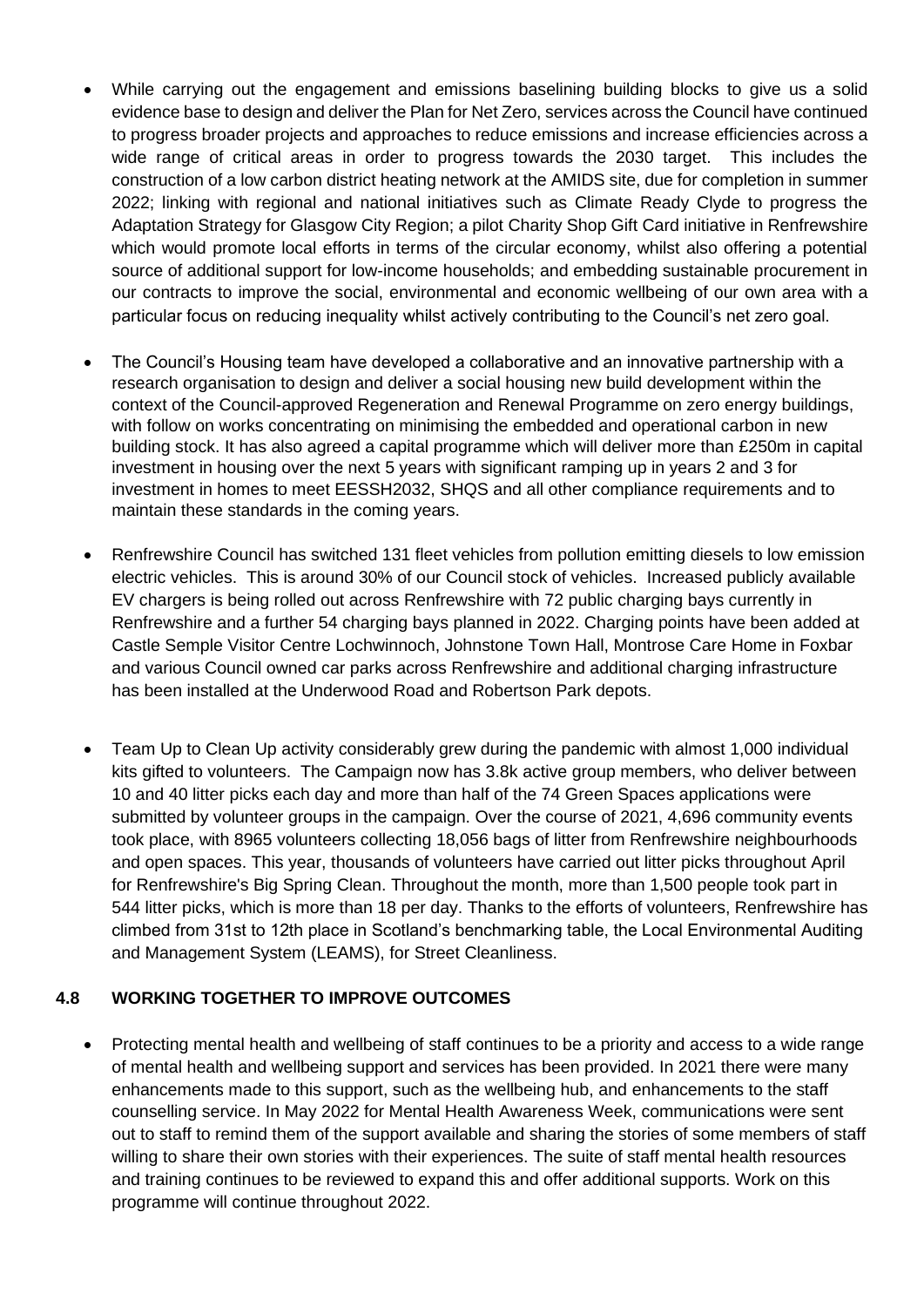- While carrying out the engagement and emissions baselining building blocks to give us a solid evidence base to design and deliver the Plan for Net Zero, services across the Council have continued to progress broader projects and approaches to reduce emissions and increase efficiencies across a wide range of critical areas in order to progress towards the 2030 target. This includes the construction of a low carbon district heating network at the AMIDS site, due for completion in summer 2022; linking with regional and national initiatives such as Climate Ready Clyde to progress the Adaptation Strategy for Glasgow City Region; a pilot Charity Shop Gift Card initiative in Renfrewshire which would promote local efforts in terms of the circular economy, whilst also offering a potential source of additional support for low-income households; and embedding sustainable procurement in our contracts to improve the social, environmental and economic wellbeing of our own area with a particular focus on reducing inequality whilst actively contributing to the Council's net zero goal.
- The Council's Housing team have developed a collaborative and an innovative partnership with a research organisation to design and deliver a social housing new build development within the context of the Council-approved Regeneration and Renewal Programme on zero energy buildings, with follow on works concentrating on minimising the embedded and operational carbon in new building stock. It has also agreed a capital programme which will deliver more than £250m in capital investment in housing over the next 5 years with significant ramping up in years 2 and 3 for investment in homes to meet EESSH2032, SHQS and all other compliance requirements and to maintain these standards in the coming years.
- Renfrewshire Council has switched 131 fleet vehicles from pollution emitting diesels to low emission electric vehicles. This is around 30% of our Council stock of vehicles. Increased publicly available EV chargers is being rolled out across Renfrewshire with 72 public charging bays currently in Renfrewshire and a further 54 charging bays planned in 2022. Charging points have been added at Castle Semple Visitor Centre Lochwinnoch, Johnstone Town Hall, Montrose Care Home in Foxbar and various Council owned car parks across Renfrewshire and additional charging infrastructure has been installed at the Underwood Road and Robertson Park depots.
- Team Up to Clean Up activity considerably grew during the pandemic with almost 1,000 individual kits gifted to volunteers. The Campaign now has 3.8k active group members, who deliver between 10 and 40 litter picks each day and more than half of the 74 Green Spaces applications were submitted by volunteer groups in the campaign. Over the course of 2021, 4,696 community events took place, with 8965 volunteers collecting 18,056 bags of litter from Renfrewshire neighbourhoods and open spaces. This year, thousands of volunteers have carried out litter picks throughout April for Renfrewshire's Big Spring Clean. Throughout the month, more than 1,500 people took part in 544 litter picks, which is more than 18 per day. Thanks to the efforts of volunteers, Renfrewshire has climbed from 31st to 12th place in Scotland's benchmarking table, the Local Environmental Auditing and Management System (LEAMS), for Street Cleanliness.

#### **4.8 WORKING TOGETHER TO IMPROVE OUTCOMES**

• Protecting mental health and wellbeing of staff continues to be a priority and access to a wide range of mental health and wellbeing support and services has been provided. In 2021 there were many enhancements made to this support, such as the wellbeing hub, and enhancements to the staff counselling service. In May 2022 for Mental Health Awareness Week, communications were sent out to staff to remind them of the support available and sharing the stories of some members of staff willing to share their own stories with their experiences. The suite of staff mental health resources and training continues to be reviewed to expand this and offer additional supports. Work on this programme will continue throughout 2022.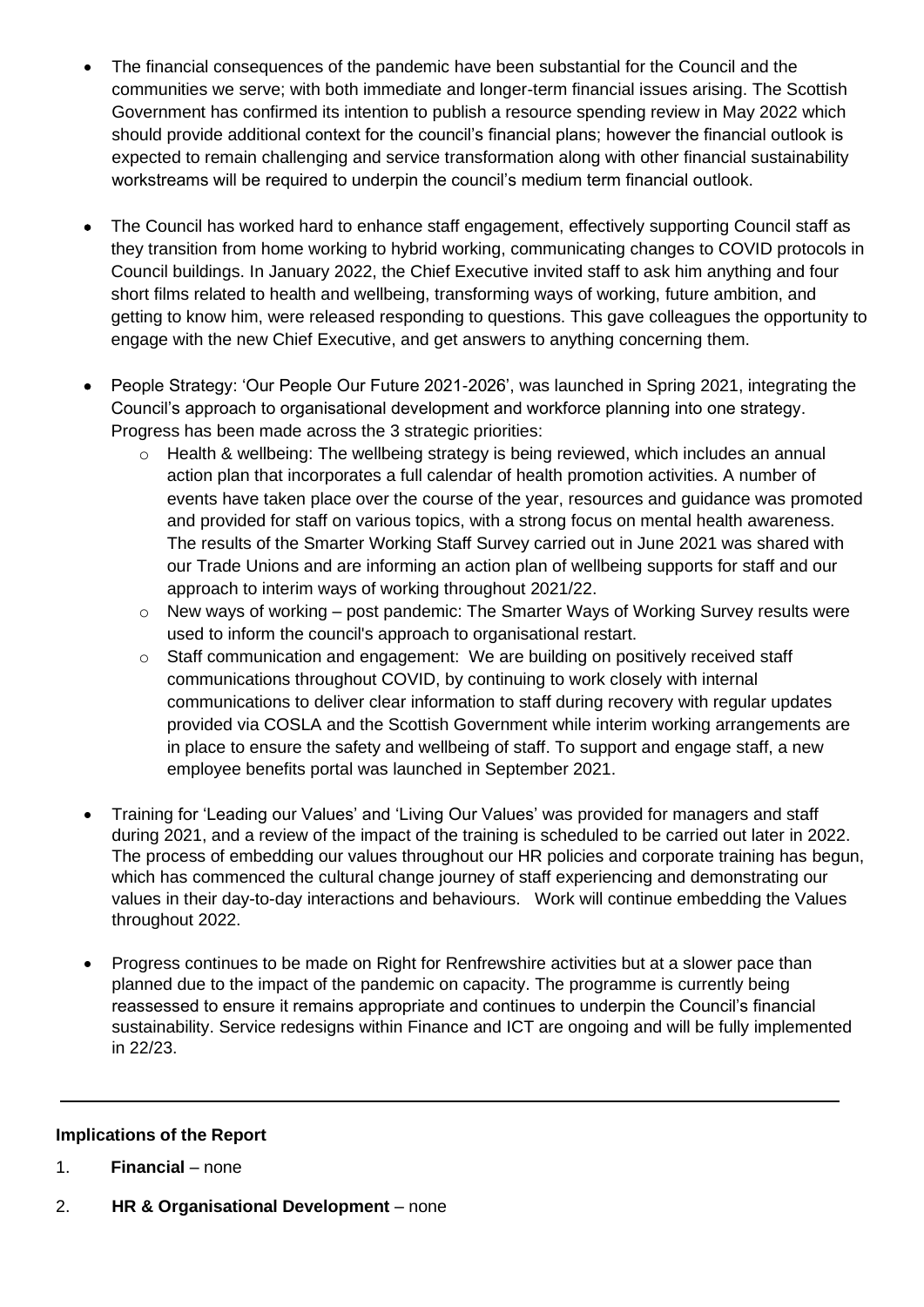- The financial consequences of the pandemic have been substantial for the Council and the communities we serve; with both immediate and longer-term financial issues arising. The Scottish Government has confirmed its intention to publish a resource spending review in May 2022 which should provide additional context for the council's financial plans; however the financial outlook is expected to remain challenging and service transformation along with other financial sustainability workstreams will be required to underpin the council's medium term financial outlook.
- The Council has worked hard to enhance staff engagement, effectively supporting Council staff as they transition from home working to hybrid working, communicating changes to COVID protocols in Council buildings. In January 2022, the Chief Executive invited staff to ask him anything and four short films related to health and wellbeing, transforming ways of working, future ambition, and getting to know him, were released responding to questions. This gave colleagues the opportunity to engage with the new Chief Executive, and get answers to anything concerning them.
- People Strategy: 'Our People Our Future 2021-2026', was launched in Spring 2021, integrating the Council's approach to organisational development and workforce planning into one strategy. Progress has been made across the 3 strategic priorities:
	- o Health & wellbeing: The wellbeing strategy is being reviewed, which includes an annual action plan that incorporates a full calendar of health promotion activities. A number of events have taken place over the course of the year, resources and guidance was promoted and provided for staff on various topics, with a strong focus on mental health awareness. The results of the Smarter Working Staff Survey carried out in June 2021 was shared with our Trade Unions and are informing an action plan of wellbeing supports for staff and our approach to interim ways of working throughout 2021/22.
	- o New ways of working post pandemic: The Smarter Ways of Working Survey results were used to inform the council's approach to organisational restart.
	- o Staff communication and engagement: We are building on positively received staff communications throughout COVID, by continuing to work closely with internal communications to deliver clear information to staff during recovery with regular updates provided via COSLA and the Scottish Government while interim working arrangements are in place to ensure the safety and wellbeing of staff. To support and engage staff, a new employee benefits portal was launched in September 2021.
- Training for 'Leading our Values' and 'Living Our Values' was provided for managers and staff during 2021, and a review of the impact of the training is scheduled to be carried out later in 2022. The process of embedding our values throughout our HR policies and corporate training has begun, which has commenced the cultural change journey of staff experiencing and demonstrating our values in their day-to-day interactions and behaviours. Work will continue embedding the Values throughout 2022.
- Progress continues to be made on Right for Renfrewshire activities but at a slower pace than planned due to the impact of the pandemic on capacity. The programme is currently being reassessed to ensure it remains appropriate and continues to underpin the Council's financial sustainability. Service redesigns within Finance and ICT are ongoing and will be fully implemented in 22/23.

#### **Implications of the Report**

- 1. **Financial** none
- 2. **HR & Organisational Development**  none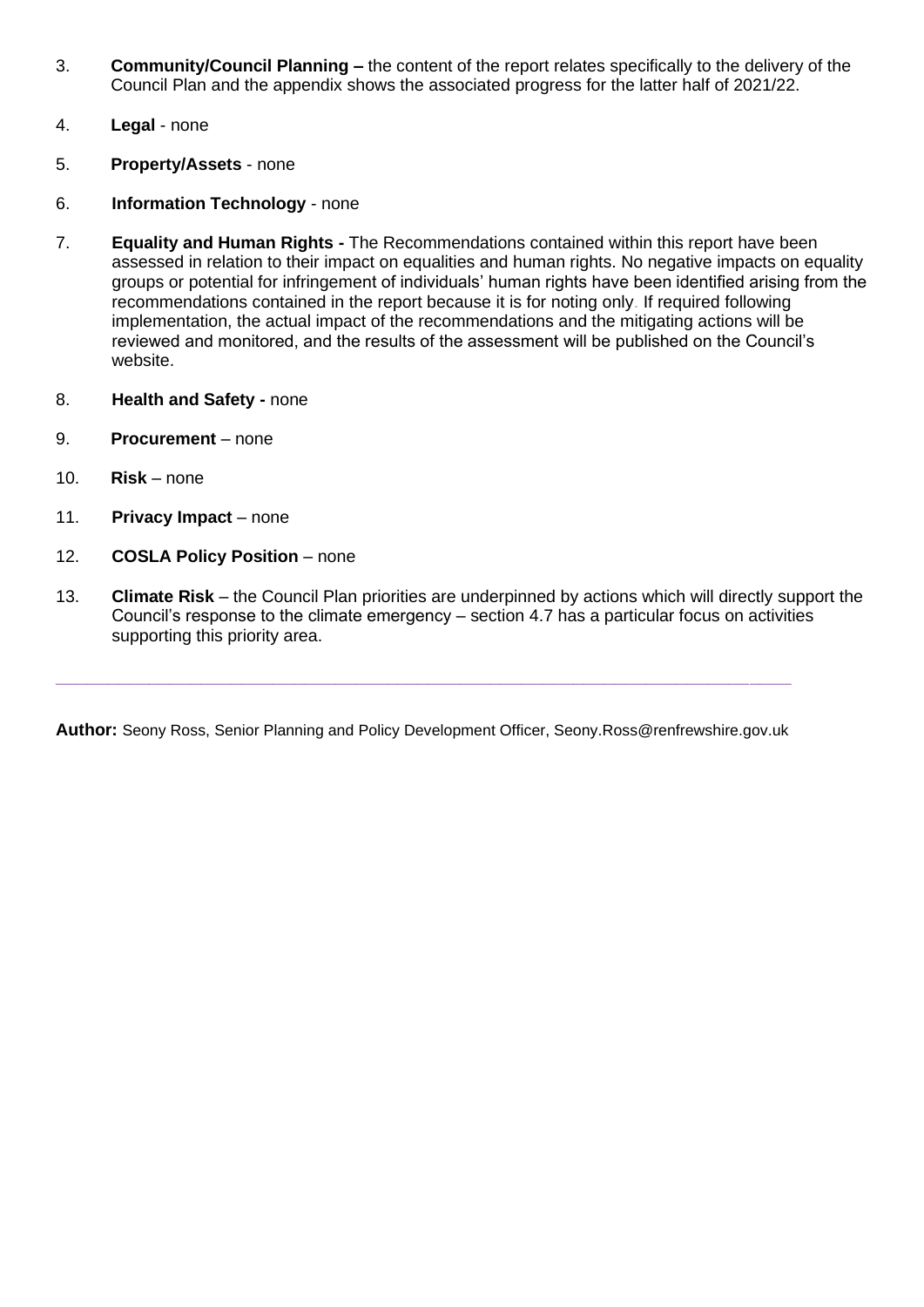- 3. **Community/Council Planning –** the content of the report relates specifically to the delivery of the Council Plan and the appendix shows the associated progress for the latter half of 2021/22.
- 4. **Legal**  none
- 5. **Property/Assets**  none
- 6. **Information Technology**  none
- 7. **Equality and Human Rights -** The Recommendations contained within this report have been assessed in relation to their impact on equalities and human rights. No negative impacts on equality groups or potential for infringement of individuals' human rights have been identified arising from the recommendations contained in the report because it is for noting only. If required following implementation, the actual impact of the recommendations and the mitigating actions will be reviewed and monitored, and the results of the assessment will be published on the Council's website.
- 8. **Health and Safety -** none
- 9. **Procurement**  none
- 10. **Risk**  none
- 11. **Privacy Impact**  none
- 12. **COSLA Policy Position** none
- 13. **Climate Risk**  the Council Plan priorities are underpinned by actions which will directly support the Council's response to the climate emergency – section 4.7 has a particular focus on activities supporting this priority area.

**Author:** Seony Ross, Senior Planning and Policy Development Officer, Seony.Ross@renfrewshire.gov.uk

**\_\_\_\_\_\_\_\_\_\_\_\_\_\_\_\_\_\_\_\_\_\_\_\_\_\_\_\_\_\_\_\_\_\_\_\_\_\_\_\_\_\_\_\_\_\_\_\_\_\_\_\_\_\_\_\_\_\_\_\_\_\_\_\_\_\_\_\_\_\_\_**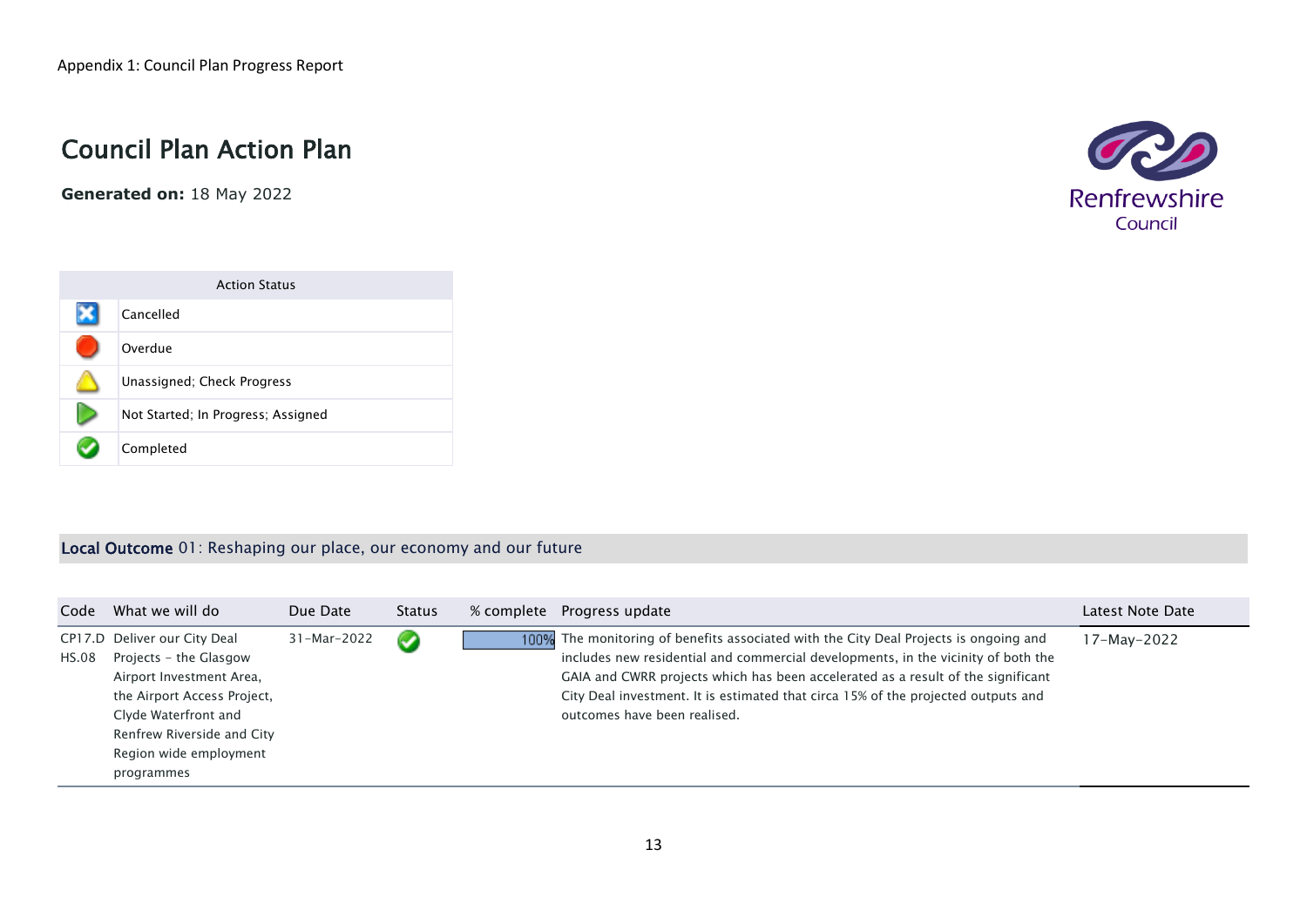# Council Plan Action Plan

**Generated on:** 18 May 2022





#### Local Outcome 01: Reshaping our place, our economy and our future

| Code  | What we will do                                                                                                                                                                                                 | Due Date    | <b>Status</b>  | % complete | Progress update                                                                                                                                                                                                                                                                                                                                                                     | Latest Note Date |
|-------|-----------------------------------------------------------------------------------------------------------------------------------------------------------------------------------------------------------------|-------------|----------------|------------|-------------------------------------------------------------------------------------------------------------------------------------------------------------------------------------------------------------------------------------------------------------------------------------------------------------------------------------------------------------------------------------|------------------|
| HS.08 | CP17.D Deliver our City Deal<br>Projects - the Glasgow<br>Airport Investment Area,<br>the Airport Access Project,<br>Clyde Waterfront and<br>Renfrew Riverside and City<br>Region wide employment<br>programmes | 31-Mar-2022 | $\overline{f}$ |            | 100% The monitoring of benefits associated with the City Deal Projects is ongoing and<br>includes new residential and commercial developments, in the vicinity of both the<br>GAIA and CWRR projects which has been accelerated as a result of the significant<br>City Deal investment. It is estimated that circa 15% of the projected outputs and<br>outcomes have been realised. | 17-May-2022      |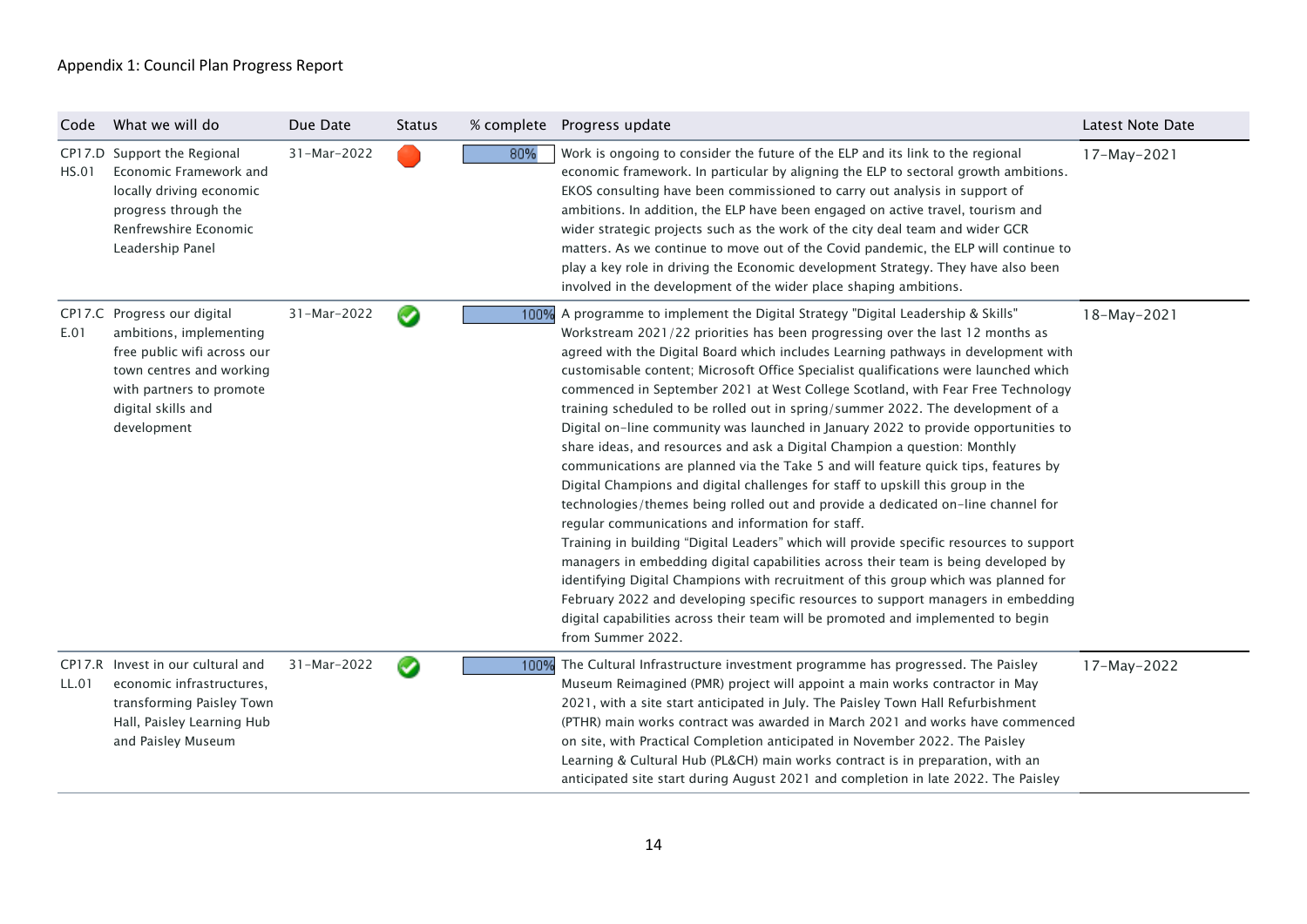| Code  | What we will do                                                                                                                                                                    | Due Date    | <b>Status</b> |      | % complete  Progress update                                                                                                                                                                                                                                                                                                                                                                                                                                                                                                                                                                                                                                                                                                                                                                                                                                                                                                                                                                                                                                                                                                                                                                                                                                                                                                                                                                                                                                                    | Latest Note Date |
|-------|------------------------------------------------------------------------------------------------------------------------------------------------------------------------------------|-------------|---------------|------|--------------------------------------------------------------------------------------------------------------------------------------------------------------------------------------------------------------------------------------------------------------------------------------------------------------------------------------------------------------------------------------------------------------------------------------------------------------------------------------------------------------------------------------------------------------------------------------------------------------------------------------------------------------------------------------------------------------------------------------------------------------------------------------------------------------------------------------------------------------------------------------------------------------------------------------------------------------------------------------------------------------------------------------------------------------------------------------------------------------------------------------------------------------------------------------------------------------------------------------------------------------------------------------------------------------------------------------------------------------------------------------------------------------------------------------------------------------------------------|------------------|
| HS.01 | CP17.D Support the Regional<br>Economic Framework and<br>locally driving economic<br>progress through the<br>Renfrewshire Economic<br>Leadership Panel                             | 31-Mar-2022 |               | 80%  | Work is ongoing to consider the future of the ELP and its link to the regional<br>economic framework. In particular by aligning the ELP to sectoral growth ambitions.<br>EKOS consulting have been commissioned to carry out analysis in support of<br>ambitions. In addition, the ELP have been engaged on active travel, tourism and<br>wider strategic projects such as the work of the city deal team and wider GCR<br>matters. As we continue to move out of the Covid pandemic, the ELP will continue to<br>play a key role in driving the Economic development Strategy. They have also been<br>involved in the development of the wider place shaping ambitions.                                                                                                                                                                                                                                                                                                                                                                                                                                                                                                                                                                                                                                                                                                                                                                                                       | 17-May-2021      |
| E.01  | CP17.C Progress our digital<br>ambitions, implementing<br>free public wifi across our<br>town centres and working<br>with partners to promote<br>digital skills and<br>development | 31-Mar-2022 | Ø             |      | 100% A programme to implement the Digital Strategy "Digital Leadership & Skills"<br>Workstream 2021/22 priorities has been progressing over the last 12 months as<br>agreed with the Digital Board which includes Learning pathways in development with<br>customisable content; Microsoft Office Specialist qualifications were launched which<br>commenced in September 2021 at West College Scotland, with Fear Free Technology<br>training scheduled to be rolled out in spring/summer 2022. The development of a<br>Digital on-line community was launched in January 2022 to provide opportunities to<br>share ideas, and resources and ask a Digital Champion a question: Monthly<br>communications are planned via the Take 5 and will feature quick tips, features by<br>Digital Champions and digital challenges for staff to upskill this group in the<br>technologies/themes being rolled out and provide a dedicated on-line channel for<br>regular communications and information for staff.<br>Training in building "Digital Leaders" which will provide specific resources to support<br>managers in embedding digital capabilities across their team is being developed by<br>identifying Digital Champions with recruitment of this group which was planned for<br>February 2022 and developing specific resources to support managers in embedding<br>digital capabilities across their team will be promoted and implemented to begin<br>from Summer 2022. | 18-May-2021      |
| LL.01 | CP17.R Invest in our cultural and<br>economic infrastructures,<br>transforming Paisley Town<br>Hall, Paisley Learning Hub<br>and Paisley Museum                                    | 31-Mar-2022 | Ω             | 100% | The Cultural Infrastructure investment programme has progressed. The Paisley<br>Museum Reimagined (PMR) project will appoint a main works contractor in May<br>2021, with a site start anticipated in July. The Paisley Town Hall Refurbishment<br>(PTHR) main works contract was awarded in March 2021 and works have commenced<br>on site, with Practical Completion anticipated in November 2022. The Paisley<br>Learning & Cultural Hub (PL&CH) main works contract is in preparation, with an<br>anticipated site start during August 2021 and completion in late 2022. The Paisley                                                                                                                                                                                                                                                                                                                                                                                                                                                                                                                                                                                                                                                                                                                                                                                                                                                                                       | 17-May-2022      |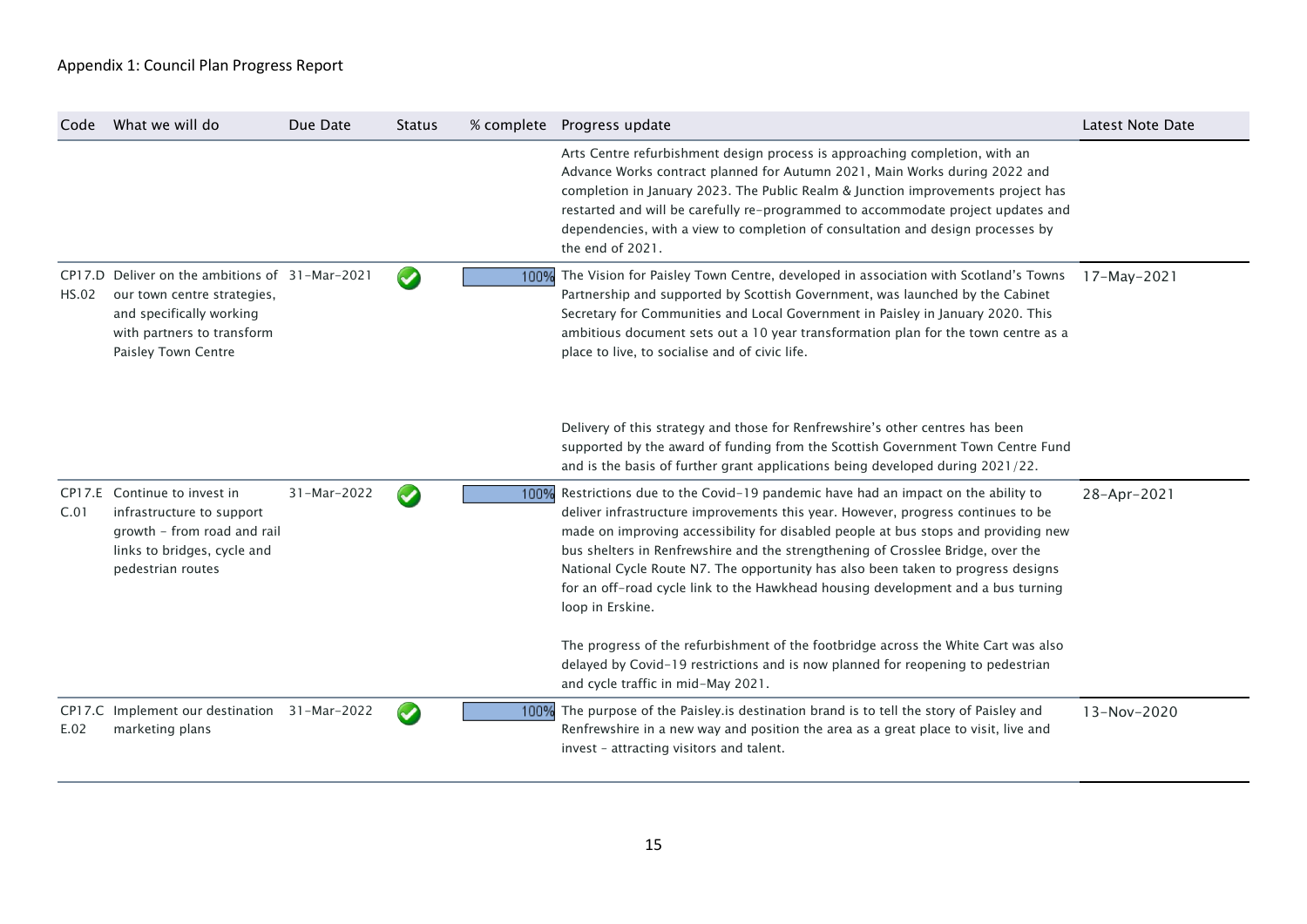| Code  | What we will do                                                                                                                                                | Due Date    | <b>Status</b>         |      | % complete Progress update                                                                                                                                                                                                                                                                                                                                                                                                                                                                                                              | Latest Note Date |
|-------|----------------------------------------------------------------------------------------------------------------------------------------------------------------|-------------|-----------------------|------|-----------------------------------------------------------------------------------------------------------------------------------------------------------------------------------------------------------------------------------------------------------------------------------------------------------------------------------------------------------------------------------------------------------------------------------------------------------------------------------------------------------------------------------------|------------------|
|       |                                                                                                                                                                |             |                       |      | Arts Centre refurbishment design process is approaching completion, with an<br>Advance Works contract planned for Autumn 2021, Main Works during 2022 and<br>completion in January 2023. The Public Realm & Junction improvements project has<br>restarted and will be carefully re-programmed to accommodate project updates and<br>dependencies, with a view to completion of consultation and design processes by<br>the end of 2021.                                                                                                |                  |
| HS.02 | CP17.D Deliver on the ambitions of 31-Mar-2021<br>our town centre strategies,<br>and specifically working<br>with partners to transform<br>Paisley Town Centre |             | $\blacktriangleright$ | 100% | The Vision for Paisley Town Centre, developed in association with Scotland's Towns<br>Partnership and supported by Scottish Government, was launched by the Cabinet<br>Secretary for Communities and Local Government in Paisley in January 2020. This<br>ambitious document sets out a 10 year transformation plan for the town centre as a<br>place to live, to socialise and of civic life.                                                                                                                                          | $17-May-2021$    |
|       |                                                                                                                                                                |             |                       |      | Delivery of this strategy and those for Renfrewshire's other centres has been<br>supported by the award of funding from the Scottish Government Town Centre Fund<br>and is the basis of further grant applications being developed during 2021/22.                                                                                                                                                                                                                                                                                      |                  |
| C.01  | CP17.E Continue to invest in<br>infrastructure to support<br>growth - from road and rail<br>links to bridges, cycle and<br>pedestrian routes                   | 31-Mar-2022 | $\blacktriangledown$  | 100% | Restrictions due to the Covid-19 pandemic have had an impact on the ability to<br>deliver infrastructure improvements this year. However, progress continues to be<br>made on improving accessibility for disabled people at bus stops and providing new<br>bus shelters in Renfrewshire and the strengthening of Crosslee Bridge, over the<br>National Cycle Route N7. The opportunity has also been taken to progress designs<br>for an off-road cycle link to the Hawkhead housing development and a bus turning<br>loop in Erskine. | 28-Apr-2021      |
|       |                                                                                                                                                                |             |                       |      | The progress of the refurbishment of the footbridge across the White Cart was also<br>delayed by Covid-19 restrictions and is now planned for reopening to pedestrian<br>and cycle traffic in mid-May 2021.                                                                                                                                                                                                                                                                                                                             |                  |
| E.02  | CP17.C Implement our destination<br>marketing plans                                                                                                            | 31-Mar-2022 | $\bullet$             |      | 100% The purpose of the Paisley is destination brand is to tell the story of Paisley and<br>Renfrewshire in a new way and position the area as a great place to visit, live and<br>invest - attracting visitors and talent.                                                                                                                                                                                                                                                                                                             | 13-Nov-2020      |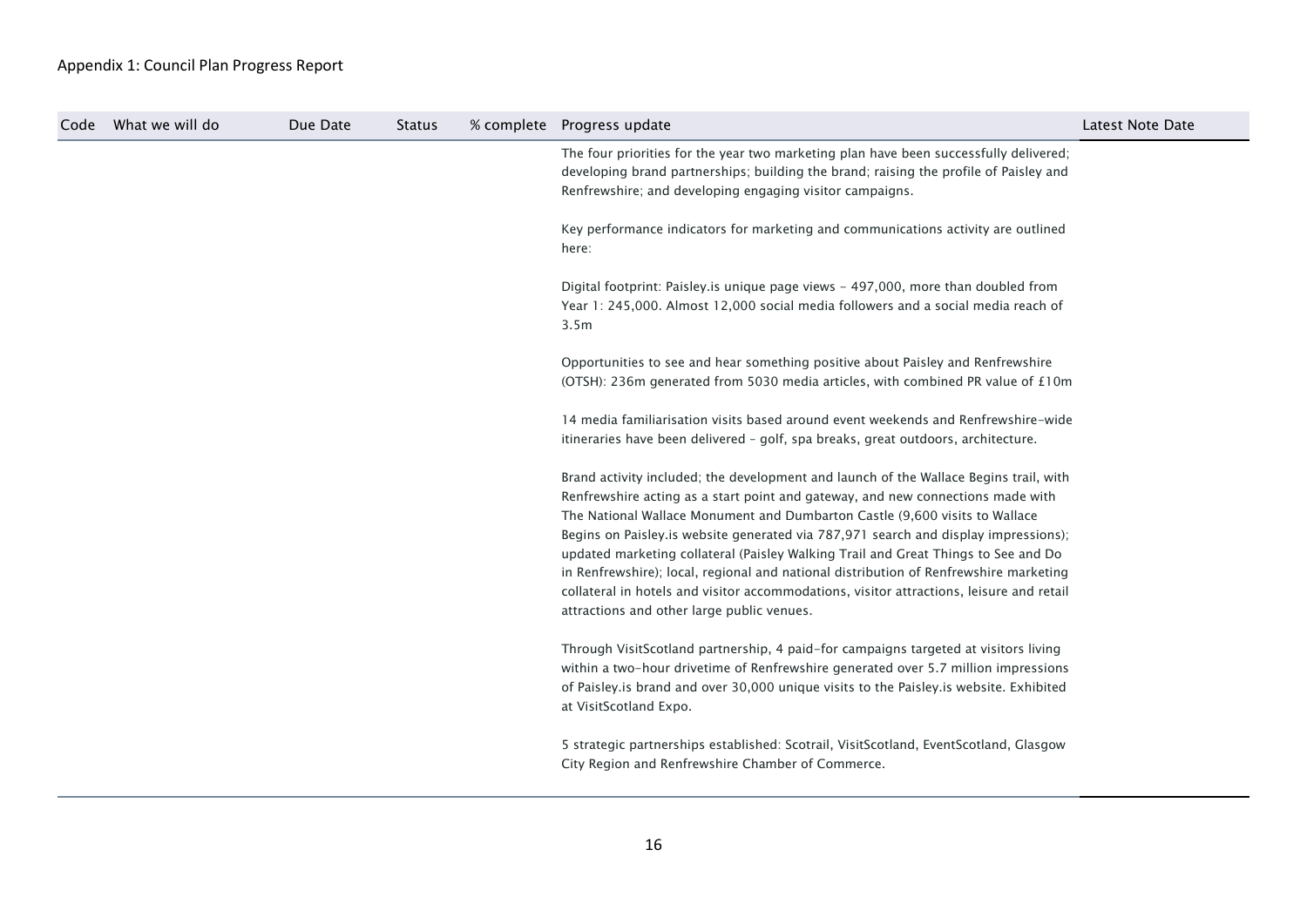| Code | What we will do | Due Date | <b>Status</b> | % complete Progress update                                                                                                                                                                                                                                                                                                                                                                                                                                                                                                                                                                                                                                              | Latest Note Date |
|------|-----------------|----------|---------------|-------------------------------------------------------------------------------------------------------------------------------------------------------------------------------------------------------------------------------------------------------------------------------------------------------------------------------------------------------------------------------------------------------------------------------------------------------------------------------------------------------------------------------------------------------------------------------------------------------------------------------------------------------------------------|------------------|
|      |                 |          |               | The four priorities for the year two marketing plan have been successfully delivered;<br>developing brand partnerships; building the brand; raising the profile of Paisley and<br>Renfrewshire; and developing engaging visitor campaigns.                                                                                                                                                                                                                                                                                                                                                                                                                              |                  |
|      |                 |          |               | Key performance indicators for marketing and communications activity are outlined<br>here:                                                                                                                                                                                                                                                                                                                                                                                                                                                                                                                                                                              |                  |
|      |                 |          |               | Digital footprint: Paisley.is unique page views - 497,000, more than doubled from<br>Year 1: 245,000. Almost 12,000 social media followers and a social media reach of<br>3.5m                                                                                                                                                                                                                                                                                                                                                                                                                                                                                          |                  |
|      |                 |          |               | Opportunities to see and hear something positive about Paisley and Renfrewshire<br>(OTSH): 236m generated from 5030 media articles, with combined PR value of £10m                                                                                                                                                                                                                                                                                                                                                                                                                                                                                                      |                  |
|      |                 |          |               | 14 media familiarisation visits based around event weekends and Renfrewshire-wide<br>itineraries have been delivered - golf, spa breaks, great outdoors, architecture.                                                                                                                                                                                                                                                                                                                                                                                                                                                                                                  |                  |
|      |                 |          |               | Brand activity included; the development and launch of the Wallace Begins trail, with<br>Renfrewshire acting as a start point and gateway, and new connections made with<br>The National Wallace Monument and Dumbarton Castle (9,600 visits to Wallace<br>Begins on Paisley.is website generated via 787,971 search and display impressions);<br>updated marketing collateral (Paisley Walking Trail and Great Things to See and Do<br>in Renfrewshire); local, regional and national distribution of Renfrewshire marketing<br>collateral in hotels and visitor accommodations, visitor attractions, leisure and retail<br>attractions and other large public venues. |                  |
|      |                 |          |               | Through VisitScotland partnership, 4 paid-for campaigns targeted at visitors living<br>within a two-hour drivetime of Renfrewshire generated over 5.7 million impressions<br>of Paisley.is brand and over 30,000 unique visits to the Paisley.is website. Exhibited<br>at VisitScotland Expo.                                                                                                                                                                                                                                                                                                                                                                           |                  |
|      |                 |          |               | 5 strategic partnerships established: Scotrail, VisitScotland, EventScotland, Glasgow<br>City Region and Renfrewshire Chamber of Commerce.                                                                                                                                                                                                                                                                                                                                                                                                                                                                                                                              |                  |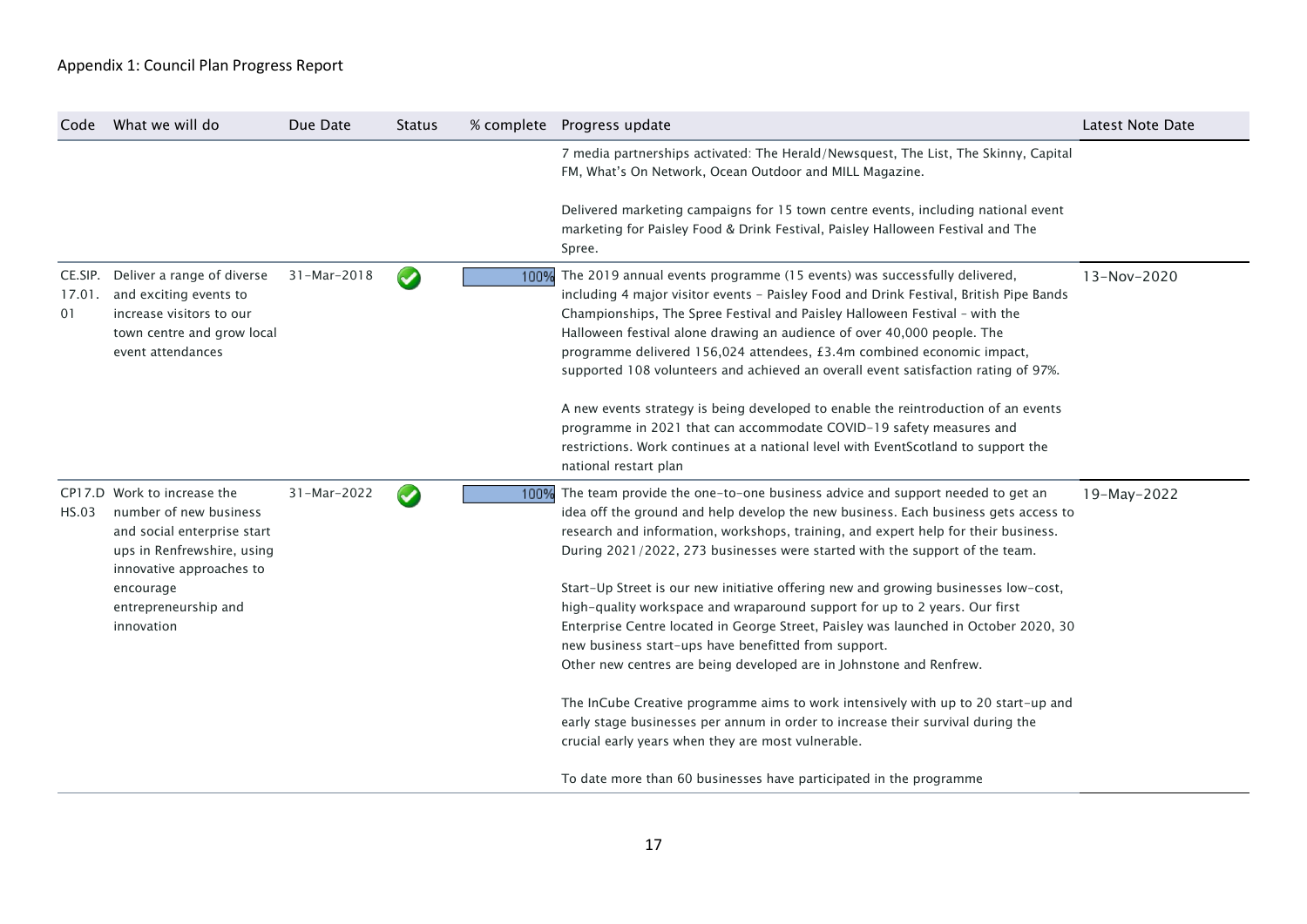| Code         | What we will do                                                                                                                                | Due Date    | <b>Status</b>        |      | % complete  Progress update                                                                                                                                                                                                                                                                                                                                                                                                                                                                                                                                                        | <b>Latest Note Date</b> |
|--------------|------------------------------------------------------------------------------------------------------------------------------------------------|-------------|----------------------|------|------------------------------------------------------------------------------------------------------------------------------------------------------------------------------------------------------------------------------------------------------------------------------------------------------------------------------------------------------------------------------------------------------------------------------------------------------------------------------------------------------------------------------------------------------------------------------------|-------------------------|
|              |                                                                                                                                                |             |                      |      | 7 media partnerships activated: The Herald/Newsquest, The List, The Skinny, Capital<br>FM, What's On Network, Ocean Outdoor and MILL Magazine.                                                                                                                                                                                                                                                                                                                                                                                                                                     |                         |
|              |                                                                                                                                                |             |                      |      | Delivered marketing campaigns for 15 town centre events, including national event<br>marketing for Paisley Food & Drink Festival, Paisley Halloween Festival and The<br>Spree.                                                                                                                                                                                                                                                                                                                                                                                                     |                         |
| 17.01.<br>01 | CE.SIP. Deliver a range of diverse<br>and exciting events to<br>increase visitors to our<br>town centre and grow local<br>event attendances    | 31-Mar-2018 | $\blacktriangledown$ | 100% | The 2019 annual events programme (15 events) was successfully delivered,<br>including 4 major visitor events - Paisley Food and Drink Festival, British Pipe Bands<br>Championships, The Spree Festival and Paisley Halloween Festival - with the<br>Halloween festival alone drawing an audience of over 40,000 people. The<br>programme delivered 156,024 attendees, £3.4m combined economic impact,<br>supported 108 volunteers and achieved an overall event satisfaction rating of 97%.<br>A new events strategy is being developed to enable the reintroduction of an events | 13-Nov-2020             |
|              |                                                                                                                                                |             |                      |      | programme in 2021 that can accommodate COVID-19 safety measures and<br>restrictions. Work continues at a national level with EventScotland to support the<br>national restart plan                                                                                                                                                                                                                                                                                                                                                                                                 |                         |
| <b>HS.03</b> | CP17.D Work to increase the<br>number of new business<br>and social enterprise start<br>ups in Renfrewshire, using<br>innovative approaches to | 31-Mar-2022 |                      | 100% | The team provide the one-to-one business advice and support needed to get an<br>idea off the ground and help develop the new business. Each business gets access to<br>research and information, workshops, training, and expert help for their business.<br>During 2021/2022, 273 businesses were started with the support of the team.                                                                                                                                                                                                                                           | 19-May-2022             |
|              | encourage<br>entrepreneurship and<br>innovation                                                                                                |             |                      |      | Start-Up Street is our new initiative offering new and growing businesses low-cost,<br>high-quality workspace and wraparound support for up to 2 years. Our first<br>Enterprise Centre located in George Street, Paisley was launched in October 2020, 30<br>new business start-ups have benefitted from support.<br>Other new centres are being developed are in Johnstone and Renfrew.                                                                                                                                                                                           |                         |
|              |                                                                                                                                                |             |                      |      | The InCube Creative programme aims to work intensively with up to 20 start-up and<br>early stage businesses per annum in order to increase their survival during the<br>crucial early years when they are most vulnerable.                                                                                                                                                                                                                                                                                                                                                         |                         |
|              |                                                                                                                                                |             |                      |      | To date more than 60 businesses have participated in the programme                                                                                                                                                                                                                                                                                                                                                                                                                                                                                                                 |                         |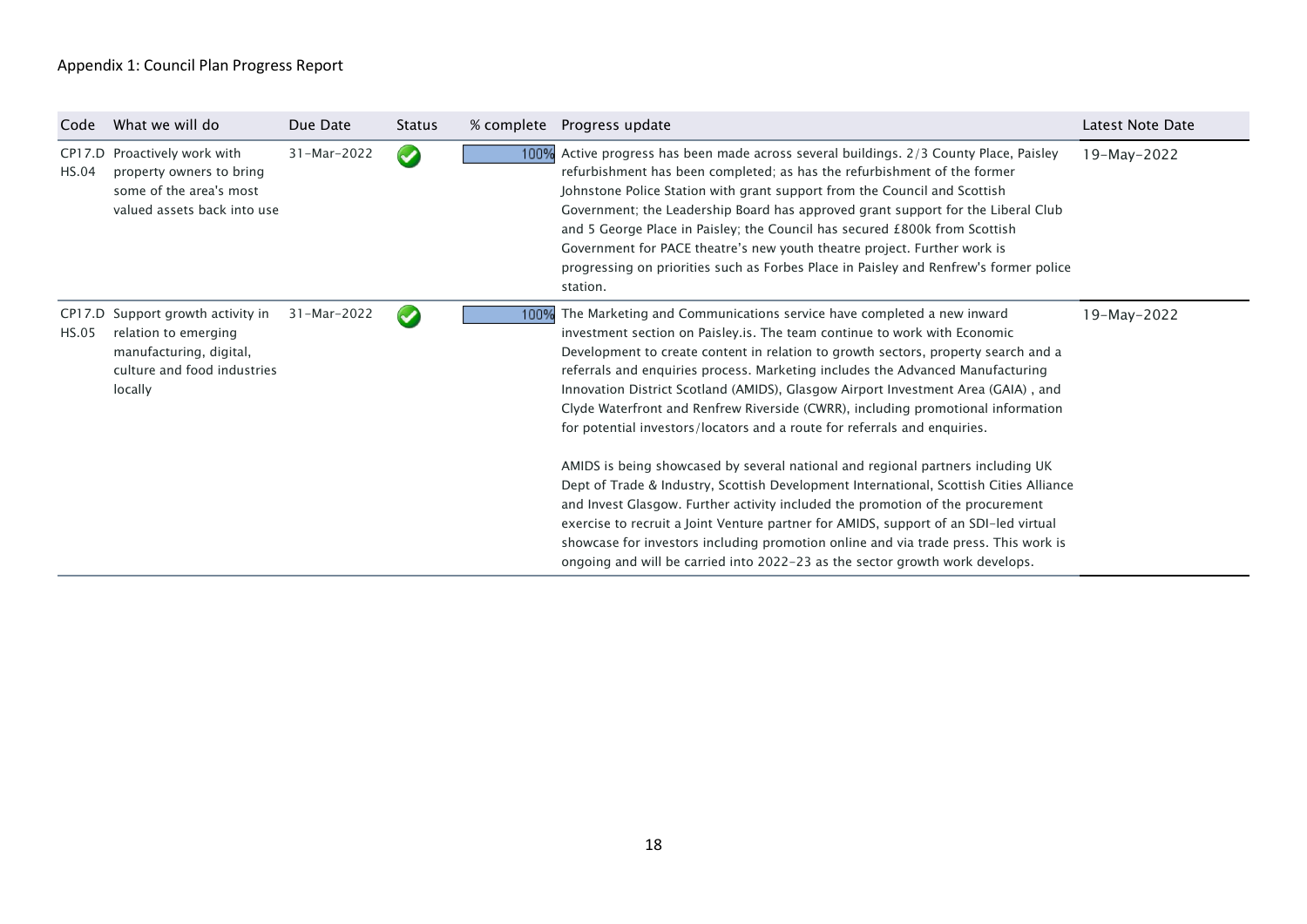| Code  | What we will do                                                                                                                | Due Date    | <b>Status</b>        | % complete | Progress update                                                                                                                                                                                                                                                                                                                                                                                                                                                                                                                                                                               | Latest Note Date |
|-------|--------------------------------------------------------------------------------------------------------------------------------|-------------|----------------------|------------|-----------------------------------------------------------------------------------------------------------------------------------------------------------------------------------------------------------------------------------------------------------------------------------------------------------------------------------------------------------------------------------------------------------------------------------------------------------------------------------------------------------------------------------------------------------------------------------------------|------------------|
| HS.04 | CP17.D Proactively work with<br>property owners to bring<br>some of the area's most<br>valued assets back into use             | 31-Mar-2022 | $\blacktriangledown$ | 100%       | Active progress has been made across several buildings. 2/3 County Place, Paisley<br>refurbishment has been completed; as has the refurbishment of the former<br>Johnstone Police Station with grant support from the Council and Scottish<br>Government; the Leadership Board has approved grant support for the Liberal Club<br>and 5 George Place in Paisley; the Council has secured £800k from Scottish<br>Government for PACE theatre's new youth theatre project. Further work is<br>progressing on priorities such as Forbes Place in Paisley and Renfrew's former police<br>station. | 19-May-2022      |
| HS.05 | CP17.D Support growth activity in<br>relation to emerging<br>manufacturing, digital,<br>culture and food industries<br>locally | 31-Mar-2022 | $\blacktriangledown$ | 100%       | The Marketing and Communications service have completed a new inward<br>investment section on Paisley.is. The team continue to work with Economic<br>Development to create content in relation to growth sectors, property search and a<br>referrals and enquiries process. Marketing includes the Advanced Manufacturing<br>Innovation District Scotland (AMIDS), Glasgow Airport Investment Area (GAIA), and<br>Clyde Waterfront and Renfrew Riverside (CWRR), including promotional information<br>for potential investors/locators and a route for referrals and enquiries.               | 19-May-2022      |
|       |                                                                                                                                |             |                      |            | AMIDS is being showcased by several national and regional partners including UK<br>Dept of Trade & Industry, Scottish Development International, Scottish Cities Alliance<br>and Invest Glasgow. Further activity included the promotion of the procurement<br>exercise to recruit a Joint Venture partner for AMIDS, support of an SDI-led virtual<br>showcase for investors including promotion online and via trade press. This work is<br>ongoing and will be carried into 2022-23 as the sector growth work develops.                                                                    |                  |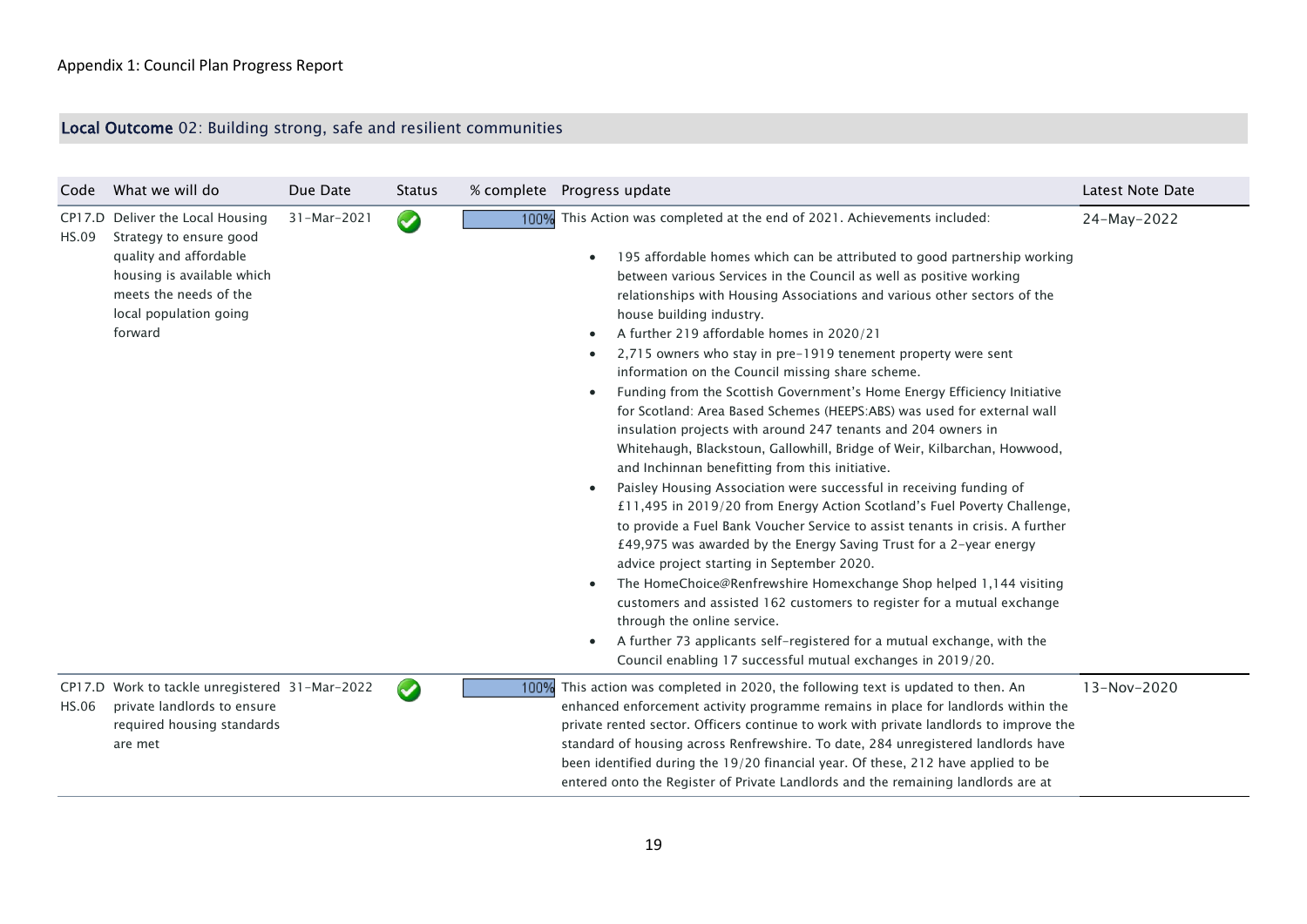# Local Outcome 02: Building strong, safe and resilient communities

| Code         | What we will do                                                                                                                                                                    | Due Date    | <b>Status</b>   |      | % complete  Progress update                                                                                                                                                                                                                                                                                                                                                                                                                                                                                                                                                                                                                                                                                                                                                                                                                                                                                                                                                                                                                                                                                                                                                                                                                                                                                                                                                                                                                                                                                                                                                                                | Latest Note Date |
|--------------|------------------------------------------------------------------------------------------------------------------------------------------------------------------------------------|-------------|-----------------|------|------------------------------------------------------------------------------------------------------------------------------------------------------------------------------------------------------------------------------------------------------------------------------------------------------------------------------------------------------------------------------------------------------------------------------------------------------------------------------------------------------------------------------------------------------------------------------------------------------------------------------------------------------------------------------------------------------------------------------------------------------------------------------------------------------------------------------------------------------------------------------------------------------------------------------------------------------------------------------------------------------------------------------------------------------------------------------------------------------------------------------------------------------------------------------------------------------------------------------------------------------------------------------------------------------------------------------------------------------------------------------------------------------------------------------------------------------------------------------------------------------------------------------------------------------------------------------------------------------------|------------------|
| HS.09        | CP17.D Deliver the Local Housing<br>Strategy to ensure good<br>quality and affordable<br>housing is available which<br>meets the needs of the<br>local population going<br>forward | 31-Mar-2021 | $\blacklozenge$ | 100% | This Action was completed at the end of 2021. Achievements included:<br>195 affordable homes which can be attributed to good partnership working<br>$\bullet$<br>between various Services in the Council as well as positive working<br>relationships with Housing Associations and various other sectors of the<br>house building industry.<br>A further 219 affordable homes in 2020/21<br>$\bullet$<br>2,715 owners who stay in pre-1919 tenement property were sent<br>information on the Council missing share scheme.<br>Funding from the Scottish Government's Home Energy Efficiency Initiative<br>$\bullet$<br>for Scotland: Area Based Schemes (HEEPS:ABS) was used for external wall<br>insulation projects with around 247 tenants and 204 owners in<br>Whitehaugh, Blackstoun, Gallowhill, Bridge of Weir, Kilbarchan, Howwood,<br>and Inchinnan benefitting from this initiative.<br>Paisley Housing Association were successful in receiving funding of<br>£11,495 in 2019/20 from Energy Action Scotland's Fuel Poverty Challenge,<br>to provide a Fuel Bank Voucher Service to assist tenants in crisis. A further<br>£49,975 was awarded by the Energy Saving Trust for a 2-year energy<br>advice project starting in September 2020.<br>The HomeChoice@Renfrewshire Homexchange Shop helped 1,144 visiting<br>$\bullet$<br>customers and assisted 162 customers to register for a mutual exchange<br>through the online service.<br>A further 73 applicants self-registered for a mutual exchange, with the<br>$\bullet$<br>Council enabling 17 successful mutual exchanges in 2019/20. | 24-May-2022      |
| <b>HS.06</b> | CP17.D Work to tackle unregistered 31-Mar-2022<br>private landlords to ensure<br>required housing standards<br>are met                                                             |             |                 | 100% | This action was completed in 2020, the following text is updated to then. An<br>enhanced enforcement activity programme remains in place for landlords within the<br>private rented sector. Officers continue to work with private landlords to improve the<br>standard of housing across Renfrewshire. To date, 284 unregistered landlords have<br>been identified during the 19/20 financial year. Of these, 212 have applied to be<br>entered onto the Register of Private Landlords and the remaining landlords are at                                                                                                                                                                                                                                                                                                                                                                                                                                                                                                                                                                                                                                                                                                                                                                                                                                                                                                                                                                                                                                                                                 | 13-Nov-2020      |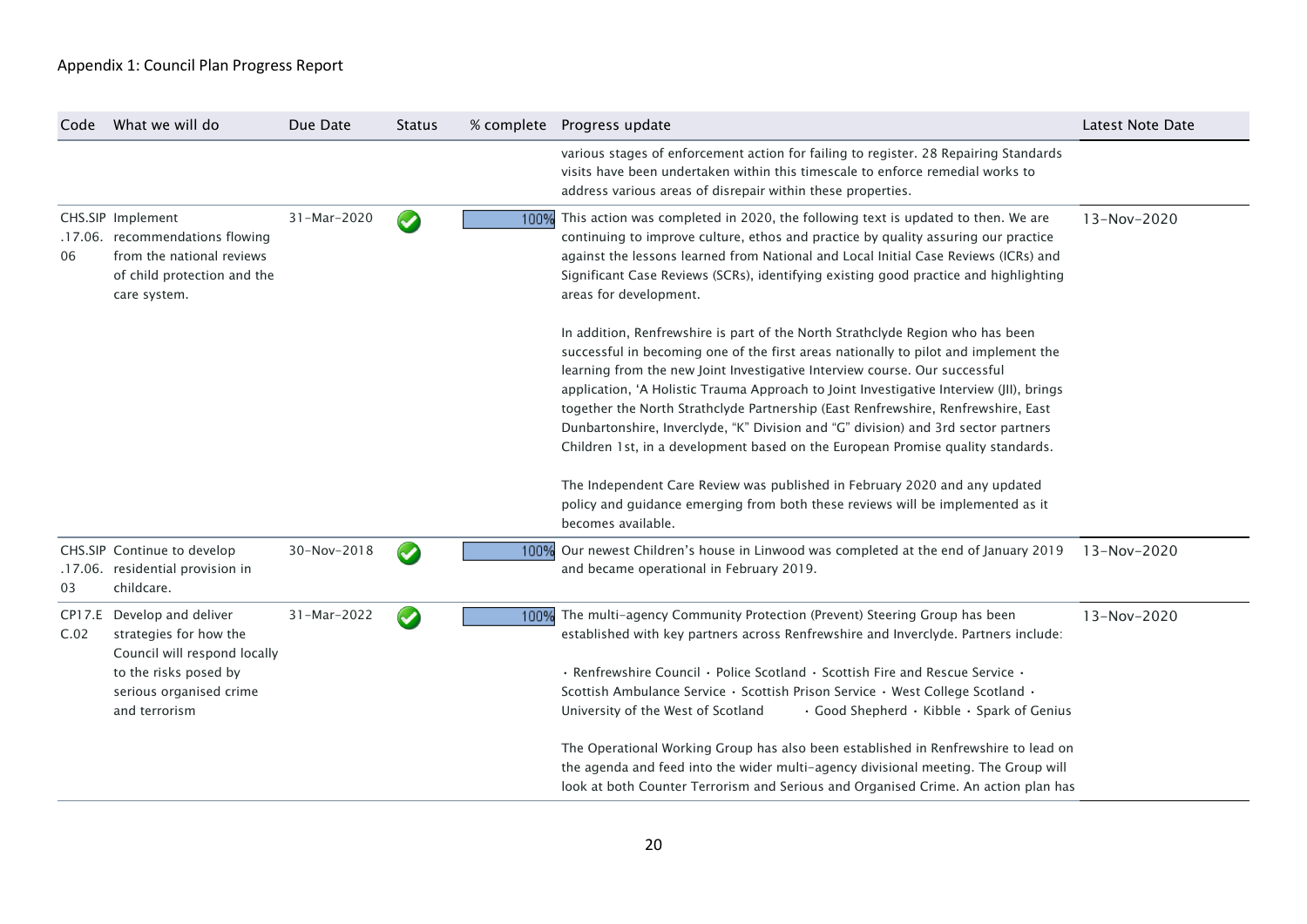| What we will do                                                                                                             | Due Date                                                                                                                                              | <b>Status</b>        |                                                                                                                                                                                                                                                                                                                                                                                                                                                                                                                                                                                                                                                                                                                                                                                                    | <b>Latest Note Date</b>                                                                                                                                                                                                                                                      |
|-----------------------------------------------------------------------------------------------------------------------------|-------------------------------------------------------------------------------------------------------------------------------------------------------|----------------------|----------------------------------------------------------------------------------------------------------------------------------------------------------------------------------------------------------------------------------------------------------------------------------------------------------------------------------------------------------------------------------------------------------------------------------------------------------------------------------------------------------------------------------------------------------------------------------------------------------------------------------------------------------------------------------------------------------------------------------------------------------------------------------------------------|------------------------------------------------------------------------------------------------------------------------------------------------------------------------------------------------------------------------------------------------------------------------------|
|                                                                                                                             |                                                                                                                                                       |                      | various stages of enforcement action for failing to register. 28 Repairing Standards<br>visits have been undertaken within this timescale to enforce remedial works to<br>address various areas of disrepair within these properties.                                                                                                                                                                                                                                                                                                                                                                                                                                                                                                                                                              |                                                                                                                                                                                                                                                                              |
| from the national reviews<br>of child protection and the<br>care system.                                                    | 31-Mar-2020                                                                                                                                           | $\blacktriangledown$ | This action was completed in 2020, the following text is updated to then. We are<br>continuing to improve culture, ethos and practice by quality assuring our practice<br>against the lessons learned from National and Local Initial Case Reviews (ICRs) and<br>Significant Case Reviews (SCRs), identifying existing good practice and highlighting<br>areas for development.                                                                                                                                                                                                                                                                                                                                                                                                                    | 13-Nov-2020                                                                                                                                                                                                                                                                  |
|                                                                                                                             |                                                                                                                                                       |                      | In addition, Renfrewshire is part of the North Strathclyde Region who has been<br>successful in becoming one of the first areas nationally to pilot and implement the<br>learning from the new Joint Investigative Interview course. Our successful<br>application, 'A Holistic Trauma Approach to Joint Investigative Interview (JII), brings<br>together the North Strathclyde Partnership (East Renfrewshire, Renfrewshire, East<br>Dunbartonshire, Inverclyde, "K" Division and "G" division) and 3rd sector partners<br>Children 1st, in a development based on the European Promise quality standards.<br>The Independent Care Review was published in February 2020 and any updated<br>policy and guidance emerging from both these reviews will be implemented as it<br>becomes available. |                                                                                                                                                                                                                                                                              |
| childcare.                                                                                                                  | 30-Nov-2018                                                                                                                                           | $\bullet$            | Our newest Children's house in Linwood was completed at the end of January 2019<br>and became operational in February 2019.                                                                                                                                                                                                                                                                                                                                                                                                                                                                                                                                                                                                                                                                        | 13-Nov-2020                                                                                                                                                                                                                                                                  |
| strategies for how the<br>Council will respond locally<br>to the risks posed by<br>serious organised crime<br>and terrorism | 31-Mar-2022                                                                                                                                           | $\bullet$            | The multi-agency Community Protection (Prevent) Steering Group has been<br>established with key partners across Renfrewshire and Inverclyde. Partners include:<br>$\cdot$ Renfrewshire Council $\cdot$ Police Scotland $\cdot$ Scottish Fire and Rescue Service $\cdot$<br>Scottish Ambulance Service · Scottish Prison Service · West College Scotland ·<br>University of the West of Scotland<br>the agenda and feed into the wider multi-agency divisional meeting. The Group will                                                                                                                                                                                                                                                                                                              | 13-Nov-2020                                                                                                                                                                                                                                                                  |
|                                                                                                                             | CHS.SIP Implement<br>.17.06. recommendations flowing<br>CHS.SIP Continue to develop<br>.17.06. residential provision in<br>CP17.E Develop and deliver |                      |                                                                                                                                                                                                                                                                                                                                                                                                                                                                                                                                                                                                                                                                                                                                                                                                    | % complete Progress update<br>100%<br>100%<br>100%<br>· Good Shepherd · Kibble · Spark of Genius<br>The Operational Working Group has also been established in Renfrewshire to lead on<br>look at both Counter Terrorism and Serious and Organised Crime. An action plan has |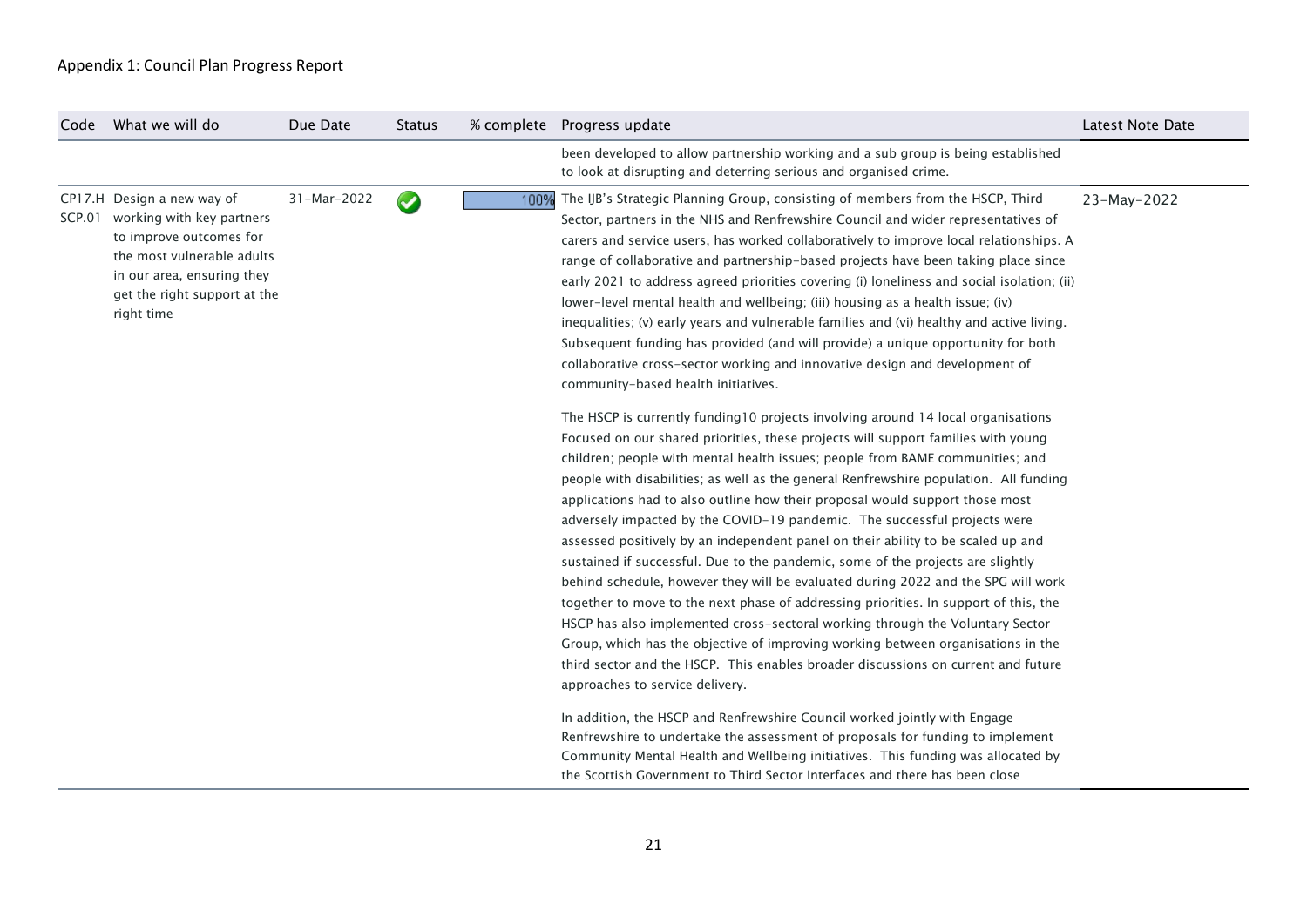| Code   | What we will do                                                                                                                                                                              | Due Date    | <b>Status</b> |      | % complete  Progress update                                                                                                                                                                                                                                                                                                                                                                                                                                                                                                                                                                                                                                                                                                                                                                                                                                                                                                                                                                                                                                                                                                                                                                                                                                                                                                                                                                                                                                                                                                                                                                                                                                                                                                                                                                                                                                                                                                                                                                                                                                                                                                                                                                                                                                                                                                                   | Latest Note Date |
|--------|----------------------------------------------------------------------------------------------------------------------------------------------------------------------------------------------|-------------|---------------|------|-----------------------------------------------------------------------------------------------------------------------------------------------------------------------------------------------------------------------------------------------------------------------------------------------------------------------------------------------------------------------------------------------------------------------------------------------------------------------------------------------------------------------------------------------------------------------------------------------------------------------------------------------------------------------------------------------------------------------------------------------------------------------------------------------------------------------------------------------------------------------------------------------------------------------------------------------------------------------------------------------------------------------------------------------------------------------------------------------------------------------------------------------------------------------------------------------------------------------------------------------------------------------------------------------------------------------------------------------------------------------------------------------------------------------------------------------------------------------------------------------------------------------------------------------------------------------------------------------------------------------------------------------------------------------------------------------------------------------------------------------------------------------------------------------------------------------------------------------------------------------------------------------------------------------------------------------------------------------------------------------------------------------------------------------------------------------------------------------------------------------------------------------------------------------------------------------------------------------------------------------------------------------------------------------------------------------------------------------|------------------|
|        |                                                                                                                                                                                              |             |               |      | been developed to allow partnership working and a sub group is being established<br>to look at disrupting and deterring serious and organised crime.                                                                                                                                                                                                                                                                                                                                                                                                                                                                                                                                                                                                                                                                                                                                                                                                                                                                                                                                                                                                                                                                                                                                                                                                                                                                                                                                                                                                                                                                                                                                                                                                                                                                                                                                                                                                                                                                                                                                                                                                                                                                                                                                                                                          |                  |
| SCP.01 | CP17.H Design a new way of<br>working with key partners<br>to improve outcomes for<br>the most vulnerable adults<br>in our area, ensuring they<br>get the right support at the<br>right time | 31-Mar-2022 | $\bullet$     | 100% | The IJB's Strategic Planning Group, consisting of members from the HSCP, Third<br>Sector, partners in the NHS and Renfrewshire Council and wider representatives of<br>carers and service users, has worked collaboratively to improve local relationships. A<br>range of collaborative and partnership-based projects have been taking place since<br>early 2021 to address agreed priorities covering (i) loneliness and social isolation; (ii)<br>lower-level mental health and wellbeing; (iii) housing as a health issue; (iv)<br>inequalities; (v) early years and vulnerable families and (vi) healthy and active living.<br>Subsequent funding has provided (and will provide) a unique opportunity for both<br>collaborative cross-sector working and innovative design and development of<br>community-based health initiatives.<br>The HSCP is currently funding10 projects involving around 14 local organisations<br>Focused on our shared priorities, these projects will support families with young<br>children; people with mental health issues; people from BAME communities; and<br>people with disabilities; as well as the general Renfrewshire population. All funding<br>applications had to also outline how their proposal would support those most<br>adversely impacted by the COVID-19 pandemic. The successful projects were<br>assessed positively by an independent panel on their ability to be scaled up and<br>sustained if successful. Due to the pandemic, some of the projects are slightly<br>behind schedule, however they will be evaluated during 2022 and the SPG will work<br>together to move to the next phase of addressing priorities. In support of this, the<br>HSCP has also implemented cross-sectoral working through the Voluntary Sector<br>Group, which has the objective of improving working between organisations in the<br>third sector and the HSCP. This enables broader discussions on current and future<br>approaches to service delivery.<br>In addition, the HSCP and Renfrewshire Council worked jointly with Engage<br>Renfrewshire to undertake the assessment of proposals for funding to implement<br>Community Mental Health and Wellbeing initiatives. This funding was allocated by<br>the Scottish Government to Third Sector Interfaces and there has been close | 23-May-2022      |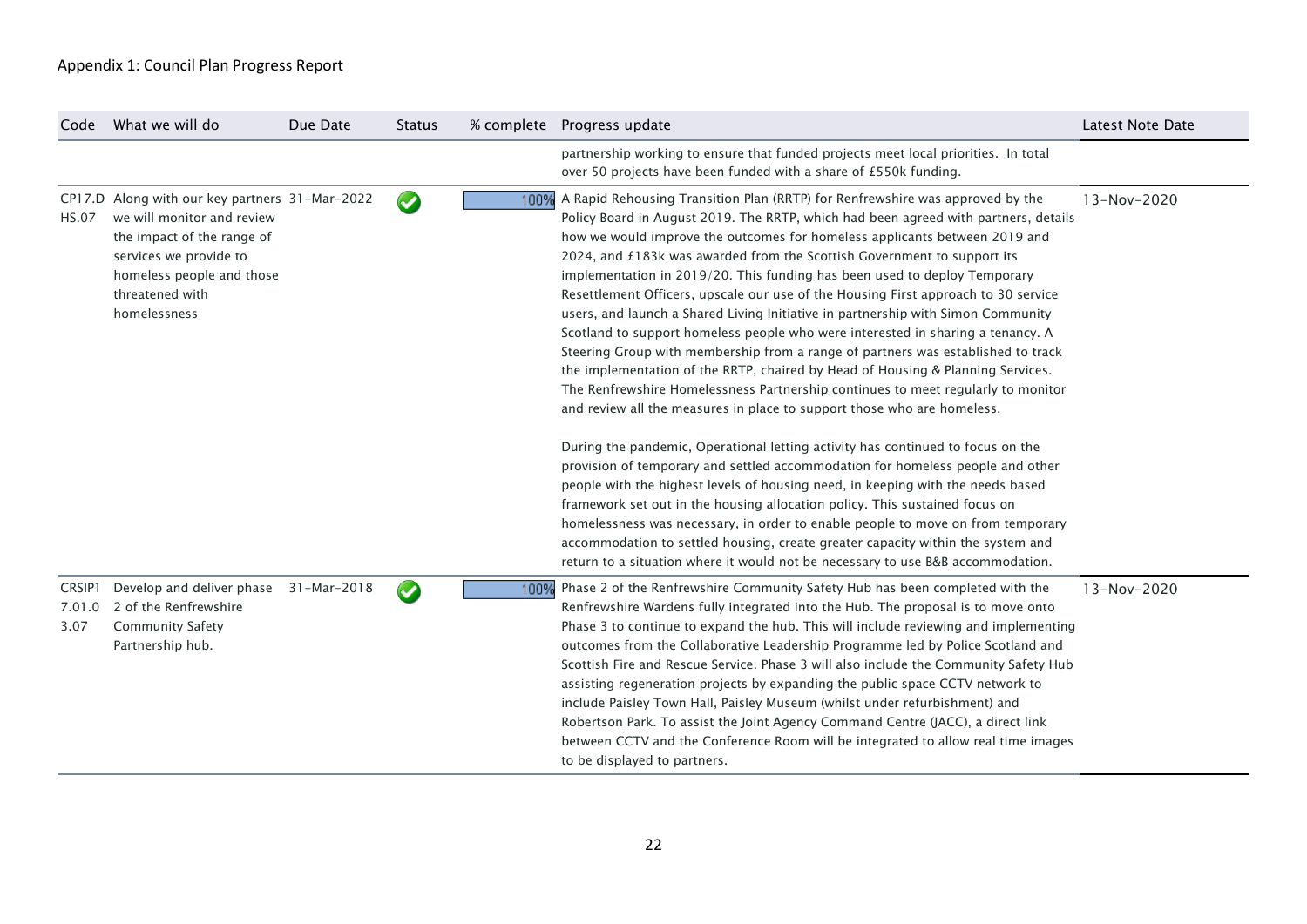| Code                     | What we will do                                                                                                                                                                                      | Due Date    | <b>Status</b>   |      | % complete Progress update                                                                                                                                                                                                                                                                                                                                                                                                                                                                                                                                                                                                                                                                                                                                                                                                                                                                                                                                                                                                                                                                                                                                                                                                                                                                                                                                                                                                                                                                                                 | Latest Note Date |
|--------------------------|------------------------------------------------------------------------------------------------------------------------------------------------------------------------------------------------------|-------------|-----------------|------|----------------------------------------------------------------------------------------------------------------------------------------------------------------------------------------------------------------------------------------------------------------------------------------------------------------------------------------------------------------------------------------------------------------------------------------------------------------------------------------------------------------------------------------------------------------------------------------------------------------------------------------------------------------------------------------------------------------------------------------------------------------------------------------------------------------------------------------------------------------------------------------------------------------------------------------------------------------------------------------------------------------------------------------------------------------------------------------------------------------------------------------------------------------------------------------------------------------------------------------------------------------------------------------------------------------------------------------------------------------------------------------------------------------------------------------------------------------------------------------------------------------------------|------------------|
|                          |                                                                                                                                                                                                      |             |                 |      | partnership working to ensure that funded projects meet local priorities. In total<br>over 50 projects have been funded with a share of £550k funding.                                                                                                                                                                                                                                                                                                                                                                                                                                                                                                                                                                                                                                                                                                                                                                                                                                                                                                                                                                                                                                                                                                                                                                                                                                                                                                                                                                     |                  |
| <b>HS.07</b>             | CP17.D Along with our key partners 31-Mar-2022<br>we will monitor and review<br>the impact of the range of<br>services we provide to<br>homeless people and those<br>threatened with<br>homelessness |             | $\blacklozenge$ | 100% | A Rapid Rehousing Transition Plan (RRTP) for Renfrewshire was approved by the<br>Policy Board in August 2019. The RRTP, which had been agreed with partners, details<br>how we would improve the outcomes for homeless applicants between 2019 and<br>2024, and £183k was awarded from the Scottish Government to support its<br>implementation in 2019/20. This funding has been used to deploy Temporary<br>Resettlement Officers, upscale our use of the Housing First approach to 30 service<br>users, and launch a Shared Living Initiative in partnership with Simon Community<br>Scotland to support homeless people who were interested in sharing a tenancy. A<br>Steering Group with membership from a range of partners was established to track<br>the implementation of the RRTP, chaired by Head of Housing & Planning Services.<br>The Renfrewshire Homelessness Partnership continues to meet regularly to monitor<br>and review all the measures in place to support those who are homeless.<br>During the pandemic, Operational letting activity has continued to focus on the<br>provision of temporary and settled accommodation for homeless people and other<br>people with the highest levels of housing need, in keeping with the needs based<br>framework set out in the housing allocation policy. This sustained focus on<br>homelessness was necessary, in order to enable people to move on from temporary<br>accommodation to settled housing, create greater capacity within the system and | 13-Nov-2020      |
| CRSIP1<br>7.01.0<br>3.07 | Develop and deliver phase<br>2 of the Renfrewshire<br><b>Community Safety</b><br>Partnership hub.                                                                                                    | 31-Mar-2018 | $\blacklozenge$ | 100% | return to a situation where it would not be necessary to use B&B accommodation.<br>Phase 2 of the Renfrewshire Community Safety Hub has been completed with the<br>Renfrewshire Wardens fully integrated into the Hub. The proposal is to move onto<br>Phase 3 to continue to expand the hub. This will include reviewing and implementing<br>outcomes from the Collaborative Leadership Programme led by Police Scotland and<br>Scottish Fire and Rescue Service. Phase 3 will also include the Community Safety Hub<br>assisting regeneration projects by expanding the public space CCTV network to<br>include Paisley Town Hall, Paisley Museum (whilst under refurbishment) and<br>Robertson Park. To assist the Joint Agency Command Centre (JACC), a direct link<br>between CCTV and the Conference Room will be integrated to allow real time images<br>to be displayed to partners.                                                                                                                                                                                                                                                                                                                                                                                                                                                                                                                                                                                                                               | 13-Nov-2020      |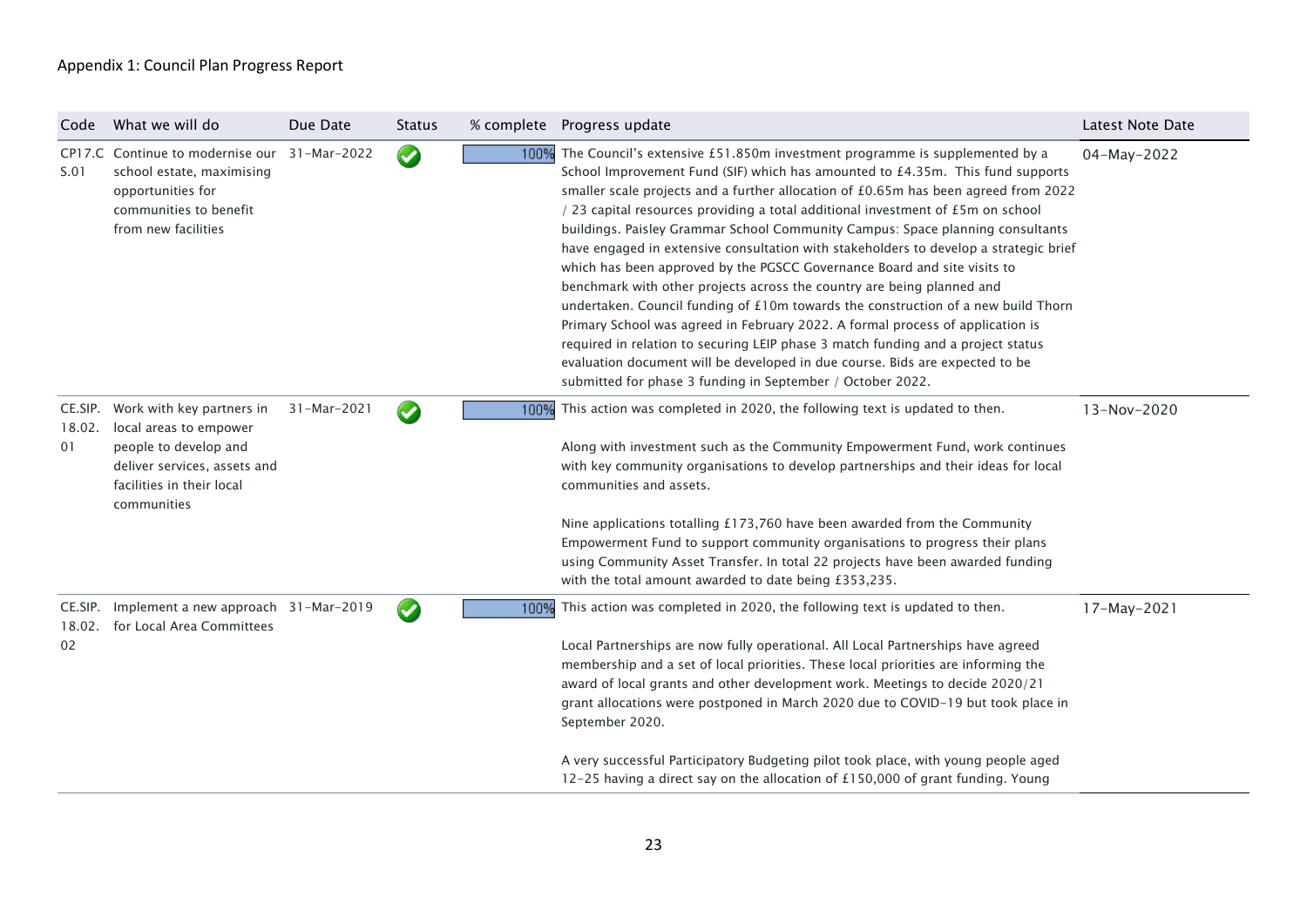| Code                    | What we will do                                                                                                                                          | Due Date    | <b>Status</b>         |      | % complete Progress update                                                                                                                                                                                                                                                                                                                                                                                                                                                                                                                                                                                                                                                                                                                                                                                                                                                                                                                                                                                                                                                            | Latest Note Date |
|-------------------------|----------------------------------------------------------------------------------------------------------------------------------------------------------|-------------|-----------------------|------|---------------------------------------------------------------------------------------------------------------------------------------------------------------------------------------------------------------------------------------------------------------------------------------------------------------------------------------------------------------------------------------------------------------------------------------------------------------------------------------------------------------------------------------------------------------------------------------------------------------------------------------------------------------------------------------------------------------------------------------------------------------------------------------------------------------------------------------------------------------------------------------------------------------------------------------------------------------------------------------------------------------------------------------------------------------------------------------|------------------|
| S.01                    | CP17.C Continue to modernise our 31-Mar-2022<br>school estate, maximising<br>opportunities for<br>communities to benefit<br>from new facilities          |             | $\bullet$             |      | 100% The Council's extensive £51.850m investment programme is supplemented by a<br>School Improvement Fund (SIF) which has amounted to £4.35m. This fund supports<br>smaller scale projects and a further allocation of £0.65m has been agreed from 2022<br>/ 23 capital resources providing a total additional investment of £5m on school<br>buildings. Paisley Grammar School Community Campus: Space planning consultants<br>have engaged in extensive consultation with stakeholders to develop a strategic brief<br>which has been approved by the PGSCC Governance Board and site visits to<br>benchmark with other projects across the country are being planned and<br>undertaken. Council funding of £10m towards the construction of a new build Thorn<br>Primary School was agreed in February 2022. A formal process of application is<br>required in relation to securing LEIP phase 3 match funding and a project status<br>evaluation document will be developed in due course. Bids are expected to be<br>submitted for phase 3 funding in September / October 2022. | 04-May-2022      |
| CE.SIP.<br>18.02.<br>01 | Work with key partners in<br>local areas to empower<br>people to develop and<br>deliver services, assets and<br>facilities in their local<br>communities | 31-Mar-2021 | $\blacklozenge$       | 100% | This action was completed in 2020, the following text is updated to then.<br>Along with investment such as the Community Empowerment Fund, work continues<br>with key community organisations to develop partnerships and their ideas for local<br>communities and assets.<br>Nine applications totalling £173,760 have been awarded from the Community<br>Empowerment Fund to support community organisations to progress their plans<br>using Community Asset Transfer. In total 22 projects have been awarded funding<br>with the total amount awarded to date being £353,235.                                                                                                                                                                                                                                                                                                                                                                                                                                                                                                     | 13-Nov-2020      |
| 02                      | CE.SIP. Implement a new approach 31-Mar-2019<br>18.02. for Local Area Committees                                                                         |             | $\blacktriangleright$ | 100% | This action was completed in 2020, the following text is updated to then.<br>Local Partnerships are now fully operational. All Local Partnerships have agreed<br>membership and a set of local priorities. These local priorities are informing the<br>award of local grants and other development work. Meetings to decide 2020/21<br>grant allocations were postponed in March 2020 due to COVID-19 but took place in<br>September 2020.<br>A very successful Participatory Budgeting pilot took place, with young people aged<br>12-25 having a direct say on the allocation of £150,000 of grant funding. Young                                                                                                                                                                                                                                                                                                                                                                                                                                                                   | 17-May-2021      |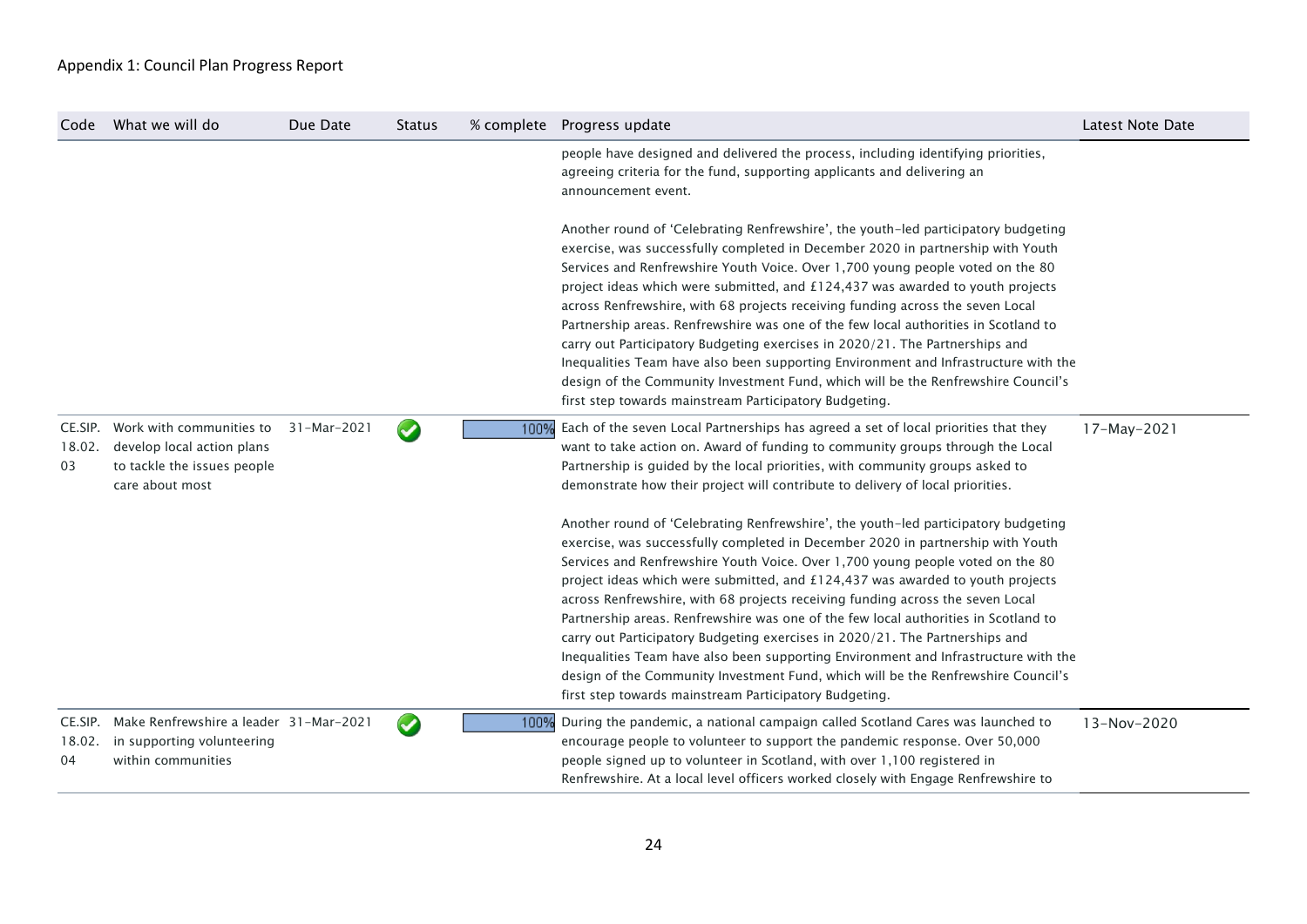| Code                    | What we will do                                                                                          | Due Date    | <b>Status</b>        |      | % complete  Progress update                                                                                                                                                                                                                                                                                                                                                                                                                                                                                                                                                                                                                                                                                                                                                                                                              | Latest Note Date |
|-------------------------|----------------------------------------------------------------------------------------------------------|-------------|----------------------|------|------------------------------------------------------------------------------------------------------------------------------------------------------------------------------------------------------------------------------------------------------------------------------------------------------------------------------------------------------------------------------------------------------------------------------------------------------------------------------------------------------------------------------------------------------------------------------------------------------------------------------------------------------------------------------------------------------------------------------------------------------------------------------------------------------------------------------------------|------------------|
|                         |                                                                                                          |             |                      |      | people have designed and delivered the process, including identifying priorities,<br>agreeing criteria for the fund, supporting applicants and delivering an<br>announcement event.                                                                                                                                                                                                                                                                                                                                                                                                                                                                                                                                                                                                                                                      |                  |
|                         |                                                                                                          |             |                      |      | Another round of 'Celebrating Renfrewshire', the youth-led participatory budgeting<br>exercise, was successfully completed in December 2020 in partnership with Youth<br>Services and Renfrewshire Youth Voice. Over 1,700 young people voted on the 80<br>project ideas which were submitted, and £124,437 was awarded to youth projects<br>across Renfrewshire, with 68 projects receiving funding across the seven Local<br>Partnership areas. Renfrewshire was one of the few local authorities in Scotland to<br>carry out Participatory Budgeting exercises in 2020/21. The Partnerships and<br>Inequalities Team have also been supporting Environment and Infrastructure with the<br>design of the Community Investment Fund, which will be the Renfrewshire Council's<br>first step towards mainstream Participatory Budgeting. |                  |
| CE.SIP.<br>18.02.<br>03 | Work with communities to<br>develop local action plans<br>to tackle the issues people<br>care about most | 31-Mar-2021 | $\sim$               | 100% | Each of the seven Local Partnerships has agreed a set of local priorities that they<br>want to take action on. Award of funding to community groups through the Local<br>Partnership is guided by the local priorities, with community groups asked to<br>demonstrate how their project will contribute to delivery of local priorities.                                                                                                                                                                                                                                                                                                                                                                                                                                                                                                 | 17-May-2021      |
|                         |                                                                                                          |             |                      |      | Another round of 'Celebrating Renfrewshire', the youth-led participatory budgeting<br>exercise, was successfully completed in December 2020 in partnership with Youth<br>Services and Renfrewshire Youth Voice. Over 1,700 young people voted on the 80<br>project ideas which were submitted, and £124,437 was awarded to youth projects<br>across Renfrewshire, with 68 projects receiving funding across the seven Local<br>Partnership areas. Renfrewshire was one of the few local authorities in Scotland to<br>carry out Participatory Budgeting exercises in 2020/21. The Partnerships and<br>Inequalities Team have also been supporting Environment and Infrastructure with the<br>design of the Community Investment Fund, which will be the Renfrewshire Council's<br>first step towards mainstream Participatory Budgeting. |                  |
| CE.SIP.<br>18.02.<br>04 | Make Renfrewshire a leader 31-Mar-2021<br>in supporting volunteering<br>within communities               |             | $\blacktriangledown$ | 100% | During the pandemic, a national campaign called Scotland Cares was launched to<br>encourage people to volunteer to support the pandemic response. Over 50,000<br>people signed up to volunteer in Scotland, with over 1,100 registered in<br>Renfrewshire. At a local level officers worked closely with Engage Renfrewshire to                                                                                                                                                                                                                                                                                                                                                                                                                                                                                                          | 13-Nov-2020      |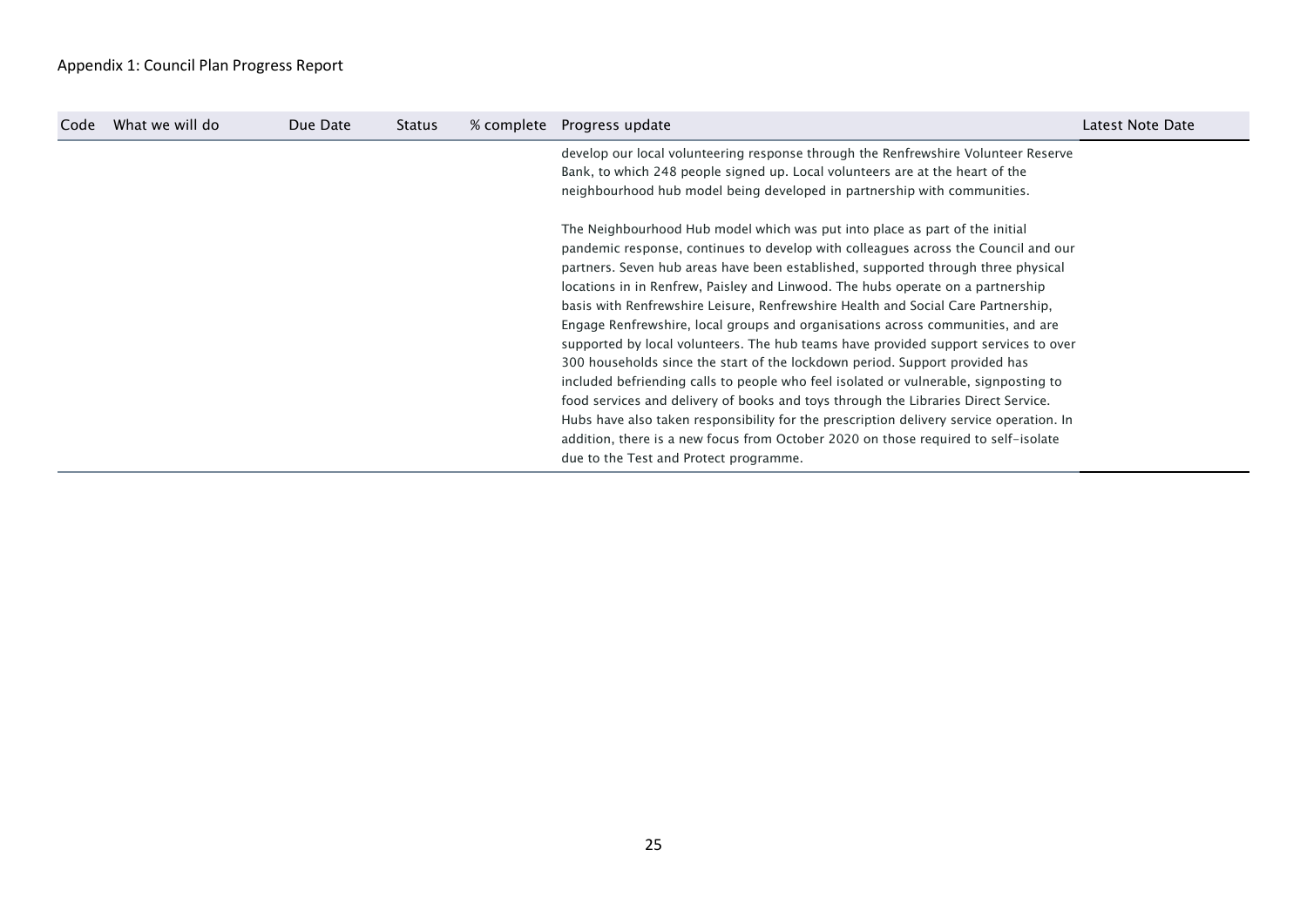| Code | What we will do | Due Date | <b>Status</b> | % complete | Progress update                                                                         | Latest Note Date |
|------|-----------------|----------|---------------|------------|-----------------------------------------------------------------------------------------|------------------|
|      |                 |          |               |            | develop our local volunteering response through the Renfrewshire Volunteer Reserve      |                  |
|      |                 |          |               |            | Bank, to which 248 people signed up. Local volunteers are at the heart of the           |                  |
|      |                 |          |               |            | neighbourhood hub model being developed in partnership with communities.                |                  |
|      |                 |          |               |            | The Neighbourhood Hub model which was put into place as part of the initial             |                  |
|      |                 |          |               |            | pandemic response, continues to develop with colleagues across the Council and our      |                  |
|      |                 |          |               |            | partners. Seven hub areas have been established, supported through three physical       |                  |
|      |                 |          |               |            | locations in in Renfrew, Paisley and Linwood. The hubs operate on a partnership         |                  |
|      |                 |          |               |            | basis with Renfrewshire Leisure, Renfrewshire Health and Social Care Partnership,       |                  |
|      |                 |          |               |            | Engage Renfrewshire, local groups and organisations across communities, and are         |                  |
|      |                 |          |               |            | supported by local volunteers. The hub teams have provided support services to over     |                  |
|      |                 |          |               |            | 300 households since the start of the lockdown period. Support provided has             |                  |
|      |                 |          |               |            | included befriending calls to people who feel isolated or vulnerable, signposting to    |                  |
|      |                 |          |               |            | food services and delivery of books and toys through the Libraries Direct Service.      |                  |
|      |                 |          |               |            | Hubs have also taken responsibility for the prescription delivery service operation. In |                  |
|      |                 |          |               |            | addition, there is a new focus from October 2020 on those required to self-isolate      |                  |
|      |                 |          |               |            | due to the Test and Protect programme.                                                  |                  |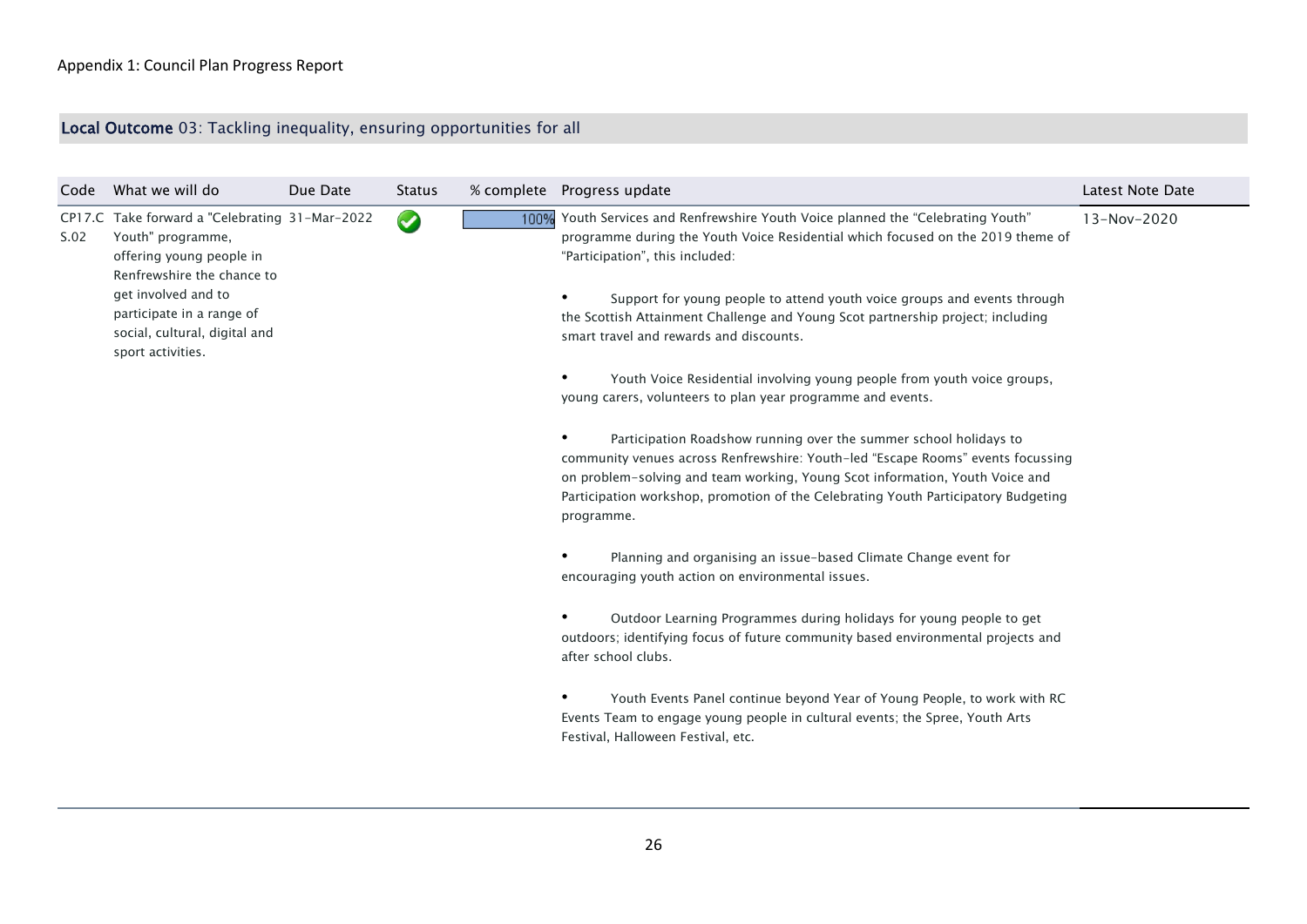# Local Outcome 03: Tackling inequality, ensuring opportunities for all

| Code | What we will do                                                                                                                                                                                                                         | Due Date             | Status |                                                                                                                                                                                | % complete  Progress update                                                                                                                                                                                                                                                                                                              | Latest Note Date |
|------|-----------------------------------------------------------------------------------------------------------------------------------------------------------------------------------------------------------------------------------------|----------------------|--------|--------------------------------------------------------------------------------------------------------------------------------------------------------------------------------|------------------------------------------------------------------------------------------------------------------------------------------------------------------------------------------------------------------------------------------------------------------------------------------------------------------------------------------|------------------|
| S.02 | CP17.C Take forward a "Celebrating 31-Mar-2022<br>Youth" programme,<br>offering young people in<br>Renfrewshire the chance to<br>get involved and to<br>participate in a range of<br>social, cultural, digital and<br>sport activities. | $\blacktriangledown$ |        | 100%                                                                                                                                                                           | Youth Services and Renfrewshire Youth Voice planned the "Celebrating Youth"<br>programme during the Youth Voice Residential which focused on the 2019 theme of<br>"Participation", this included:                                                                                                                                        | 13-Nov-2020      |
|      |                                                                                                                                                                                                                                         |                      |        |                                                                                                                                                                                | Support for young people to attend youth voice groups and events through<br>the Scottish Attainment Challenge and Young Scot partnership project; including<br>smart travel and rewards and discounts.                                                                                                                                   |                  |
|      |                                                                                                                                                                                                                                         |                      |        |                                                                                                                                                                                | Youth Voice Residential involving young people from youth voice groups,<br>young carers, volunteers to plan year programme and events.                                                                                                                                                                                                   |                  |
|      |                                                                                                                                                                                                                                         |                      |        |                                                                                                                                                                                | Participation Roadshow running over the summer school holidays to<br>community venues across Renfrewshire: Youth-led "Escape Rooms" events focussing<br>on problem-solving and team working, Young Scot information, Youth Voice and<br>Participation workshop, promotion of the Celebrating Youth Participatory Budgeting<br>programme. |                  |
|      |                                                                                                                                                                                                                                         |                      |        |                                                                                                                                                                                | Planning and organising an issue-based Climate Change event for<br>encouraging youth action on environmental issues.                                                                                                                                                                                                                     |                  |
|      |                                                                                                                                                                                                                                         |                      |        | Outdoor Learning Programmes during holidays for young people to get<br>outdoors; identifying focus of future community based environmental projects and<br>after school clubs. |                                                                                                                                                                                                                                                                                                                                          |                  |
|      |                                                                                                                                                                                                                                         |                      |        |                                                                                                                                                                                | Youth Events Panel continue beyond Year of Young People, to work with RC<br>Events Team to engage young people in cultural events; the Spree, Youth Arts<br>Festival, Halloween Festival, etc.                                                                                                                                           |                  |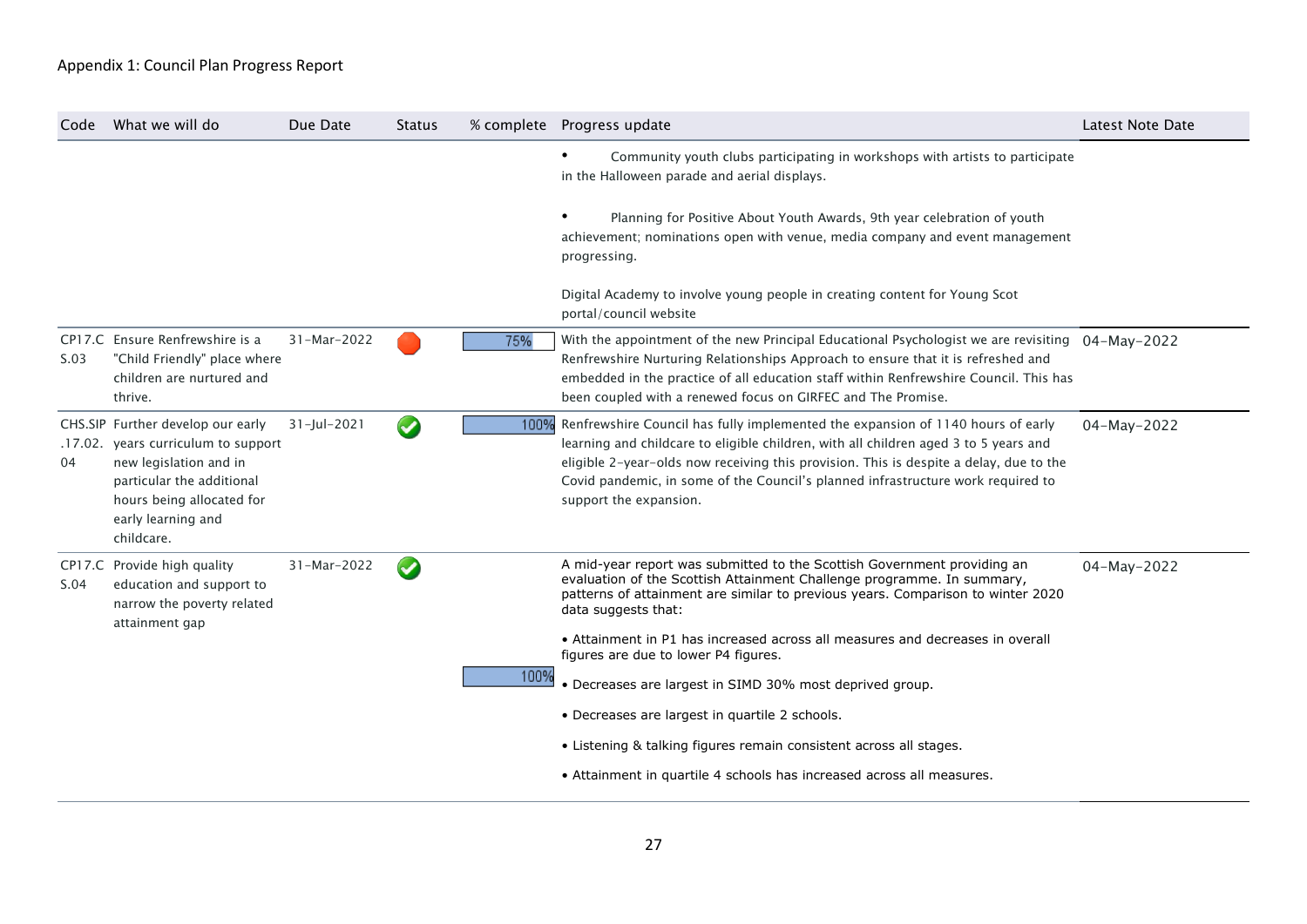| Code | What we will do                                                                                                                                                                                  | Due Date       | <b>Status</b>   |      | % complete Progress update                                                                                                                                                                                                                                                                                                                                                                                                                                                                                                                                                                                                                        | <b>Latest Note Date</b> |
|------|--------------------------------------------------------------------------------------------------------------------------------------------------------------------------------------------------|----------------|-----------------|------|---------------------------------------------------------------------------------------------------------------------------------------------------------------------------------------------------------------------------------------------------------------------------------------------------------------------------------------------------------------------------------------------------------------------------------------------------------------------------------------------------------------------------------------------------------------------------------------------------------------------------------------------------|-------------------------|
|      |                                                                                                                                                                                                  |                |                 |      | Community youth clubs participating in workshops with artists to participate<br>in the Halloween parade and aerial displays.                                                                                                                                                                                                                                                                                                                                                                                                                                                                                                                      |                         |
|      |                                                                                                                                                                                                  |                |                 |      | Planning for Positive About Youth Awards, 9th year celebration of youth<br>achievement; nominations open with venue, media company and event management<br>progressing.                                                                                                                                                                                                                                                                                                                                                                                                                                                                           |                         |
|      |                                                                                                                                                                                                  |                |                 |      | Digital Academy to involve young people in creating content for Young Scot<br>portal/council website                                                                                                                                                                                                                                                                                                                                                                                                                                                                                                                                              |                         |
| S.03 | CP17.C Ensure Renfrewshire is a<br>"Child Friendly" place where<br>children are nurtured and<br>thrive.                                                                                          | 31-Mar-2022    |                 | 75%  | With the appointment of the new Principal Educational Psychologist we are revisiting $04-May-2022$<br>Renfrewshire Nurturing Relationships Approach to ensure that it is refreshed and<br>embedded in the practice of all education staff within Renfrewshire Council. This has<br>been coupled with a renewed focus on GIRFEC and The Promise.                                                                                                                                                                                                                                                                                                   |                         |
| 04   | CHS.SIP Further develop our early<br>.17.02. years curriculum to support<br>new legislation and in<br>particular the additional<br>hours being allocated for<br>early learning and<br>childcare. | $31$ -Jul-2021 | $\blacklozenge$ |      | 100% Renfrewshire Council has fully implemented the expansion of 1140 hours of early<br>learning and childcare to eligible children, with all children aged 3 to 5 years and<br>eligible 2-year-olds now receiving this provision. This is despite a delay, due to the<br>Covid pandemic, in some of the Council's planned infrastructure work required to<br>support the expansion.                                                                                                                                                                                                                                                              | 04-May-2022             |
| S.04 | CP17.C Provide high quality<br>education and support to<br>narrow the poverty related<br>attainment gap                                                                                          | 31-Mar-2022    | $\bullet$       | 100% | A mid-year report was submitted to the Scottish Government providing an<br>evaluation of the Scottish Attainment Challenge programme. In summary,<br>patterns of attainment are similar to previous years. Comparison to winter 2020<br>data suggests that:<br>• Attainment in P1 has increased across all measures and decreases in overall<br>figures are due to lower P4 figures.<br>• Decreases are largest in SIMD 30% most deprived group.<br>• Decreases are largest in quartile 2 schools.<br>• Listening & talking figures remain consistent across all stages.<br>• Attainment in quartile 4 schools has increased across all measures. | 04-May-2022             |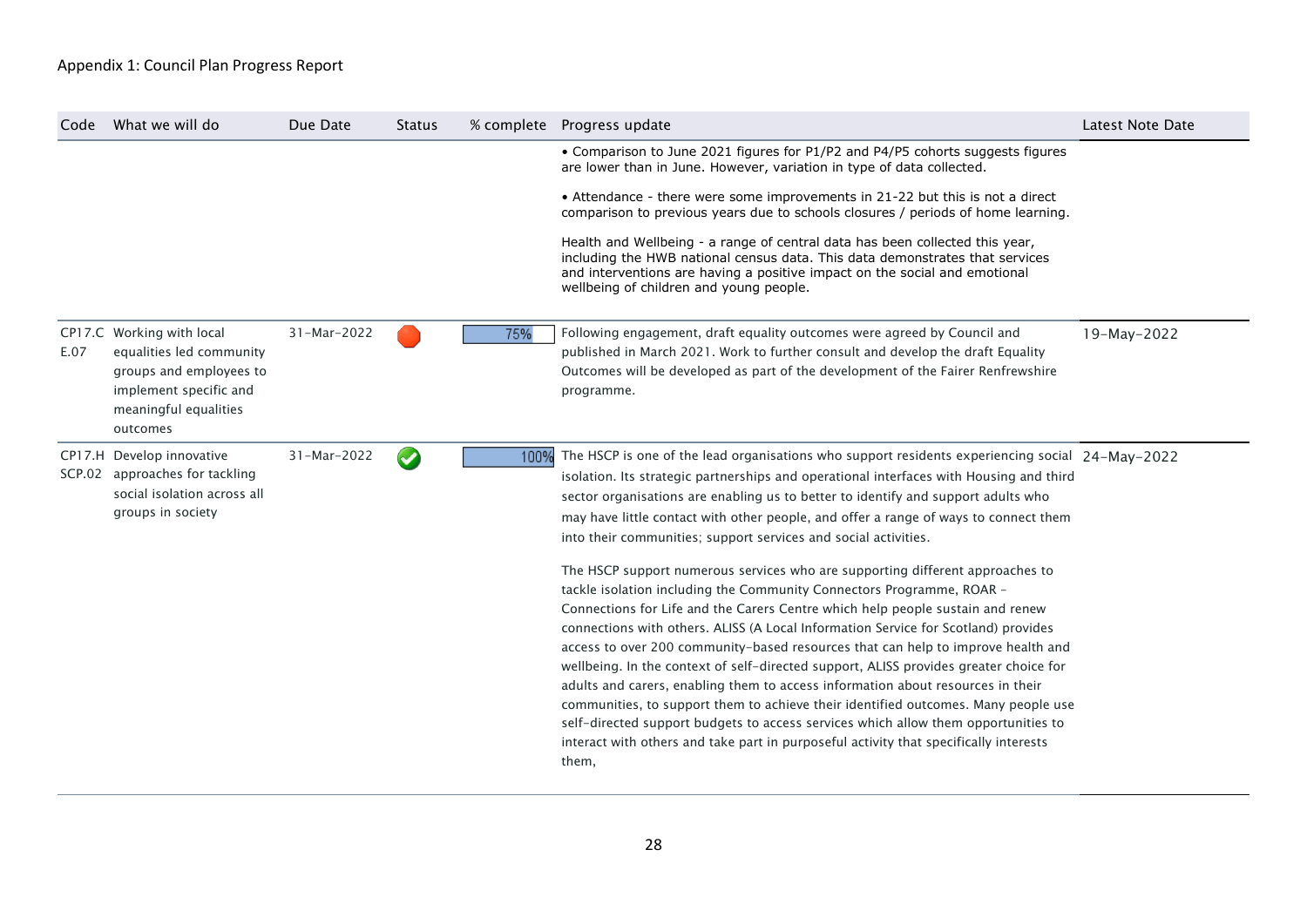| Code | What we will do                                                                                                                                 | Due Date    | <b>Status</b>         |      | % complete Progress update                                                                                                                                                                                                                                                                                                                                                                                                                                                                                                                                                                                                                                                                                                                                                                                                                                                   | Latest Note Date |
|------|-------------------------------------------------------------------------------------------------------------------------------------------------|-------------|-----------------------|------|------------------------------------------------------------------------------------------------------------------------------------------------------------------------------------------------------------------------------------------------------------------------------------------------------------------------------------------------------------------------------------------------------------------------------------------------------------------------------------------------------------------------------------------------------------------------------------------------------------------------------------------------------------------------------------------------------------------------------------------------------------------------------------------------------------------------------------------------------------------------------|------------------|
|      |                                                                                                                                                 |             |                       |      | • Comparison to June 2021 figures for P1/P2 and P4/P5 cohorts suggests figures<br>are lower than in June. However, variation in type of data collected.                                                                                                                                                                                                                                                                                                                                                                                                                                                                                                                                                                                                                                                                                                                      |                  |
|      |                                                                                                                                                 |             |                       |      | • Attendance - there were some improvements in 21-22 but this is not a direct<br>comparison to previous years due to schools closures / periods of home learning.                                                                                                                                                                                                                                                                                                                                                                                                                                                                                                                                                                                                                                                                                                            |                  |
|      |                                                                                                                                                 |             |                       |      | Health and Wellbeing - a range of central data has been collected this year,<br>including the HWB national census data. This data demonstrates that services<br>and interventions are having a positive impact on the social and emotional<br>wellbeing of children and young people.                                                                                                                                                                                                                                                                                                                                                                                                                                                                                                                                                                                        |                  |
| E.07 | CP17.C Working with local<br>equalities led community<br>groups and employees to<br>implement specific and<br>meaningful equalities<br>outcomes | 31-Mar-2022 |                       | 75%  | Following engagement, draft equality outcomes were agreed by Council and<br>published in March 2021. Work to further consult and develop the draft Equality<br>Outcomes will be developed as part of the development of the Fairer Renfrewshire<br>programme.                                                                                                                                                                                                                                                                                                                                                                                                                                                                                                                                                                                                                | 19-May-2022      |
|      | CP17.H Develop innovative<br>SCP.02 approaches for tackling<br>social isolation across all<br>groups in society                                 | 31-Mar-2022 | $\blacktriangleright$ | 100% | The HSCP is one of the lead organisations who support residents experiencing social 24-May-2022<br>isolation. Its strategic partnerships and operational interfaces with Housing and third<br>sector organisations are enabling us to better to identify and support adults who<br>may have little contact with other people, and offer a range of ways to connect them<br>into their communities; support services and social activities.                                                                                                                                                                                                                                                                                                                                                                                                                                   |                  |
|      |                                                                                                                                                 |             |                       |      | The HSCP support numerous services who are supporting different approaches to<br>tackle isolation including the Community Connectors Programme, ROAR -<br>Connections for Life and the Carers Centre which help people sustain and renew<br>connections with others. ALISS (A Local Information Service for Scotland) provides<br>access to over 200 community-based resources that can help to improve health and<br>wellbeing. In the context of self-directed support, ALISS provides greater choice for<br>adults and carers, enabling them to access information about resources in their<br>communities, to support them to achieve their identified outcomes. Many people use<br>self-directed support budgets to access services which allow them opportunities to<br>interact with others and take part in purposeful activity that specifically interests<br>them, |                  |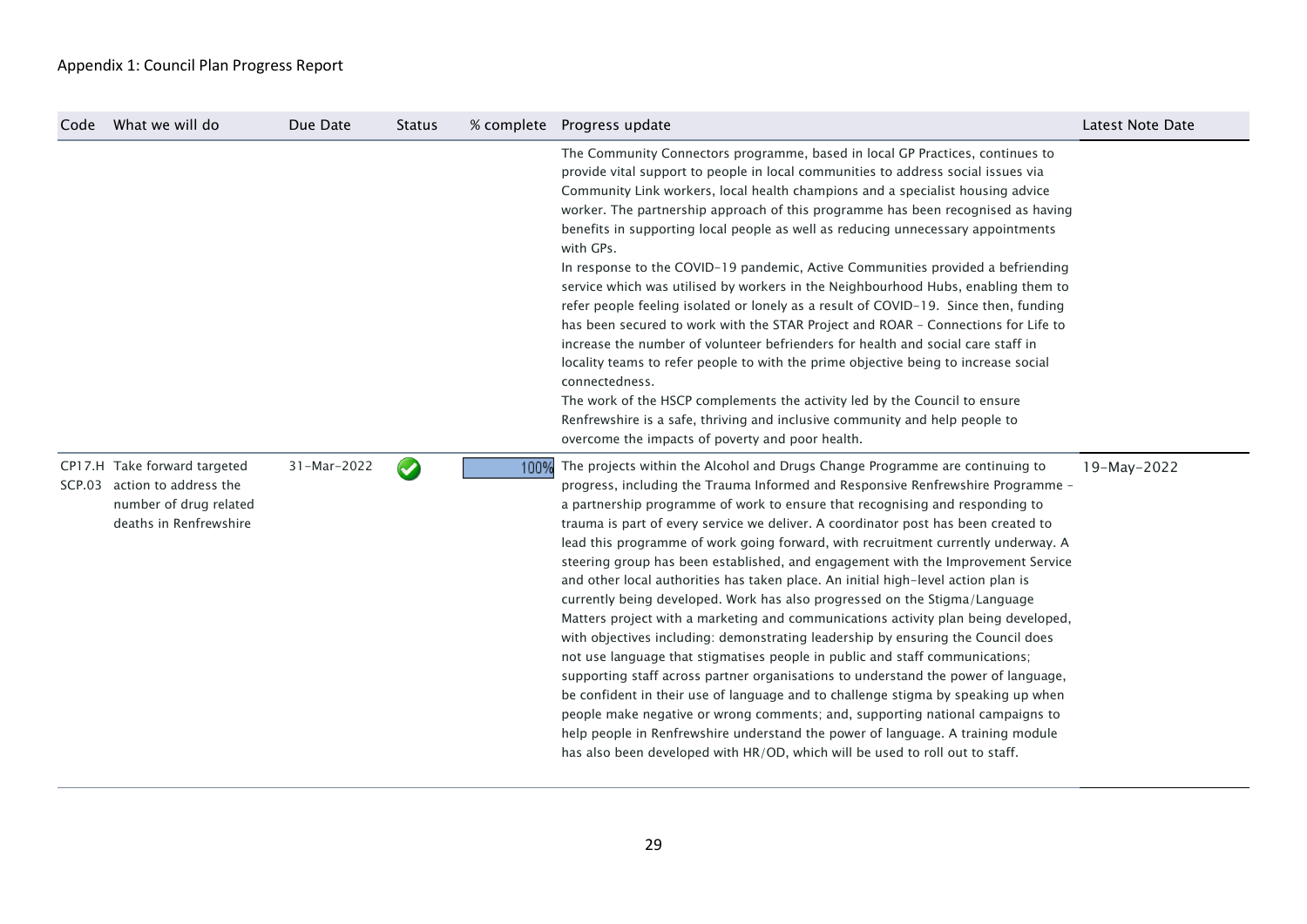| Code | What we will do                                                                                                  | Due Date    | <b>Status</b>   |      | % complete Progress update                                                                                                                                                                                                                                                                                                                                                                                                                                                                                                                                                                                                                                                                                                                                                                                                                                                                                                                                                                                                                                                                                                                                                                                                                                                                                                                                                 | <b>Latest Note Date</b> |
|------|------------------------------------------------------------------------------------------------------------------|-------------|-----------------|------|----------------------------------------------------------------------------------------------------------------------------------------------------------------------------------------------------------------------------------------------------------------------------------------------------------------------------------------------------------------------------------------------------------------------------------------------------------------------------------------------------------------------------------------------------------------------------------------------------------------------------------------------------------------------------------------------------------------------------------------------------------------------------------------------------------------------------------------------------------------------------------------------------------------------------------------------------------------------------------------------------------------------------------------------------------------------------------------------------------------------------------------------------------------------------------------------------------------------------------------------------------------------------------------------------------------------------------------------------------------------------|-------------------------|
|      |                                                                                                                  |             |                 |      | The Community Connectors programme, based in local GP Practices, continues to<br>provide vital support to people in local communities to address social issues via<br>Community Link workers, local health champions and a specialist housing advice<br>worker. The partnership approach of this programme has been recognised as having<br>benefits in supporting local people as well as reducing unnecessary appointments<br>with GPs.<br>In response to the COVID-19 pandemic, Active Communities provided a befriending<br>service which was utilised by workers in the Neighbourhood Hubs, enabling them to<br>refer people feeling isolated or lonely as a result of COVID-19. Since then, funding<br>has been secured to work with the STAR Project and ROAR - Connections for Life to<br>increase the number of volunteer befrienders for health and social care staff in<br>locality teams to refer people to with the prime objective being to increase social<br>connectedness.<br>The work of the HSCP complements the activity led by the Council to ensure<br>Renfrewshire is a safe, thriving and inclusive community and help people to<br>overcome the impacts of poverty and poor health.                                                                                                                                                               |                         |
|      | CP17.H Take forward targeted<br>SCP.03 action to address the<br>number of drug related<br>deaths in Renfrewshire | 31-Mar-2022 | $\blacklozenge$ | 100% | The projects within the Alcohol and Drugs Change Programme are continuing to<br>progress, including the Trauma Informed and Responsive Renfrewshire Programme -<br>a partnership programme of work to ensure that recognising and responding to<br>trauma is part of every service we deliver. A coordinator post has been created to<br>lead this programme of work going forward, with recruitment currently underway. A<br>steering group has been established, and engagement with the Improvement Service<br>and other local authorities has taken place. An initial high-level action plan is<br>currently being developed. Work has also progressed on the Stigma/Language<br>Matters project with a marketing and communications activity plan being developed,<br>with objectives including: demonstrating leadership by ensuring the Council does<br>not use language that stigmatises people in public and staff communications;<br>supporting staff across partner organisations to understand the power of language,<br>be confident in their use of language and to challenge stigma by speaking up when<br>people make negative or wrong comments; and, supporting national campaigns to<br>help people in Renfrewshire understand the power of language. A training module<br>has also been developed with HR/OD, which will be used to roll out to staff. | 19-May-2022             |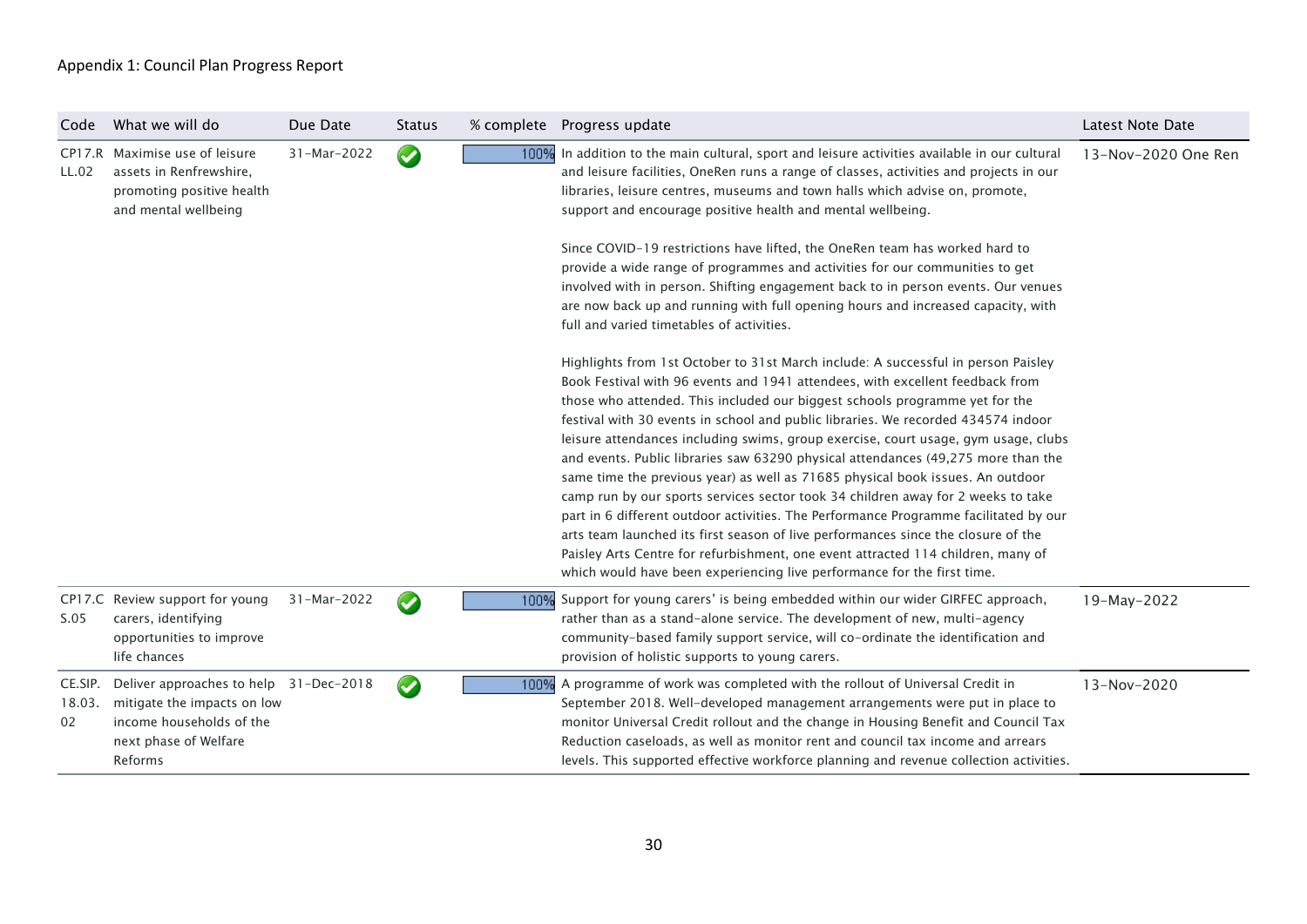| Code                    | What we will do                                                                                                                       | Due Date    | <b>Status</b>   |      | % complete Progress update                                                                                                                                                                                                                                                                                                                                                                                                                                                                                                                                                                                                                                                                                                                                                                                                                                                                                                                                                                                                                                                                                                                                                                                                                                                                                                                                                                                                                                                                                                                                                                                                                                                              | Latest Note Date    |
|-------------------------|---------------------------------------------------------------------------------------------------------------------------------------|-------------|-----------------|------|-----------------------------------------------------------------------------------------------------------------------------------------------------------------------------------------------------------------------------------------------------------------------------------------------------------------------------------------------------------------------------------------------------------------------------------------------------------------------------------------------------------------------------------------------------------------------------------------------------------------------------------------------------------------------------------------------------------------------------------------------------------------------------------------------------------------------------------------------------------------------------------------------------------------------------------------------------------------------------------------------------------------------------------------------------------------------------------------------------------------------------------------------------------------------------------------------------------------------------------------------------------------------------------------------------------------------------------------------------------------------------------------------------------------------------------------------------------------------------------------------------------------------------------------------------------------------------------------------------------------------------------------------------------------------------------------|---------------------|
| LL.02                   | CP17.R Maximise use of leisure<br>assets in Renfrewshire.<br>promoting positive health<br>and mental wellbeing                        | 31-Mar-2022 | $\bigcirc$      |      | 100% In addition to the main cultural, sport and leisure activities available in our cultural<br>and leisure facilities, OneRen runs a range of classes, activities and projects in our<br>libraries, leisure centres, museums and town halls which advise on, promote,<br>support and encourage positive health and mental wellbeing.<br>Since COVID-19 restrictions have lifted, the OneRen team has worked hard to<br>provide a wide range of programmes and activities for our communities to get<br>involved with in person. Shifting engagement back to in person events. Our venues<br>are now back up and running with full opening hours and increased capacity, with<br>full and varied timetables of activities.<br>Highlights from 1st October to 31st March include: A successful in person Paisley<br>Book Festival with 96 events and 1941 attendees, with excellent feedback from<br>those who attended. This included our biggest schools programme yet for the<br>festival with 30 events in school and public libraries. We recorded 434574 indoor<br>leisure attendances including swims, group exercise, court usage, gym usage, clubs<br>and events. Public libraries saw 63290 physical attendances (49,275 more than the<br>same time the previous year) as well as 71685 physical book issues. An outdoor<br>camp run by our sports services sector took 34 children away for 2 weeks to take<br>part in 6 different outdoor activities. The Performance Programme facilitated by our<br>arts team launched its first season of live performances since the closure of the<br>Paisley Arts Centre for refurbishment, one event attracted 114 children, many of | 13-Nov-2020 One Ren |
| S.05                    | CP17.C Review support for young<br>carers, identifying<br>opportunities to improve<br>life chances                                    | 31-Mar-2022 | $\blacklozenge$ | 100% | which would have been experiencing live performance for the first time.<br>Support for young carers' is being embedded within our wider GIRFEC approach,<br>rather than as a stand-alone service. The development of new, multi-agency<br>community-based family support service, will co-ordinate the identification and<br>provision of holistic supports to young carers.                                                                                                                                                                                                                                                                                                                                                                                                                                                                                                                                                                                                                                                                                                                                                                                                                                                                                                                                                                                                                                                                                                                                                                                                                                                                                                            | 19-May-2022         |
| CE.SIP.<br>18.03.<br>02 | Deliver approaches to help 31-Dec-2018<br>mitigate the impacts on low<br>income households of the<br>next phase of Welfare<br>Reforms |             | $\bullet$       | 100% | A programme of work was completed with the rollout of Universal Credit in<br>September 2018. Well-developed management arrangements were put in place to<br>monitor Universal Credit rollout and the change in Housing Benefit and Council Tax<br>Reduction caseloads, as well as monitor rent and council tax income and arrears<br>levels. This supported effective workforce planning and revenue collection activities.                                                                                                                                                                                                                                                                                                                                                                                                                                                                                                                                                                                                                                                                                                                                                                                                                                                                                                                                                                                                                                                                                                                                                                                                                                                             | 13-Nov-2020         |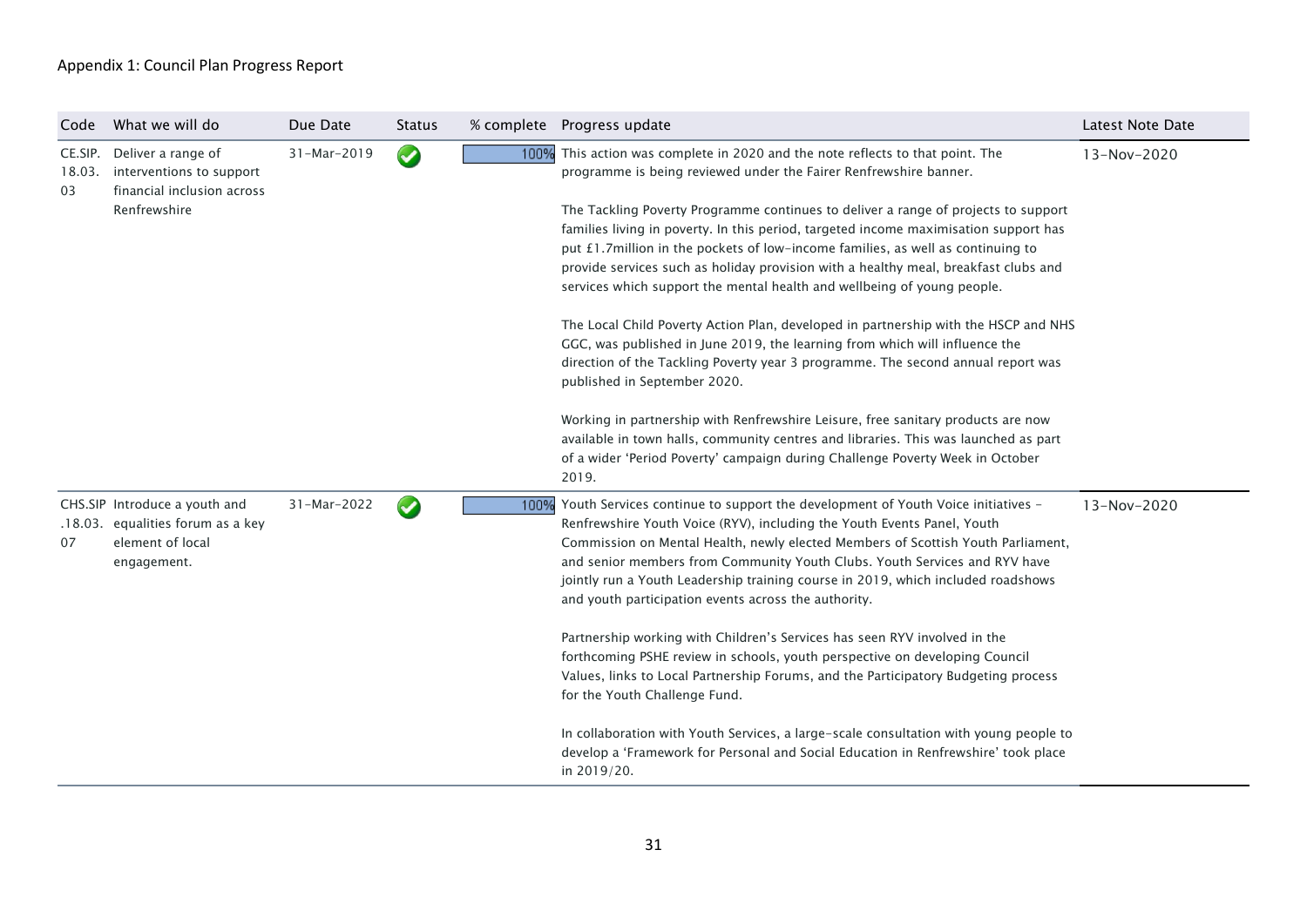| Code                    | What we will do                                                                              | Due Date    | <b>Status</b>        |                                                                                  | % complete  Progress update                                                                                                                    | Latest Note Date |
|-------------------------|----------------------------------------------------------------------------------------------|-------------|----------------------|----------------------------------------------------------------------------------|------------------------------------------------------------------------------------------------------------------------------------------------|------------------|
| CE.SIP.<br>18.03.<br>03 | Deliver a range of<br>interventions to support<br>financial inclusion across<br>Renfrewshire | 31-Mar-2019 | $\bullet$            | 100%                                                                             | This action was complete in 2020 and the note reflects to that point. The<br>programme is being reviewed under the Fairer Renfrewshire banner. | 13-Nov-2020      |
|                         |                                                                                              |             |                      |                                                                                  | The Tackling Poverty Programme continues to deliver a range of projects to support                                                             |                  |
|                         |                                                                                              |             |                      |                                                                                  | families living in poverty. In this period, targeted income maximisation support has                                                           |                  |
|                         |                                                                                              |             |                      |                                                                                  | put £1.7million in the pockets of low-income families, as well as continuing to                                                                |                  |
|                         |                                                                                              |             |                      |                                                                                  | provide services such as holiday provision with a healthy meal, breakfast clubs and                                                            |                  |
|                         |                                                                                              |             |                      |                                                                                  | services which support the mental health and wellbeing of young people.                                                                        |                  |
|                         |                                                                                              |             |                      |                                                                                  | The Local Child Poverty Action Plan, developed in partnership with the HSCP and NHS                                                            |                  |
|                         |                                                                                              |             |                      |                                                                                  | GGC, was published in June 2019, the learning from which will influence the                                                                    |                  |
|                         |                                                                                              |             |                      |                                                                                  | direction of the Tackling Poverty year 3 programme. The second annual report was                                                               |                  |
|                         |                                                                                              |             |                      |                                                                                  | published in September 2020.                                                                                                                   |                  |
|                         |                                                                                              |             |                      |                                                                                  | Working in partnership with Renfrewshire Leisure, free sanitary products are now                                                               |                  |
|                         |                                                                                              |             |                      |                                                                                  | available in town halls, community centres and libraries. This was launched as part                                                            |                  |
|                         |                                                                                              |             |                      |                                                                                  | of a wider 'Period Poverty' campaign during Challenge Poverty Week in October                                                                  |                  |
|                         |                                                                                              |             |                      |                                                                                  | 2019.                                                                                                                                          |                  |
|                         | CHS.SIP Introduce a youth and                                                                | 31-Mar-2022 | $\blacktriangledown$ | 100%                                                                             | Youth Services continue to support the development of Youth Voice initiatives -                                                                | 13-Nov-2020      |
|                         | .18.03. equalities forum as a key                                                            |             |                      |                                                                                  | Renfrewshire Youth Voice (RYV), including the Youth Events Panel, Youth                                                                        |                  |
| 07                      | element of local                                                                             |             |                      | Commission on Mental Health, newly elected Members of Scottish Youth Parliament, |                                                                                                                                                |                  |
|                         | engagement.                                                                                  |             |                      |                                                                                  | and senior members from Community Youth Clubs. Youth Services and RYV have                                                                     |                  |
|                         |                                                                                              |             |                      |                                                                                  | jointly run a Youth Leadership training course in 2019, which included roadshows<br>and youth participation events across the authority.       |                  |
|                         |                                                                                              |             |                      |                                                                                  |                                                                                                                                                |                  |
|                         |                                                                                              |             |                      |                                                                                  | Partnership working with Children's Services has seen RYV involved in the                                                                      |                  |
|                         |                                                                                              |             |                      |                                                                                  | forthcoming PSHE review in schools, youth perspective on developing Council                                                                    |                  |
|                         |                                                                                              |             |                      |                                                                                  | Values, links to Local Partnership Forums, and the Participatory Budgeting process                                                             |                  |
|                         |                                                                                              |             |                      |                                                                                  | for the Youth Challenge Fund.                                                                                                                  |                  |
|                         |                                                                                              |             |                      |                                                                                  | In collaboration with Youth Services, a large-scale consultation with young people to                                                          |                  |
|                         |                                                                                              |             |                      |                                                                                  | develop a 'Framework for Personal and Social Education in Renfrewshire' took place                                                             |                  |
|                         |                                                                                              |             |                      |                                                                                  | in 2019/20.                                                                                                                                    |                  |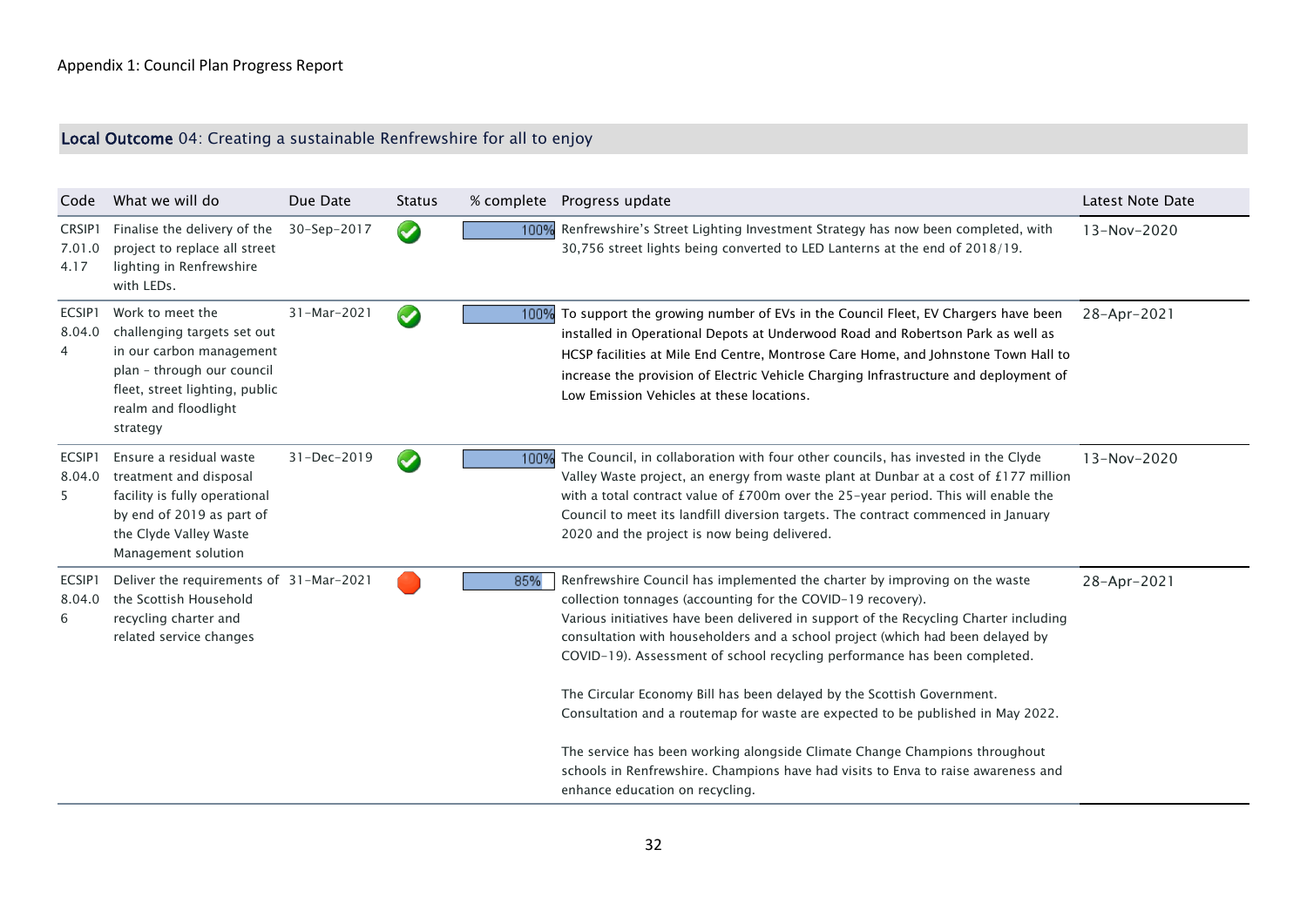# Local Outcome 04: Creating a sustainable Renfrewshire for all to enjoy

| Code                     | What we will do                                                                                                                                                                 | Due Date    | <b>Status</b>        |      | % complete Progress update                                                                                                                                                                                                                                                                                                                                                                                                                                                                                                                                                                                                                   | Latest Note Date |
|--------------------------|---------------------------------------------------------------------------------------------------------------------------------------------------------------------------------|-------------|----------------------|------|----------------------------------------------------------------------------------------------------------------------------------------------------------------------------------------------------------------------------------------------------------------------------------------------------------------------------------------------------------------------------------------------------------------------------------------------------------------------------------------------------------------------------------------------------------------------------------------------------------------------------------------------|------------------|
| CRSIP1<br>7.01.0<br>4.17 | Finalise the delivery of the<br>project to replace all street<br>lighting in Renfrewshire<br>with LEDs.                                                                         | 30-Sep-2017 | $\blacktriangledown$ | 100% | Renfrewshire's Street Lighting Investment Strategy has now been completed, with<br>30,756 street lights being converted to LED Lanterns at the end of 2018/19.                                                                                                                                                                                                                                                                                                                                                                                                                                                                               | 13-Nov-2020      |
| ECSIP1<br>8.04.0<br>4    | Work to meet the<br>challenging targets set out<br>in our carbon management<br>plan - through our council<br>fleet, street lighting, public<br>realm and floodlight<br>strategy | 31-Mar-2021 | $\blacktriangledown$ | 100% | To support the growing number of EVs in the Council Fleet, EV Chargers have been<br>installed in Operational Depots at Underwood Road and Robertson Park as well as<br>HCSP facilities at Mile End Centre, Montrose Care Home, and Johnstone Town Hall to<br>increase the provision of Electric Vehicle Charging Infrastructure and deployment of<br>Low Emission Vehicles at these locations.                                                                                                                                                                                                                                               | 28-Apr-2021      |
| ECSIP1<br>8.04.0<br>5    | Ensure a residual waste<br>treatment and disposal<br>facility is fully operational<br>by end of 2019 as part of<br>the Clyde Valley Waste<br>Management solution                | 31-Dec-2019 |                      | 100% | The Council, in collaboration with four other councils, has invested in the Clyde<br>Valley Waste project, an energy from waste plant at Dunbar at a cost of £177 million<br>with a total contract value of £700m over the 25-year period. This will enable the<br>Council to meet its landfill diversion targets. The contract commenced in January<br>2020 and the project is now being delivered.                                                                                                                                                                                                                                         | 13-Nov-2020      |
| ECSIP1<br>8.04.0<br>6    | Deliver the requirements of 31-Mar-2021<br>the Scottish Household<br>recycling charter and<br>related service changes                                                           |             |                      | 85%  | Renfrewshire Council has implemented the charter by improving on the waste<br>collection tonnages (accounting for the COVID-19 recovery).<br>Various initiatives have been delivered in support of the Recycling Charter including<br>consultation with householders and a school project (which had been delayed by<br>COVID-19). Assessment of school recycling performance has been completed.<br>The Circular Economy Bill has been delayed by the Scottish Government.<br>Consultation and a routemap for waste are expected to be published in May 2022.<br>The service has been working alongside Climate Change Champions throughout | 28-Apr-2021      |
|                          |                                                                                                                                                                                 |             |                      |      | schools in Renfrewshire. Champions have had visits to Enva to raise awareness and<br>enhance education on recycling.                                                                                                                                                                                                                                                                                                                                                                                                                                                                                                                         |                  |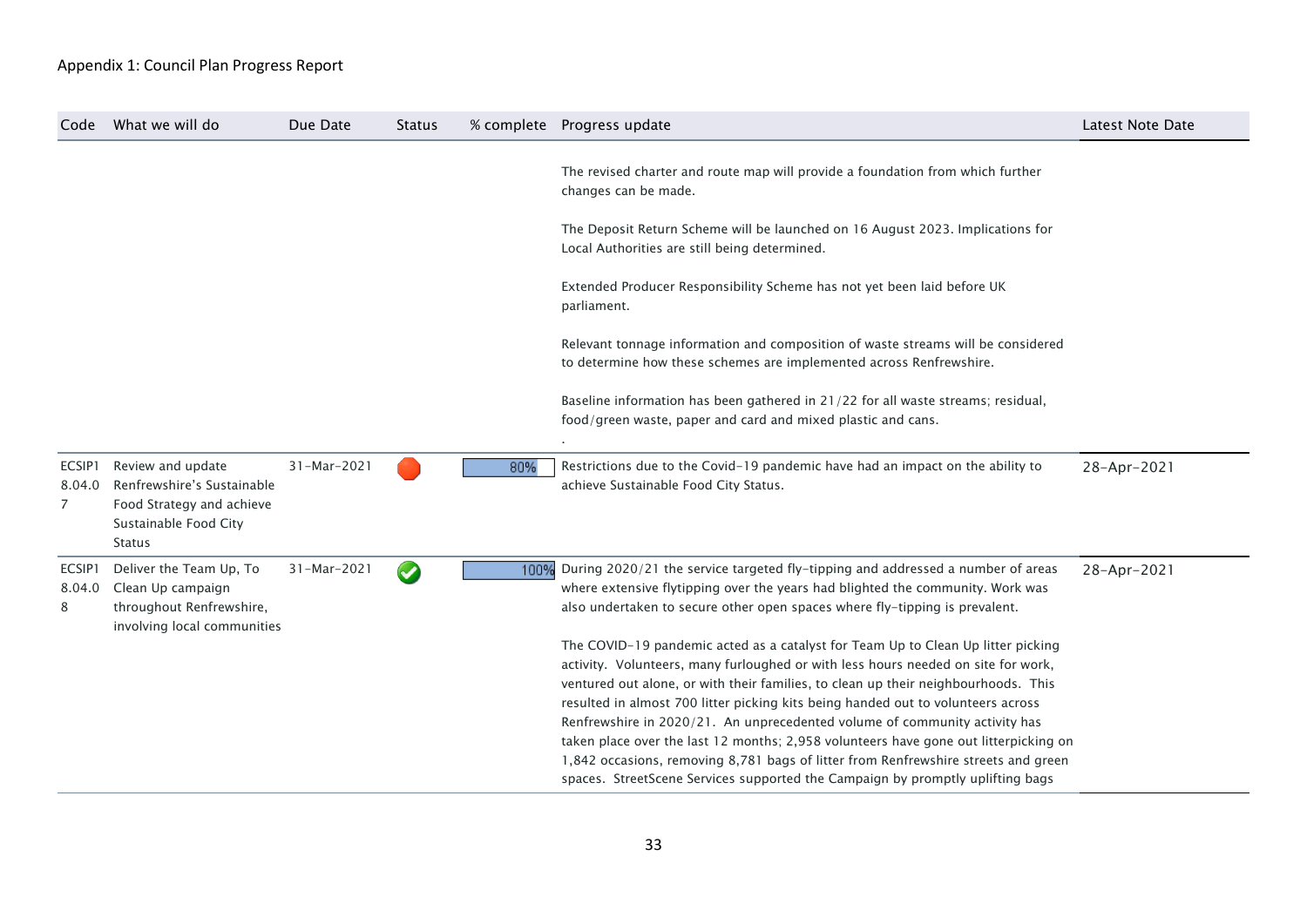| Code                  | What we will do                                                                                                        | Due Date    | <b>Status</b> |      | % complete Progress update                                                                                                                                                                                                                                                                                                                                                                                                                                                                                                                                                                                                                                                                    | Latest Note Date |
|-----------------------|------------------------------------------------------------------------------------------------------------------------|-------------|---------------|------|-----------------------------------------------------------------------------------------------------------------------------------------------------------------------------------------------------------------------------------------------------------------------------------------------------------------------------------------------------------------------------------------------------------------------------------------------------------------------------------------------------------------------------------------------------------------------------------------------------------------------------------------------------------------------------------------------|------------------|
|                       |                                                                                                                        |             |               |      | The revised charter and route map will provide a foundation from which further<br>changes can be made.                                                                                                                                                                                                                                                                                                                                                                                                                                                                                                                                                                                        |                  |
|                       |                                                                                                                        |             |               |      | The Deposit Return Scheme will be launched on 16 August 2023. Implications for<br>Local Authorities are still being determined.                                                                                                                                                                                                                                                                                                                                                                                                                                                                                                                                                               |                  |
|                       |                                                                                                                        |             |               |      | Extended Producer Responsibility Scheme has not yet been laid before UK<br>parliament.                                                                                                                                                                                                                                                                                                                                                                                                                                                                                                                                                                                                        |                  |
|                       |                                                                                                                        |             |               |      | Relevant tonnage information and composition of waste streams will be considered<br>to determine how these schemes are implemented across Renfrewshire.                                                                                                                                                                                                                                                                                                                                                                                                                                                                                                                                       |                  |
|                       |                                                                                                                        |             |               |      | Baseline information has been gathered in 21/22 for all waste streams; residual,<br>food/green waste, paper and card and mixed plastic and cans.                                                                                                                                                                                                                                                                                                                                                                                                                                                                                                                                              |                  |
| ECSIP1<br>8.04.0<br>7 | Review and update<br>Renfrewshire's Sustainable<br>Food Strategy and achieve<br>Sustainable Food City<br><b>Status</b> | 31-Mar-2021 |               | 80%  | Restrictions due to the Covid-19 pandemic have had an impact on the ability to<br>achieve Sustainable Food City Status.                                                                                                                                                                                                                                                                                                                                                                                                                                                                                                                                                                       | 28-Apr-2021      |
| ECSIP1<br>8.04.0<br>8 | Deliver the Team Up, To<br>Clean Up campaign<br>throughout Renfrewshire,<br>involving local communities                | 31-Mar-2021 | $\bullet$     | 100% | During 2020/21 the service targeted fly-tipping and addressed a number of areas<br>where extensive flytipping over the years had blighted the community. Work was<br>also undertaken to secure other open spaces where fly-tipping is prevalent.                                                                                                                                                                                                                                                                                                                                                                                                                                              | 28-Apr-2021      |
|                       |                                                                                                                        |             |               |      | The COVID-19 pandemic acted as a catalyst for Team Up to Clean Up litter picking<br>activity. Volunteers, many furloughed or with less hours needed on site for work,<br>ventured out alone, or with their families, to clean up their neighbourhoods. This<br>resulted in almost 700 litter picking kits being handed out to volunteers across<br>Renfrewshire in 2020/21. An unprecedented volume of community activity has<br>taken place over the last 12 months; 2,958 volunteers have gone out litterpicking on<br>1,842 occasions, removing 8,781 bags of litter from Renfrewshire streets and green<br>spaces. StreetScene Services supported the Campaign by promptly uplifting bags |                  |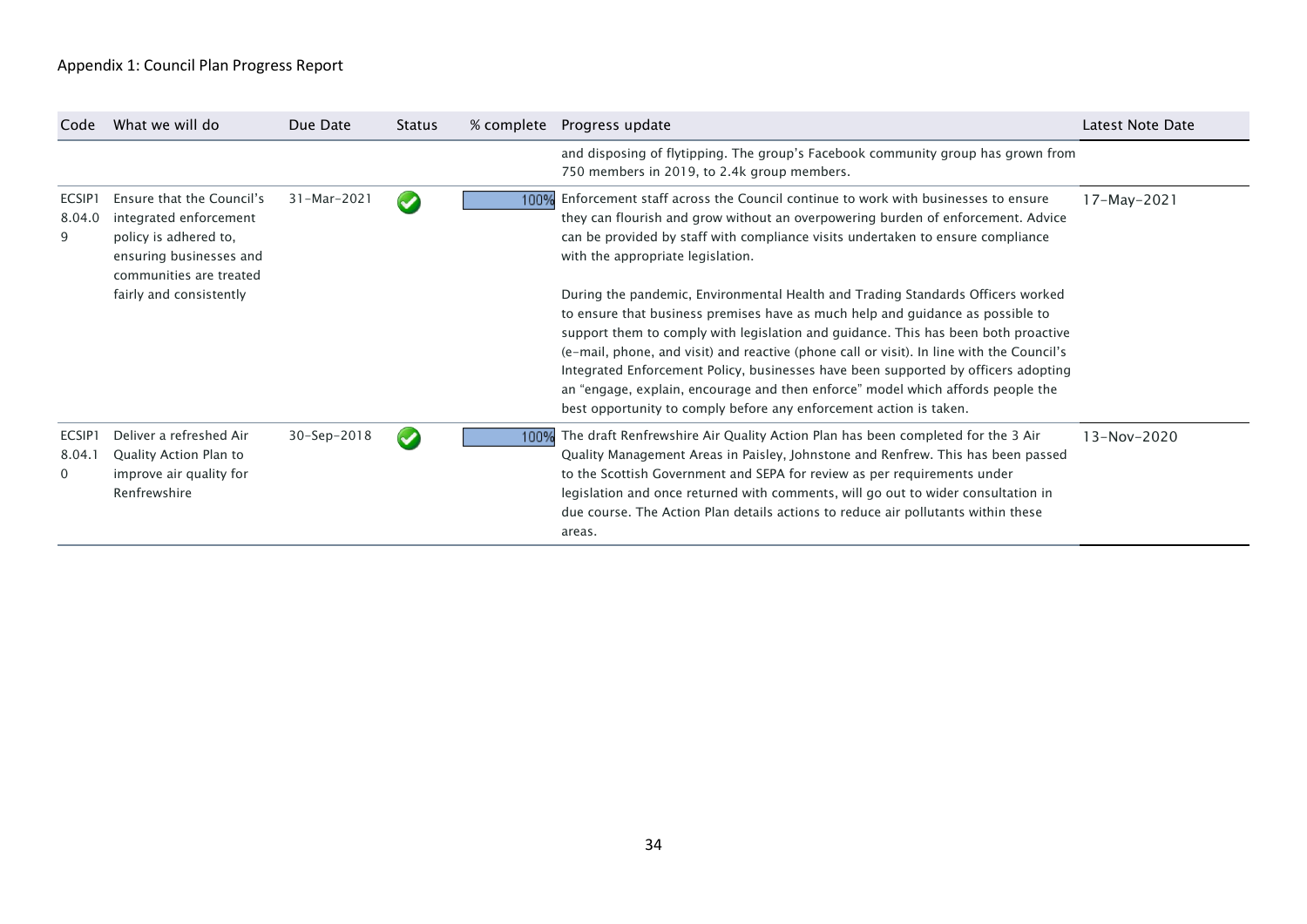| Code                  | What we will do                                                                                                                    | Due Date    | <b>Status</b>           |      | % complete Progress update                                                                                                                                                                                                                                                                                                                                                                                                                                                                                                                                                                          | Latest Note Date |
|-----------------------|------------------------------------------------------------------------------------------------------------------------------------|-------------|-------------------------|------|-----------------------------------------------------------------------------------------------------------------------------------------------------------------------------------------------------------------------------------------------------------------------------------------------------------------------------------------------------------------------------------------------------------------------------------------------------------------------------------------------------------------------------------------------------------------------------------------------------|------------------|
|                       |                                                                                                                                    |             |                         |      | and disposing of flytipping. The group's Facebook community group has grown from<br>750 members in 2019, to 2.4k group members.                                                                                                                                                                                                                                                                                                                                                                                                                                                                     |                  |
| ECSIP1<br>8.04.0<br>9 | Ensure that the Council's<br>integrated enforcement<br>policy is adhered to,<br>ensuring businesses and<br>communities are treated | 31-Mar-2021 | $\bullet$               | 100% | Enforcement staff across the Council continue to work with businesses to ensure<br>they can flourish and grow without an overpowering burden of enforcement. Advice<br>can be provided by staff with compliance visits undertaken to ensure compliance<br>with the appropriate legislation.                                                                                                                                                                                                                                                                                                         | 17-May-2021      |
|                       | fairly and consistently                                                                                                            |             |                         |      | During the pandemic, Environmental Health and Trading Standards Officers worked<br>to ensure that business premises have as much help and quidance as possible to<br>support them to comply with legislation and guidance. This has been both proactive<br>(e-mail, phone, and visit) and reactive (phone call or visit). In line with the Council's<br>Integrated Enforcement Policy, businesses have been supported by officers adopting<br>an "engage, explain, encourage and then enforce" model which affords people the<br>best opportunity to comply before any enforcement action is taken. |                  |
| ECSIP1<br>8.04.1<br>0 | Deliver a refreshed Air<br>Quality Action Plan to<br>improve air quality for<br>Renfrewshire                                       | 30-Sep-2018 | $\overline{\mathbf{v}}$ | 100% | The draft Renfrewshire Air Quality Action Plan has been completed for the 3 Air<br>Quality Management Areas in Paisley, Johnstone and Renfrew. This has been passed<br>to the Scottish Government and SEPA for review as per requirements under<br>legislation and once returned with comments, will go out to wider consultation in<br>due course. The Action Plan details actions to reduce air pollutants within these<br>areas.                                                                                                                                                                 | 13-Nov-2020      |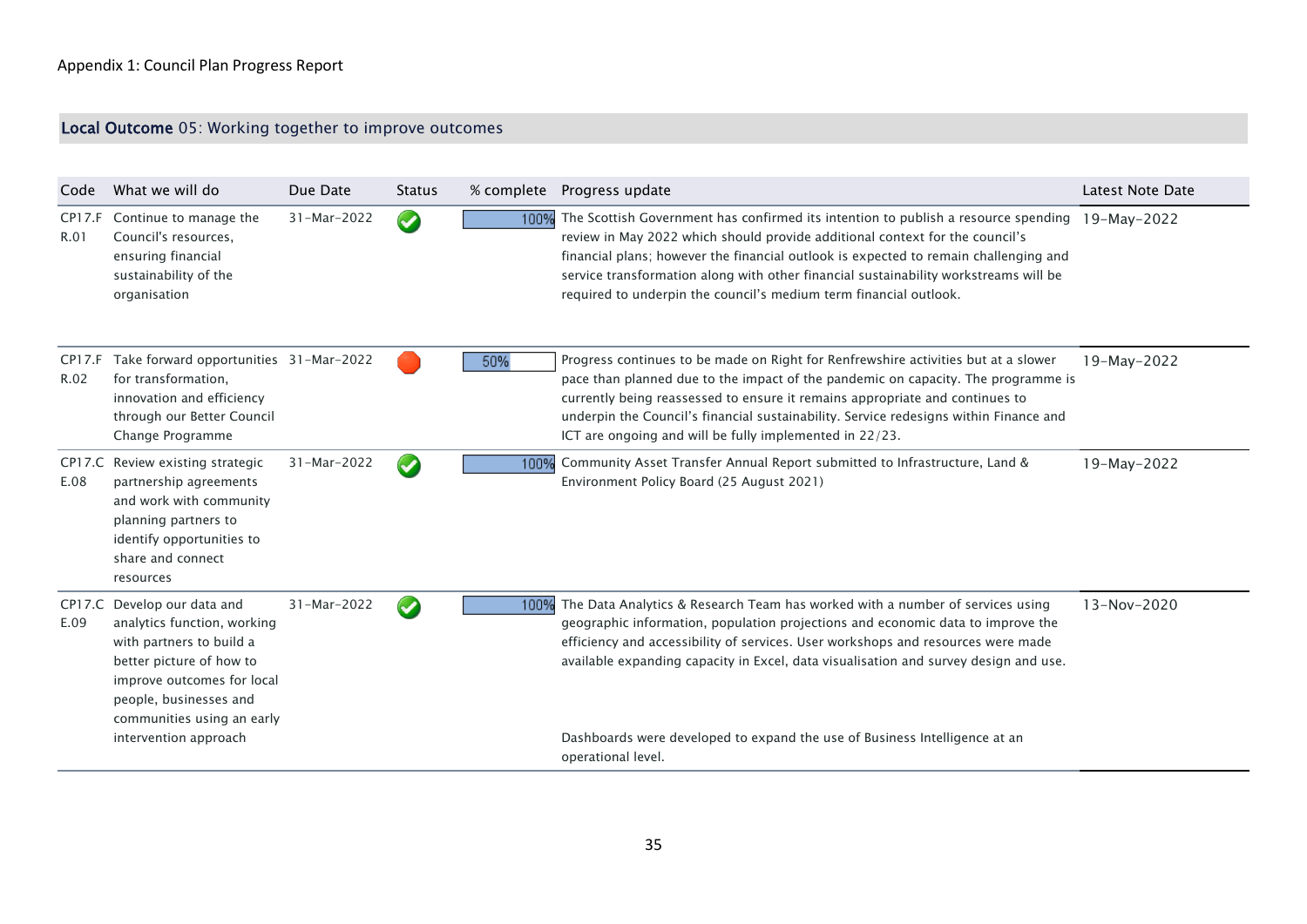# Local Outcome 05: Working together to improve outcomes

| Code           | What we will do                                                                                                                                                                                          | Due Date    | <b>Status</b>        |      | % complete  Progress update                                                                                                                                                                                                                                                                                                                                                                                             | Latest Note Date |
|----------------|----------------------------------------------------------------------------------------------------------------------------------------------------------------------------------------------------------|-------------|----------------------|------|-------------------------------------------------------------------------------------------------------------------------------------------------------------------------------------------------------------------------------------------------------------------------------------------------------------------------------------------------------------------------------------------------------------------------|------------------|
| CP17.F<br>R.01 | Continue to manage the<br>Council's resources,<br>ensuring financial<br>sustainability of the<br>organisation                                                                                            | 31-Mar-2022 | $\blacktriangledown$ | 100% | The Scottish Government has confirmed its intention to publish a resource spending<br>review in May 2022 which should provide additional context for the council's<br>financial plans; however the financial outlook is expected to remain challenging and<br>service transformation along with other financial sustainability workstreams will be<br>required to underpin the council's medium term financial outlook. | 19-May-2022      |
| CP17.F<br>R.02 | Take forward opportunities 31-Mar-2022<br>for transformation,<br>innovation and efficiency<br>through our Better Council<br>Change Programme                                                             |             |                      | 50%  | Progress continues to be made on Right for Renfrewshire activities but at a slower<br>pace than planned due to the impact of the pandemic on capacity. The programme is<br>currently being reassessed to ensure it remains appropriate and continues to<br>underpin the Council's financial sustainability. Service redesigns within Finance and<br>ICT are ongoing and will be fully implemented in 22/23.             | 19-May-2022      |
| E.08           | CP17.C Review existing strategic<br>partnership agreements<br>and work with community<br>planning partners to<br>identify opportunities to<br>share and connect<br>resources                             | 31-Mar-2022 | $\blacktriangledown$ | 100% | Community Asset Transfer Annual Report submitted to Infrastructure, Land &<br>Environment Policy Board (25 August 2021)                                                                                                                                                                                                                                                                                                 | 19-May-2022      |
| E.09           | CP17.C Develop our data and<br>analytics function, working<br>with partners to build a<br>better picture of how to<br>improve outcomes for local<br>people, businesses and<br>communities using an early | 31-Mar-2022 | $\blacktriangledown$ | 100% | The Data Analytics & Research Team has worked with a number of services using<br>geographic information, population projections and economic data to improve the<br>efficiency and accessibility of services. User workshops and resources were made<br>available expanding capacity in Excel, data visualisation and survey design and use.                                                                            | 13-Nov-2020      |
|                | intervention approach                                                                                                                                                                                    |             |                      |      | Dashboards were developed to expand the use of Business Intelligence at an<br>operational level.                                                                                                                                                                                                                                                                                                                        |                  |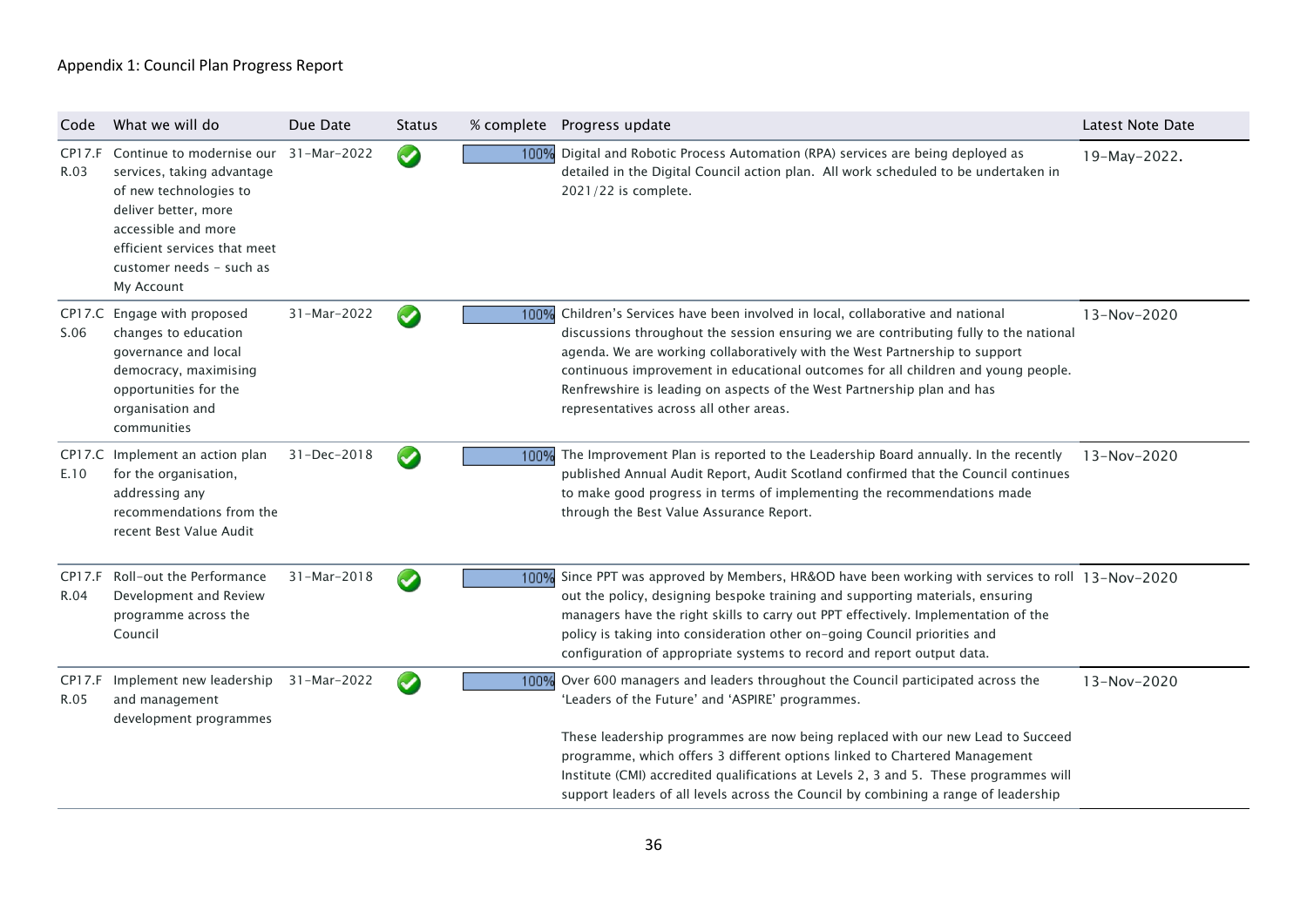| Code                  | What we will do                                                                                                                                                                                            | Due Date          | <b>Status</b>         |      | % complete Progress update                                                                                                                                                                                                                                                                                                                                                                                                                                                        | Latest Note Date |
|-----------------------|------------------------------------------------------------------------------------------------------------------------------------------------------------------------------------------------------------|-------------------|-----------------------|------|-----------------------------------------------------------------------------------------------------------------------------------------------------------------------------------------------------------------------------------------------------------------------------------------------------------------------------------------------------------------------------------------------------------------------------------------------------------------------------------|------------------|
| <b>CP17.F</b><br>R.03 | Continue to modernise our<br>services, taking advantage<br>of new technologies to<br>deliver better, more<br>accessible and more<br>efficient services that meet<br>customer needs - such as<br>My Account | 31-Mar-2022       | $\bullet$             |      | 100% Digital and Robotic Process Automation (RPA) services are being deployed as<br>detailed in the Digital Council action plan. All work scheduled to be undertaken in<br>2021/22 is complete.                                                                                                                                                                                                                                                                                   | 19-May-2022.     |
| S.06                  | CP17.C Engage with proposed<br>changes to education<br>governance and local<br>democracy, maximising<br>opportunities for the<br>organisation and<br>communities                                           | 31-Mar-2022       | $\blacktriangleright$ | 100% | Children's Services have been involved in local, collaborative and national<br>discussions throughout the session ensuring we are contributing fully to the national<br>agenda. We are working collaboratively with the West Partnership to support<br>continuous improvement in educational outcomes for all children and young people.<br>Renfrewshire is leading on aspects of the West Partnership plan and has<br>representatives across all other areas.                    | 13-Nov-2020      |
| E.10                  | CP17.C Implement an action plan<br>for the organisation,<br>addressing any<br>recommendations from the<br>recent Best Value Audit                                                                          | 31-Dec-2018       | $\blacktriangledown$  | 100% | The Improvement Plan is reported to the Leadership Board annually. In the recently<br>published Annual Audit Report, Audit Scotland confirmed that the Council continues<br>to make good progress in terms of implementing the recommendations made<br>through the Best Value Assurance Report.                                                                                                                                                                                   | $13 - Nov-2020$  |
| CP17.F<br>R.04        | Roll-out the Performance<br>Development and Review<br>programme across the<br>Council                                                                                                                      | $31 - Mar - 2018$ | $\blacklozenge$       | 100% | Since PPT was approved by Members, HR&OD have been working with services to roll 13-Nov-2020<br>out the policy, designing bespoke training and supporting materials, ensuring<br>managers have the right skills to carry out PPT effectively. Implementation of the<br>policy is taking into consideration other on-going Council priorities and<br>configuration of appropriate systems to record and report output data.                                                        |                  |
| CP17.F<br>R.05        | Implement new leadership<br>and management<br>development programmes                                                                                                                                       | 31-Mar-2022       | V                     | 100% | Over 600 managers and leaders throughout the Council participated across the<br>'Leaders of the Future' and 'ASPIRE' programmes.<br>These leadership programmes are now being replaced with our new Lead to Succeed<br>programme, which offers 3 different options linked to Chartered Management<br>Institute (CMI) accredited qualifications at Levels 2, 3 and 5. These programmes will<br>support leaders of all levels across the Council by combining a range of leadership | 13-Nov-2020      |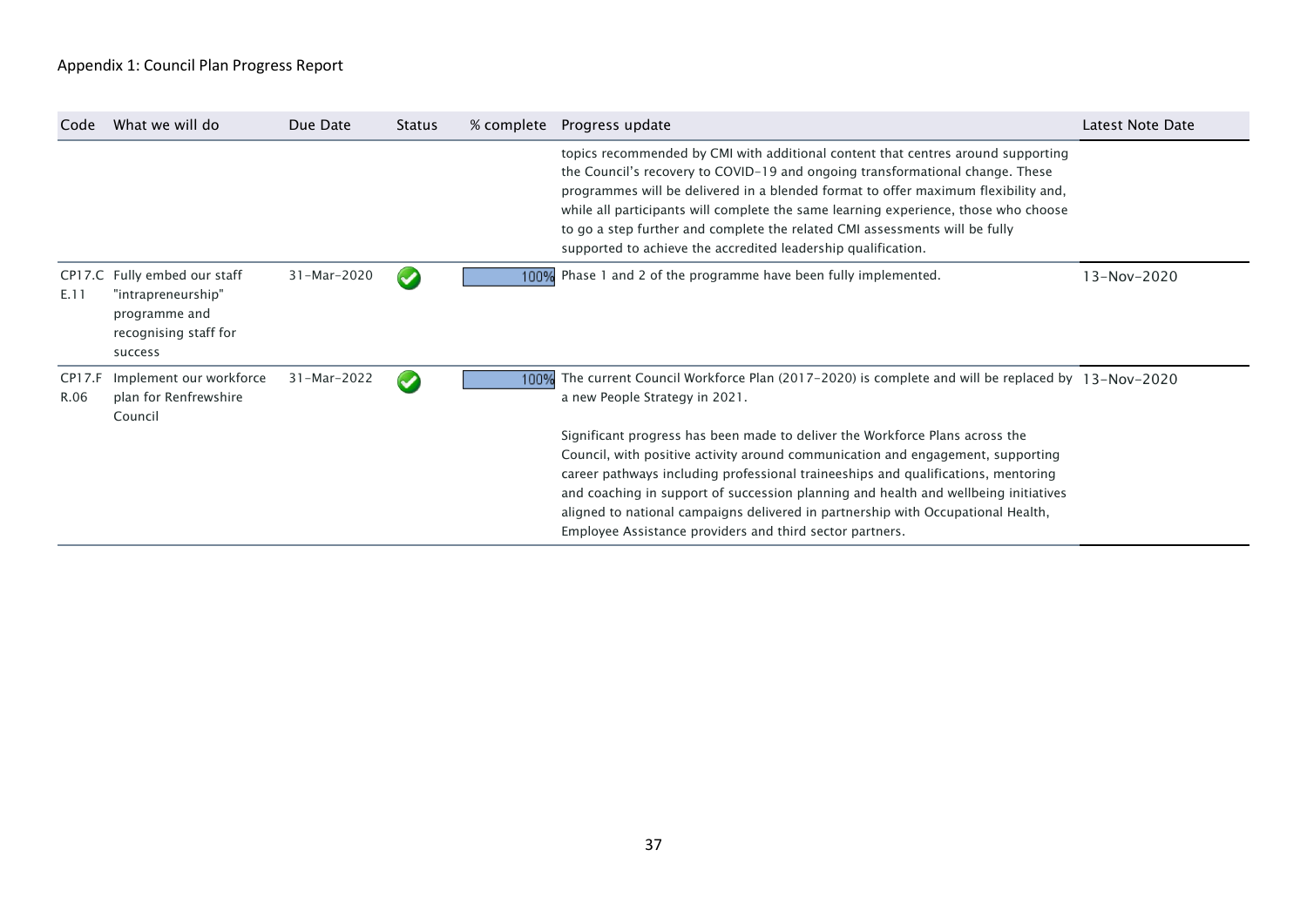| Code           | What we will do                                                                                         | Due Date    | Status                | % complete Progress update                                                                                                                                                                                                                                                                                                                                                                                                                                                                     | Latest Note Date |
|----------------|---------------------------------------------------------------------------------------------------------|-------------|-----------------------|------------------------------------------------------------------------------------------------------------------------------------------------------------------------------------------------------------------------------------------------------------------------------------------------------------------------------------------------------------------------------------------------------------------------------------------------------------------------------------------------|------------------|
|                |                                                                                                         |             |                       | topics recommended by CMI with additional content that centres around supporting<br>the Council's recovery to COVID-19 and ongoing transformational change. These<br>programmes will be delivered in a blended format to offer maximum flexibility and,<br>while all participants will complete the same learning experience, those who choose<br>to go a step further and complete the related CMI assessments will be fully<br>supported to achieve the accredited leadership qualification. |                  |
| E.11           | CP17.C Fully embed our staff<br>"intrapreneurship"<br>programme and<br>recognising staff for<br>success | 31-Mar-2020 | $\blacktriangledown$  | 100% Phase 1 and 2 of the programme have been fully implemented.                                                                                                                                                                                                                                                                                                                                                                                                                               | $13 - Nov-2020$  |
| CP17.F<br>R.06 | Implement our workforce<br>plan for Renfrewshire<br>Council                                             | 31-Mar-2022 | $\blacktriangleright$ | 100% The current Council Workforce Plan (2017-2020) is complete and will be replaced by 13-Nov-2020<br>a new People Strategy in 2021.                                                                                                                                                                                                                                                                                                                                                          |                  |
|                |                                                                                                         |             |                       | Significant progress has been made to deliver the Workforce Plans across the<br>Council, with positive activity around communication and engagement, supporting<br>career pathways including professional traineeships and qualifications, mentoring<br>and coaching in support of succession planning and health and wellbeing initiatives<br>aligned to national campaigns delivered in partnership with Occupational Health,<br>Employee Assistance providers and third sector partners.    |                  |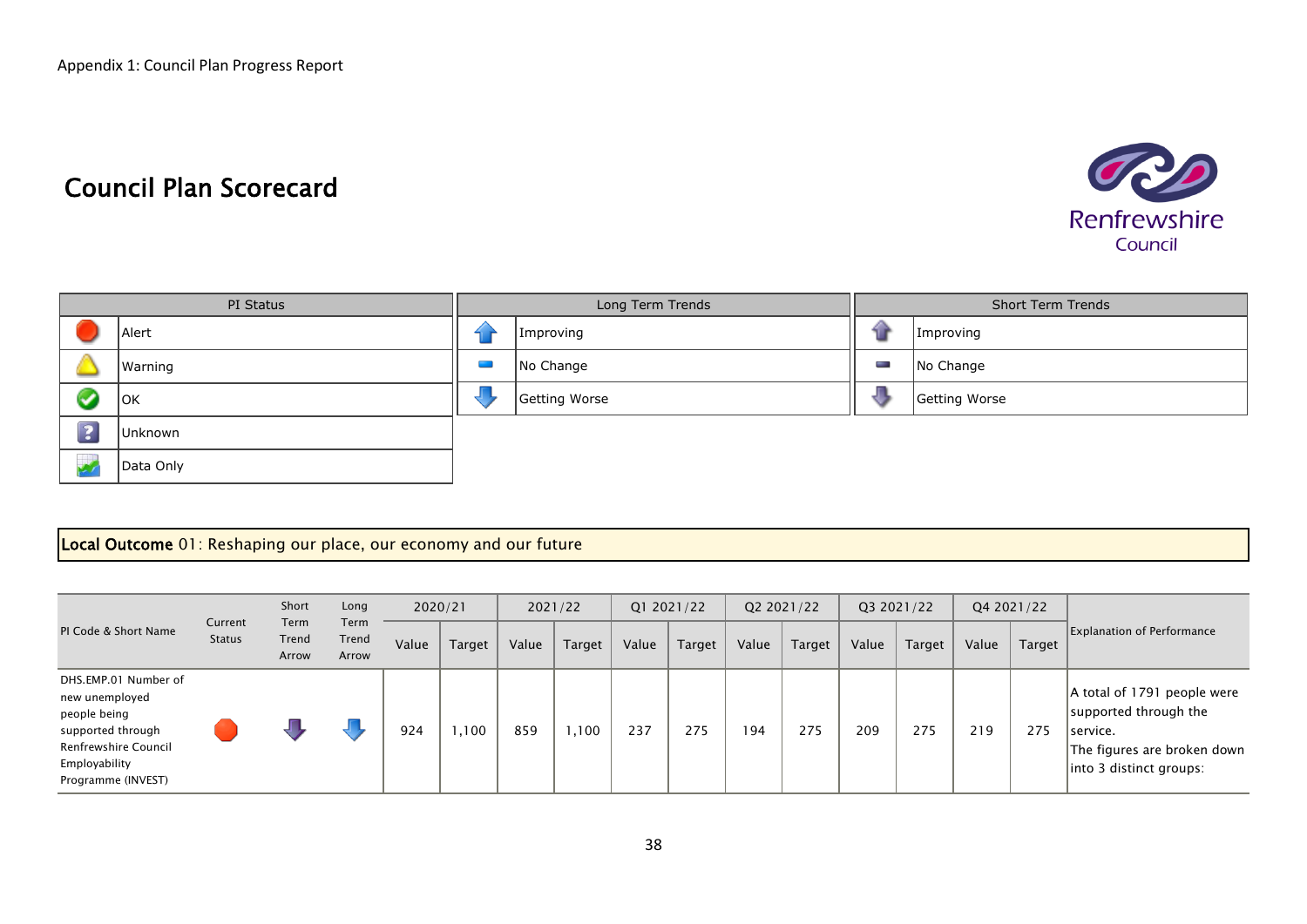# Council Plan Scorecard



|            | PI Status |                                                                                                               | Long Term Trends |   | <b>Short Term Trends</b> |
|------------|-----------|---------------------------------------------------------------------------------------------------------------|------------------|---|--------------------------|
|            | Alert     |                                                                                                               | Improving        |   | Improving                |
|            | Warning   | المستوفيات المستوفيات المستوفيات المستوفيات المستوفيات المستوفيات المستوفيات المستوفيات المستوفيات المستوفيات | No Change        | Ī | No Change                |
|            | OK        |                                                                                                               | Getting Worse    |   | Getting Worse            |
| $\sqrt{2}$ | Unknown   |                                                                                                               |                  |   |                          |
|            | Data Only |                                                                                                               |                  |   |                          |

#### Local Outcome 01: Reshaping our place, our economy and our future

|                                                                                                                                            |                          | Short                  | Long                   |       | 2020/21 |       | 2021/22 | Q1 2021/22 |        | Q2 2021/22 |        |       | Q3 2021/22    |       | Q4 2021/22    |                                                                                                                            |
|--------------------------------------------------------------------------------------------------------------------------------------------|--------------------------|------------------------|------------------------|-------|---------|-------|---------|------------|--------|------------|--------|-------|---------------|-------|---------------|----------------------------------------------------------------------------------------------------------------------------|
| PI Code & Short Name                                                                                                                       | Current<br><b>Status</b> | Term<br>Trend<br>Arrow | Term<br>Trend<br>Arrow | Value | Target  | Value | Target  | Value      | Target | Value      | Target | Value | <b>Target</b> | Value | <b>Target</b> | <b>Explanation of Performance</b>                                                                                          |
| DHS.EMP.01 Number of<br>new unemployed<br>people being<br>supported through<br>Renfrewshire Council<br>Employability<br>Programme (INVEST) |                          |                        |                        | 924   | ,100    | 859   | ,100    | 237        | 275    | 194        | 275    | 209   | 275           | 219   | 275           | A total of 1791 people were<br>supported through the<br>service.<br>The figures are broken down<br>into 3 distinct groups: |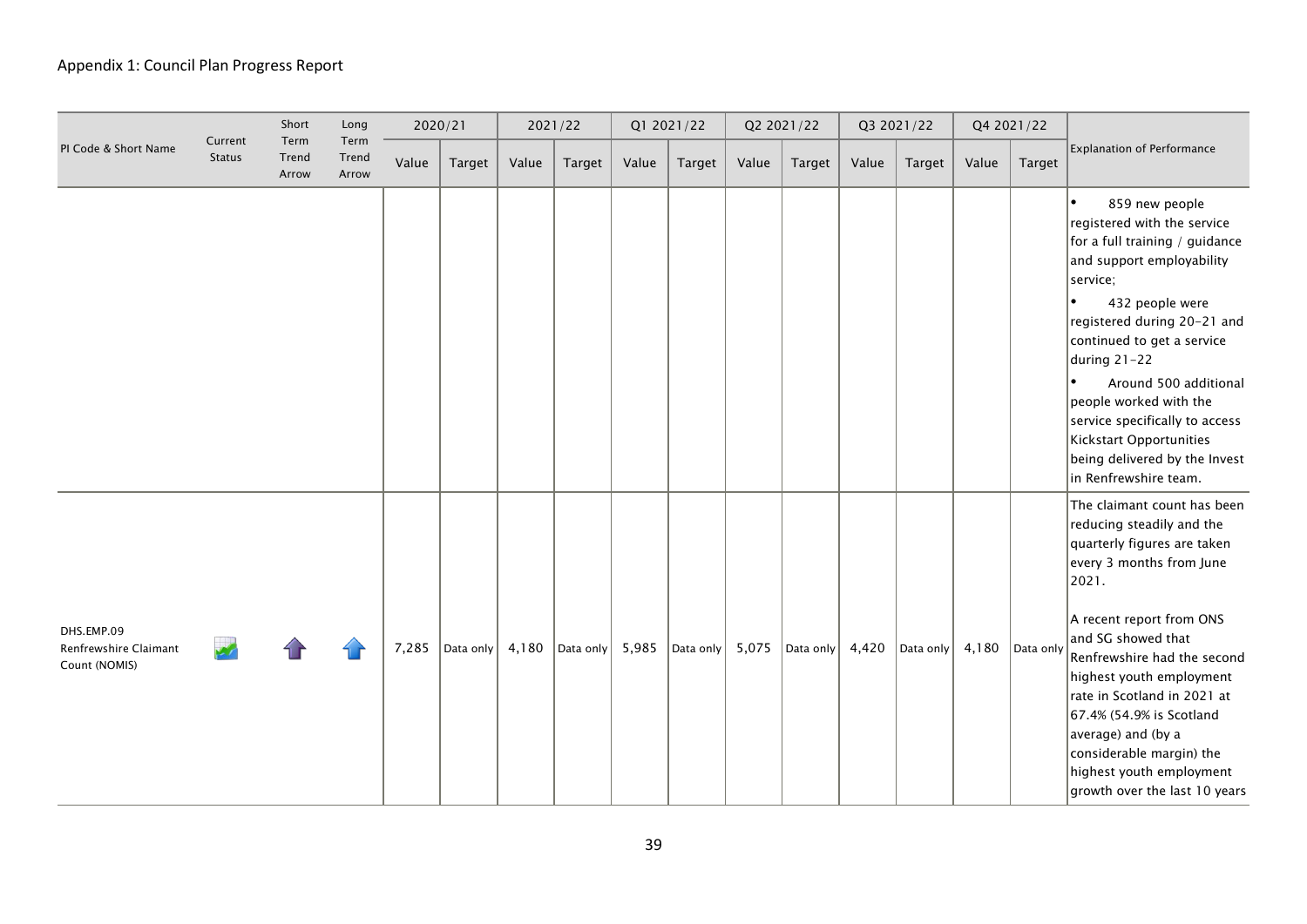|                                                      |                          | Short                  | Long                   | 2020/21 |           |       | 2021/22   |       | Q1 2021/22                                                                                |       | Q2 2021/22 |       | Q3 2021/22    |       | Q4 2021/22 |                                                                                                                                                                                                                                                                                                                                                                                                                              |
|------------------------------------------------------|--------------------------|------------------------|------------------------|---------|-----------|-------|-----------|-------|-------------------------------------------------------------------------------------------|-------|------------|-------|---------------|-------|------------|------------------------------------------------------------------------------------------------------------------------------------------------------------------------------------------------------------------------------------------------------------------------------------------------------------------------------------------------------------------------------------------------------------------------------|
| PI Code & Short Name                                 | Current<br><b>Status</b> | Term<br>Trend<br>Arrow | Term<br>Trend<br>Arrow | Value   | Target    | Value | Target    | Value | Target                                                                                    | Value | Target     | Value | <b>Target</b> | Value | Target     | Explanation of Performance                                                                                                                                                                                                                                                                                                                                                                                                   |
|                                                      |                          |                        |                        |         |           |       |           |       |                                                                                           |       |            |       |               |       |            | $\bullet$<br>859 new people<br>registered with the service<br>for a full training / guidance<br>and support employability<br>service;<br>432 people were<br>$\bullet$<br>registered during 20-21 and<br>continued to get a service<br>during 21-22<br>Around 500 additional<br>people worked with the<br>service specifically to access<br>Kickstart Opportunities<br>being delivered by the Invest<br>in Renfrewshire team. |
| DHS.EMP.09<br>Renfrewshire Claimant<br>Count (NOMIS) |                          |                        |                        | 7,285   | Data only | 4,180 | Data only | 5,985 | $\vert$ Data only $\vert$ 5,075 $\vert$ Data only $\vert$ 4,420 $\vert$ Data only $\vert$ |       |            |       |               | 4,180 | Data only  | The claimant count has been<br>reducing steadily and the<br>quarterly figures are taken<br>every 3 months from June<br>2021.<br>A recent report from ONS<br>and SG showed that<br>Renfrewshire had the second<br>highest youth employment<br>rate in Scotland in 2021 at<br>67.4% (54.9% is Scotland<br>average) and (by a<br>considerable margin) the<br>highest youth employment<br>growth over the last 10 years          |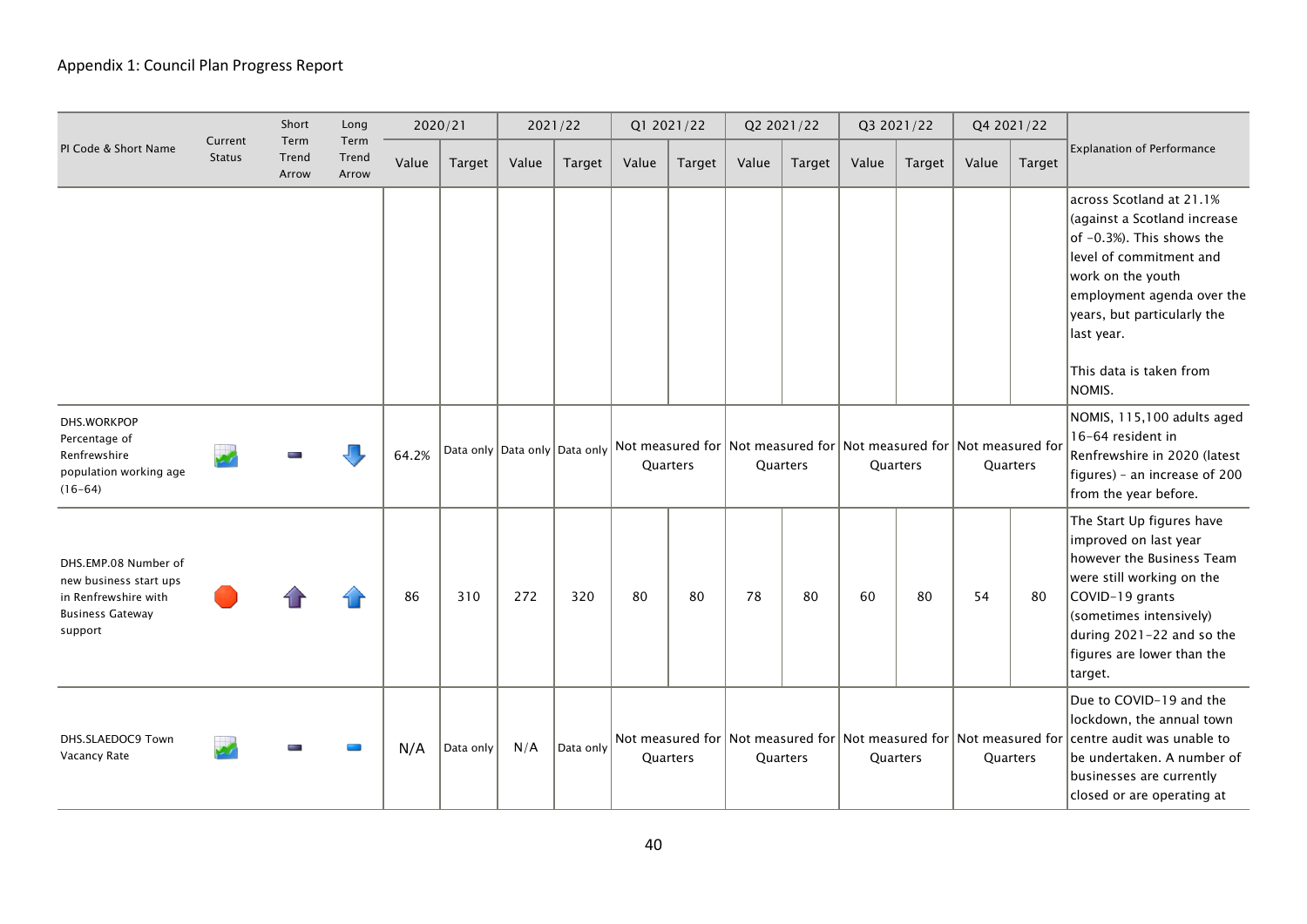|                                                                                                              |                          | Short                  | Long                   |       | 2020/21   |       | 2021/22   |       | Q1 2021/22 |                                                                                                     | Q2 2021/22    |       | Q3 2021/22 |                                                                                                               | Q4 2021/22 |                                                                                                                                                                                                                                                       |
|--------------------------------------------------------------------------------------------------------------|--------------------------|------------------------|------------------------|-------|-----------|-------|-----------|-------|------------|-----------------------------------------------------------------------------------------------------|---------------|-------|------------|---------------------------------------------------------------------------------------------------------------|------------|-------------------------------------------------------------------------------------------------------------------------------------------------------------------------------------------------------------------------------------------------------|
| PI Code & Short Name                                                                                         | Current<br><b>Status</b> | Term<br>Trend<br>Arrow | Term<br>Trend<br>Arrow | Value | Target    | Value | Target    | Value | Target     | Value                                                                                               | <b>Target</b> | Value | Target     | Value                                                                                                         | Target     | <b>Explanation of Performance</b>                                                                                                                                                                                                                     |
|                                                                                                              |                          |                        |                        |       |           |       |           |       |            |                                                                                                     |               |       |            |                                                                                                               |            | across Scotland at 21.1%<br>(against a Scotland increase<br>of -0.3%). This shows the<br>level of commitment and<br>work on the youth<br>employment agenda over the<br>years, but particularly the<br>last year.<br>This data is taken from<br>NOMIS. |
| DHS.WORKPOP<br>Percentage of<br>Renfrewshire<br>population working age<br>$(16-64)$                          |                          |                        |                        | 64.2% |           |       |           |       | Quarters   |                                                                                                     | Quarters      |       | Quarters   | Data only Data only Data only Not measured for Not measured for Not measured for Not measured for<br>Quarters |            | NOMIS, 115,100 adults aged<br>16-64 resident in<br>Renfrewshire in 2020 (latest<br>figures) - an increase of 200<br>from the year before.                                                                                                             |
| DHS.EMP.08 Number of<br>new business start ups<br>in Renfrewshire with<br><b>Business Gateway</b><br>support |                          |                        |                        | 86    | 310       | 272   | 320       | 80    | 80         | 78                                                                                                  | 80            | 60    | 80         | 54                                                                                                            | 80         | The Start Up figures have<br>improved on last year<br>however the Business Team<br>were still working on the<br>COVID-19 grants<br>(sometimes intensively)<br>during 2021-22 and so the<br>figures are lower than the<br>target.                      |
| DHS.SLAEDOC9 Town<br>Vacancy Rate                                                                            |                          |                        |                        | N/A   | Data only | N/A   | Data only |       | Quarters   | $\vert$ Not measured for $\vert$ Not measured for $\vert$ Not measured for $\vert$ Not measured for | Quarters      |       | Quarters   |                                                                                                               | Quarters   | Due to COVID-19 and the<br>lockdown, the annual town<br>centre audit was unable to<br>be undertaken. A number of<br>businesses are currently<br>closed or are operating at                                                                            |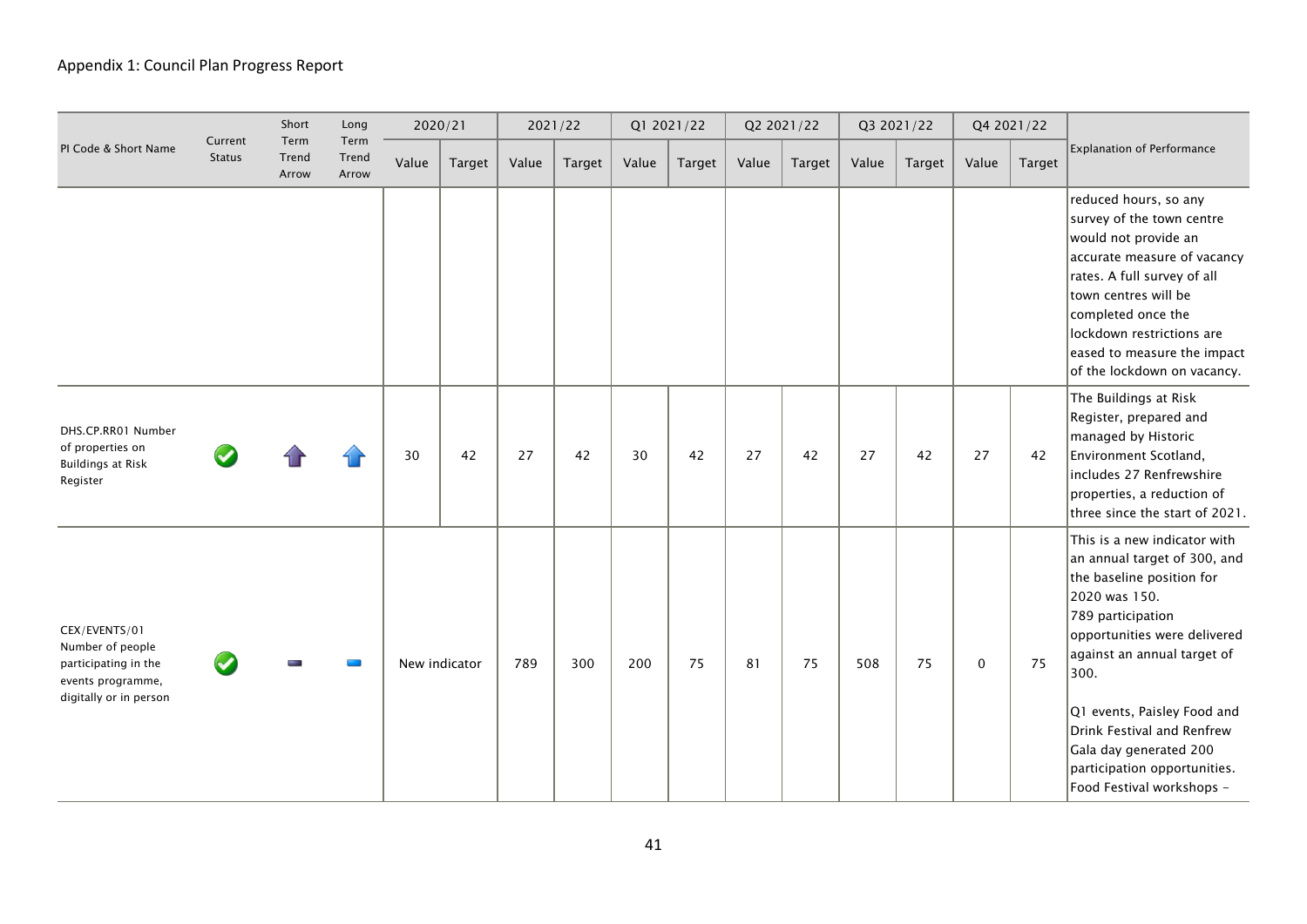|                                                                                                          |                          | Short                  | Long                   | 2020/21 |               |       | 2021/22 |       | Q1 2021/22 |       | Q2 2021/22 |       | Q3 2021/22 |             | Q4 2021/22    |                                                                                                                                                                                                                                                                                                                                                            |
|----------------------------------------------------------------------------------------------------------|--------------------------|------------------------|------------------------|---------|---------------|-------|---------|-------|------------|-------|------------|-------|------------|-------------|---------------|------------------------------------------------------------------------------------------------------------------------------------------------------------------------------------------------------------------------------------------------------------------------------------------------------------------------------------------------------------|
| PI Code & Short Name                                                                                     | Current<br><b>Status</b> | Term<br>Trend<br>Arrow | Term<br>Trend<br>Arrow | Value   | Target        | Value | Target  | Value | Target     | Value | Target     | Value | Target     | Value       | <b>Target</b> | Explanation of Performance                                                                                                                                                                                                                                                                                                                                 |
|                                                                                                          |                          |                        |                        |         |               |       |         |       |            |       |            |       |            |             |               | reduced hours, so any<br>survey of the town centre<br>would not provide an<br>accurate measure of vacancy<br>rates. A full survey of all<br>town centres will be<br>completed once the<br>lockdown restrictions are<br>eased to measure the impact<br>of the lockdown on vacancy.                                                                          |
| DHS.CP.RR01 Number<br>of properties on<br><b>Buildings at Risk</b><br>Register                           |                          |                        |                        | 30      | 42            | 27    | 42      | 30    | 42         | 27    | 42         | 27    | 42         | 27          | 42            | The Buildings at Risk<br>Register, prepared and<br>managed by Historic<br>Environment Scotland,<br>includes 27 Renfrewshire<br>properties, a reduction of<br>three since the start of 2021.                                                                                                                                                                |
| CEX/EVENTS/01<br>Number of people<br>participating in the<br>events programme,<br>digitally or in person |                          |                        |                        |         | New indicator | 789   | 300     | 200   | 75         | 81    | 75         | 508   | 75         | $\mathbf 0$ | 75            | This is a new indicator with<br>an annual target of 300, and<br>the baseline position for<br>2020 was 150.<br>789 participation<br>opportunities were delivered<br>against an annual target of<br>300.<br>Q1 events, Paisley Food and<br>Drink Festival and Renfrew<br>Gala day generated 200<br>participation opportunities.<br>Food Festival workshops - |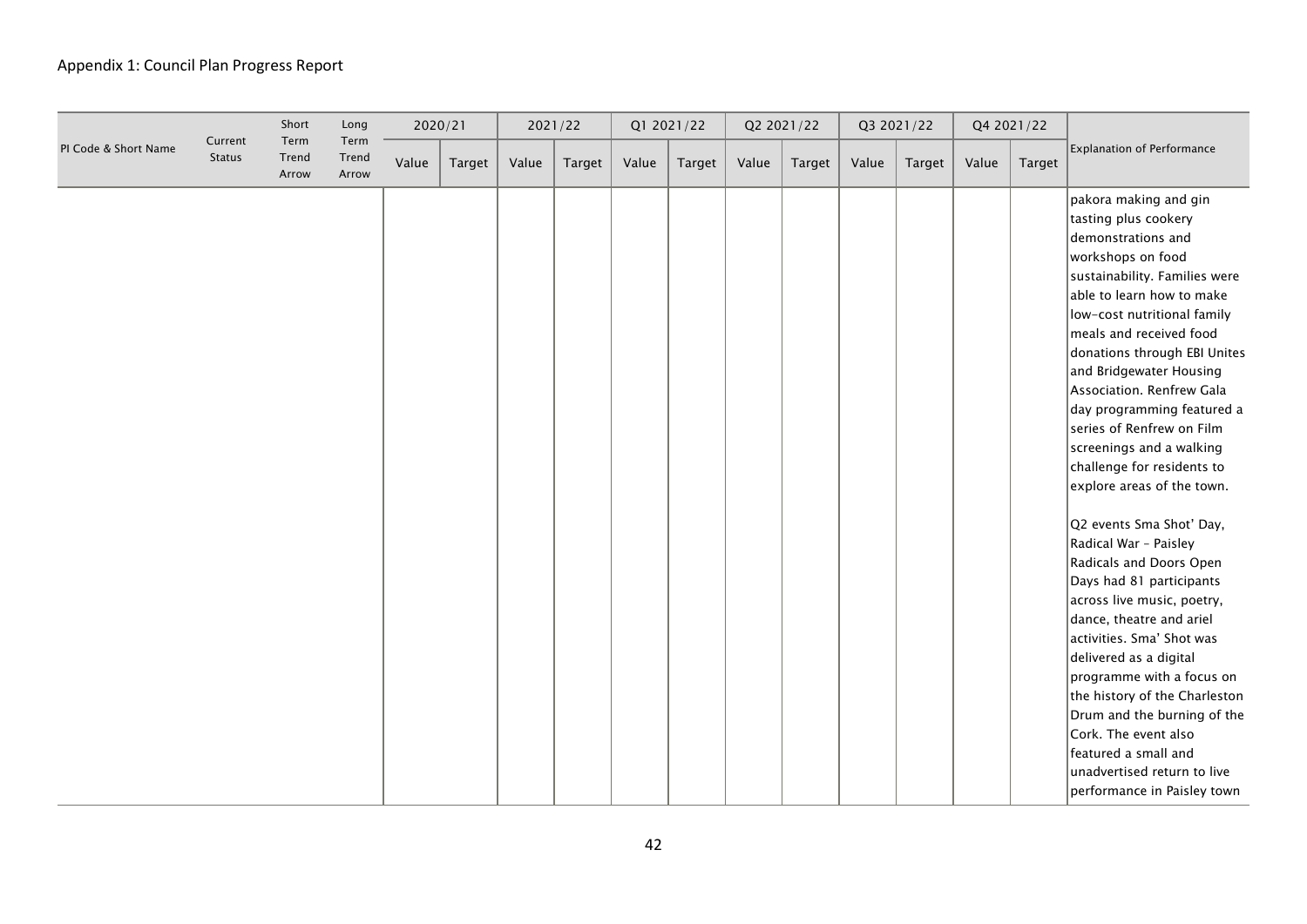|                      |                          | Short                  | Long                   | 2020/21 |        | 2021/22 |        |       | Q1 2021/22 |       | Q2 2021/22 |       | Q3 2021/22 | Q4 2021/22 |               |                                                                                                                                                                                                                                                                                                                                                                                                                                                                                                                                                                                                                                                                                                                                                                                                                                                                                                     |
|----------------------|--------------------------|------------------------|------------------------|---------|--------|---------|--------|-------|------------|-------|------------|-------|------------|------------|---------------|-----------------------------------------------------------------------------------------------------------------------------------------------------------------------------------------------------------------------------------------------------------------------------------------------------------------------------------------------------------------------------------------------------------------------------------------------------------------------------------------------------------------------------------------------------------------------------------------------------------------------------------------------------------------------------------------------------------------------------------------------------------------------------------------------------------------------------------------------------------------------------------------------------|
| PI Code & Short Name | Current<br><b>Status</b> | Term<br>Trend<br>Arrow | Term<br>Trend<br>Arrow | Value   | Target | Value   | Target | Value | Target     | Value | Target     | Value | Target     | Value      | <b>Target</b> | <b>Explanation of Performance</b>                                                                                                                                                                                                                                                                                                                                                                                                                                                                                                                                                                                                                                                                                                                                                                                                                                                                   |
|                      |                          |                        |                        |         |        |         |        |       |            |       |            |       |            |            |               | pakora making and gin<br>tasting plus cookery<br>demonstrations and<br>workshops on food<br>sustainability. Families were<br>able to learn how to make<br>low-cost nutritional family<br>meals and received food<br>donations through EBI Unites<br>and Bridgewater Housing<br>Association. Renfrew Gala<br>day programming featured a<br>series of Renfrew on Film<br>screenings and a walking<br>challenge for residents to<br>explore areas of the town.<br>Q2 events Sma Shot' Day,<br>Radical War - Paisley<br>Radicals and Doors Open<br>Days had 81 participants<br>across live music, poetry,<br>dance, theatre and ariel<br>activities. Sma' Shot was<br>delivered as a digital<br>programme with a focus on<br>the history of the Charleston<br>Drum and the burning of the<br>Cork. The event also<br>featured a small and<br>unadvertised return to live<br>performance in Paisley town |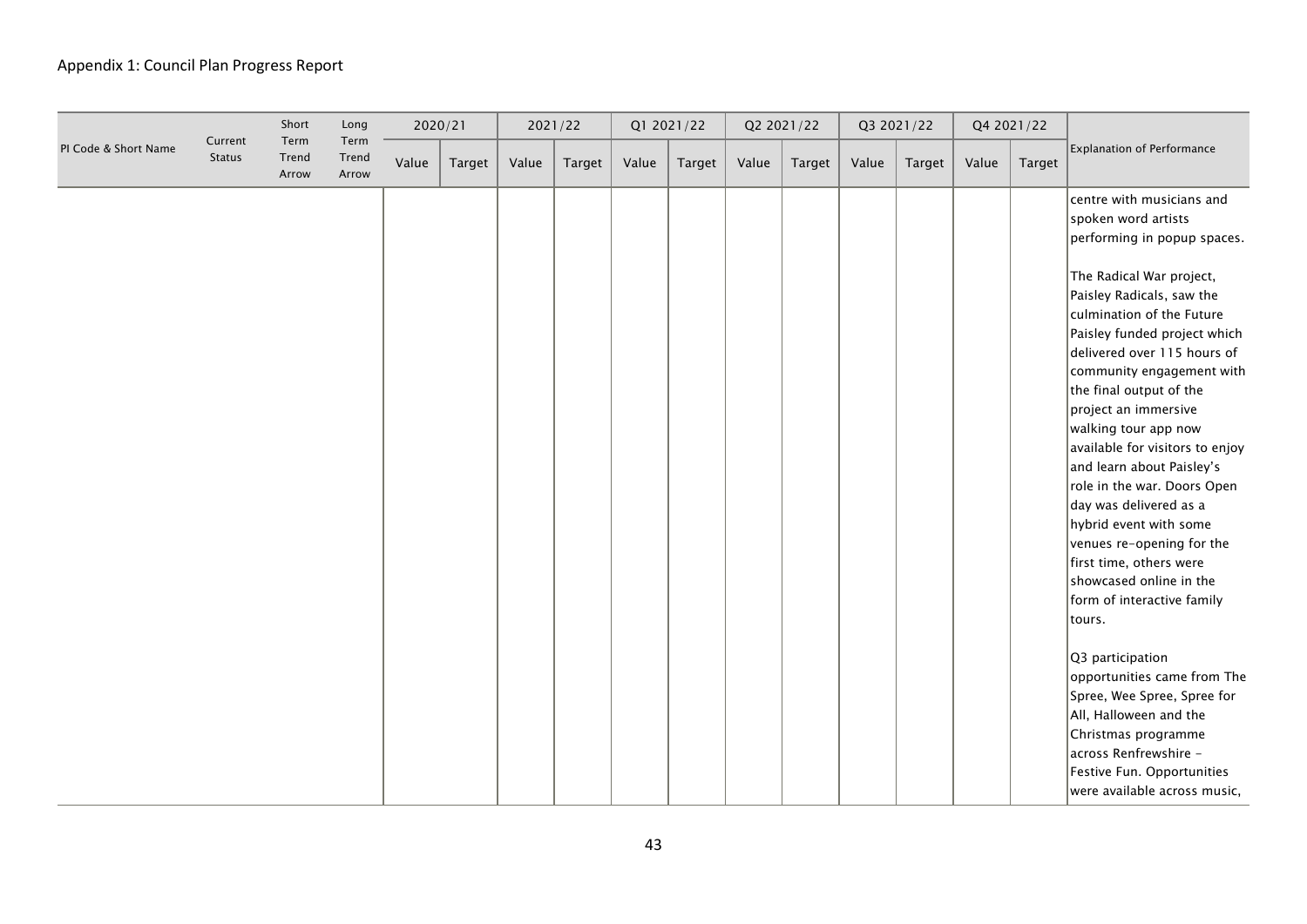|                      |                          | Short                  | Long                   |       | 2020/21       | 2021/22 |        |       | Q1 2021/22 |       | Q2 2021/22 |       | Q3 2021/22 |       | Q4 2021/22    |                                                                                                                                                                                                                                                                                                                                                                                                                                                                                                                                                                                                                            |
|----------------------|--------------------------|------------------------|------------------------|-------|---------------|---------|--------|-------|------------|-------|------------|-------|------------|-------|---------------|----------------------------------------------------------------------------------------------------------------------------------------------------------------------------------------------------------------------------------------------------------------------------------------------------------------------------------------------------------------------------------------------------------------------------------------------------------------------------------------------------------------------------------------------------------------------------------------------------------------------------|
| PI Code & Short Name | Current<br><b>Status</b> | Term<br>Trend<br>Arrow | Term<br>Trend<br>Arrow | Value | <b>Target</b> | Value   | Target | Value | Target     | Value | Target     | Value | Target     | Value | <b>Target</b> | Explanation of Performance                                                                                                                                                                                                                                                                                                                                                                                                                                                                                                                                                                                                 |
|                      |                          |                        |                        |       |               |         |        |       |            |       |            |       |            |       |               | centre with musicians and<br>spoken word artists<br>performing in popup spaces.<br>The Radical War project,<br>Paisley Radicals, saw the<br>culmination of the Future<br>Paisley funded project which<br>delivered over 115 hours of<br>community engagement with<br>the final output of the<br>project an immersive<br>walking tour app now<br>available for visitors to enjoy<br>and learn about Paisley's<br>role in the war. Doors Open<br>day was delivered as a<br>hybrid event with some<br>venues re-opening for the<br>first time, others were<br>showcased online in the<br>form of interactive family<br>tours. |
|                      |                          |                        |                        |       |               |         |        |       |            |       |            |       |            |       |               | Q3 participation<br>opportunities came from The<br>Spree, Wee Spree, Spree for<br>All, Halloween and the<br>Christmas programme<br>across Renfrewshire -<br>Festive Fun. Opportunities<br>were available across music,                                                                                                                                                                                                                                                                                                                                                                                                     |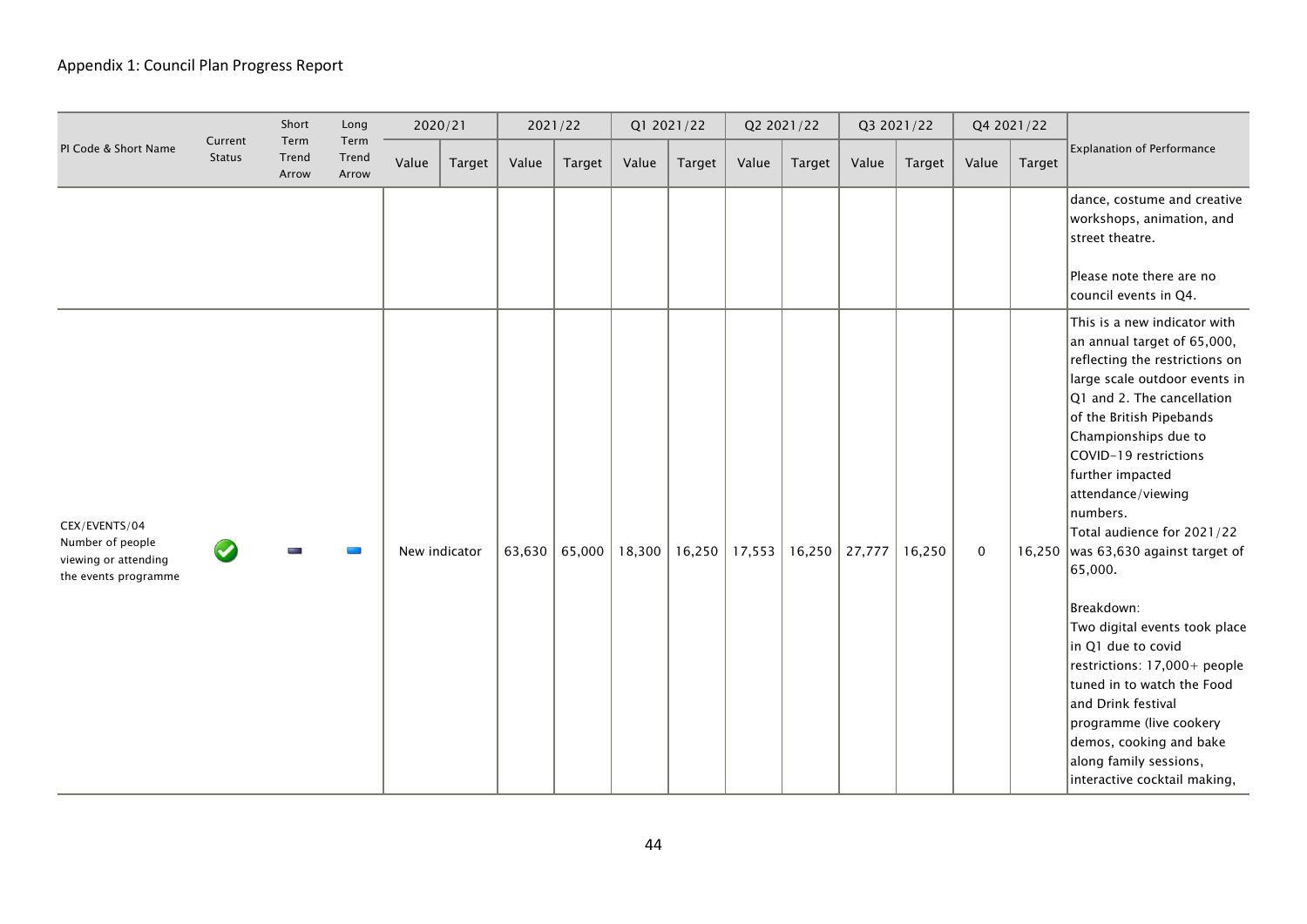|                                                                                   |                          | Short                  | Long                   |       | 2020/21       |       | 2021/22         |        | Q1 2021/22 |        | Q2 2021/22 |        | Q3 2021/22 |             | Q4 2021/22    |                                                                                                                                                                                                                                                                                                                                                                                                                                                                                                                                                                                                                                                            |
|-----------------------------------------------------------------------------------|--------------------------|------------------------|------------------------|-------|---------------|-------|-----------------|--------|------------|--------|------------|--------|------------|-------------|---------------|------------------------------------------------------------------------------------------------------------------------------------------------------------------------------------------------------------------------------------------------------------------------------------------------------------------------------------------------------------------------------------------------------------------------------------------------------------------------------------------------------------------------------------------------------------------------------------------------------------------------------------------------------------|
| PI Code & Short Name                                                              | Current<br><b>Status</b> | Term<br>Trend<br>Arrow | Term<br>Trend<br>Arrow | Value | Target        | Value | Target          | Value  | Target     | Value  | Target     | Value  | Target     | Value       | <b>Target</b> | <b>Explanation of Performance</b>                                                                                                                                                                                                                                                                                                                                                                                                                                                                                                                                                                                                                          |
|                                                                                   |                          |                        |                        |       |               |       |                 |        |            |        |            |        |            |             |               | dance, costume and creative<br>workshops, animation, and<br>street theatre.<br>Please note there are no<br>council events in Q4.                                                                                                                                                                                                                                                                                                                                                                                                                                                                                                                           |
| CEX/EVENTS/04<br>Number of people<br>viewing or attending<br>the events programme |                          |                        |                        |       | New indicator |       | 63,630   65,000 | 18,300 | 16,250     | 17,553 | 16,250     | 27,777 | 16,250     | $\mathbf 0$ |               | This is a new indicator with<br>an annual target of 65,000,<br>reflecting the restrictions on<br>large scale outdoor events in<br>Q1 and 2. The cancellation<br>of the British Pipebands<br>Championships due to<br>COVID-19 restrictions<br>further impacted<br>attendance/viewing<br>numbers.<br>Total audience for 2021/22<br>16,250   was 63,630 against target of<br>65,000.<br>Breakdown:<br>Two digital events took place<br>in Q1 due to covid<br>restrictions: 17,000+ people<br>tuned in to watch the Food<br>and Drink festival<br>programme (live cookery<br>demos, cooking and bake<br>along family sessions,<br>interactive cocktail making, |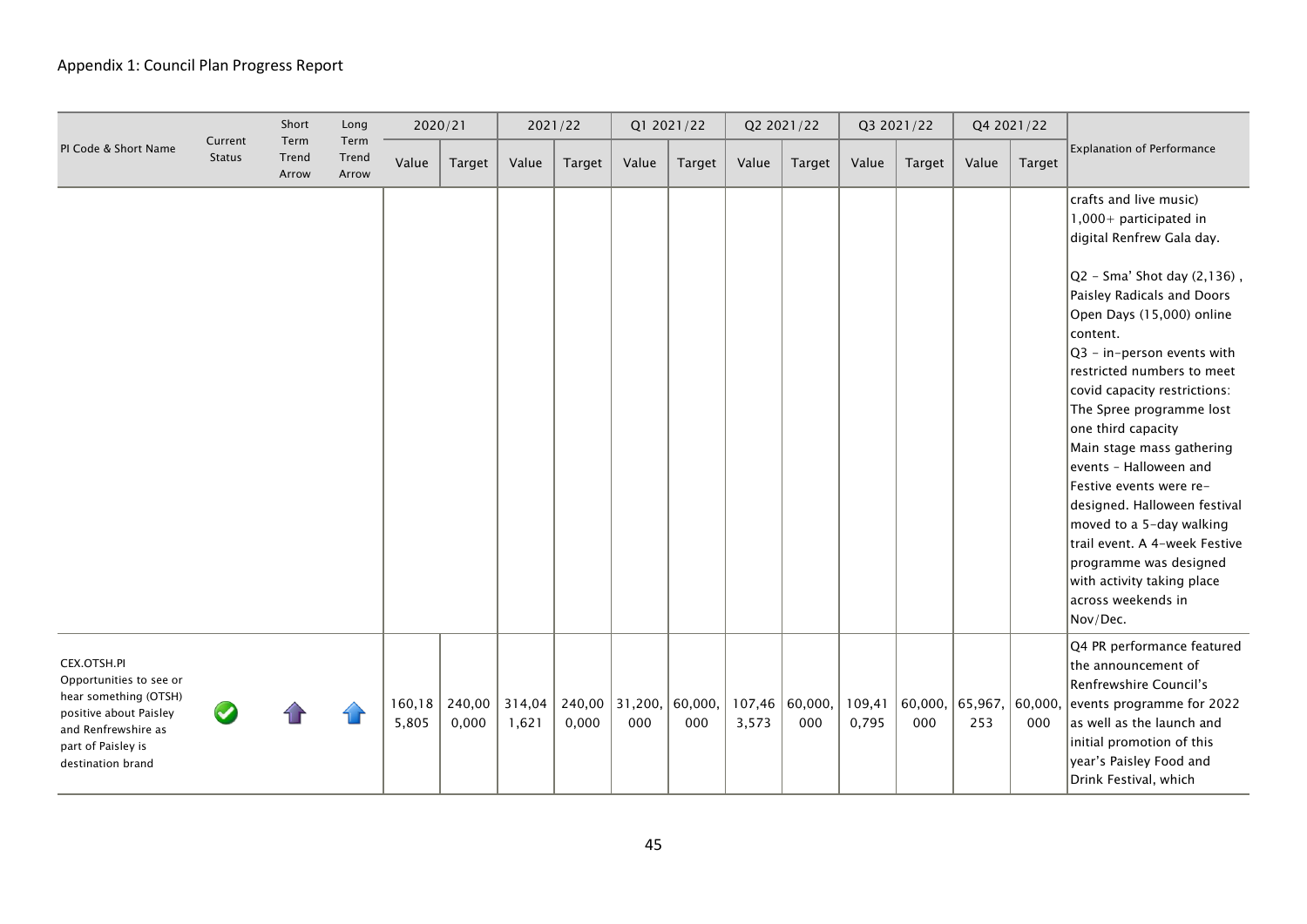|                                                                                                                                                             |                          | Short                  | Long                   |                 | 2020/21         | 2021/22         |        |                         | Q1 2021/22     |                 | Q2 2021/22     |                 | Q3 2021/22     |                | Q4 2021/22     |                                                                                                                                                                                                                                                                                                                                                                                                                                                                                                                                                                                                                     |
|-------------------------------------------------------------------------------------------------------------------------------------------------------------|--------------------------|------------------------|------------------------|-----------------|-----------------|-----------------|--------|-------------------------|----------------|-----------------|----------------|-----------------|----------------|----------------|----------------|---------------------------------------------------------------------------------------------------------------------------------------------------------------------------------------------------------------------------------------------------------------------------------------------------------------------------------------------------------------------------------------------------------------------------------------------------------------------------------------------------------------------------------------------------------------------------------------------------------------------|
| PI Code & Short Name                                                                                                                                        | Current<br><b>Status</b> | Term<br>Trend<br>Arrow | Term<br>Trend<br>Arrow | Value           | Target          | Value           | Target | Value                   | <b>Target</b>  | Value           | Target         | Value           | Target         | Value          | Target         | Explanation of Performance                                                                                                                                                                                                                                                                                                                                                                                                                                                                                                                                                                                          |
|                                                                                                                                                             |                          |                        |                        |                 |                 |                 |        |                         |                |                 |                |                 |                |                |                | crafts and live music)<br>1,000+ participated in<br>digital Renfrew Gala day.<br>$ Q2 - Sma'$ Shot day $(2, 136)$ ,<br>Paisley Radicals and Doors<br>Open Days (15,000) online<br>content.<br>$Q3 - in-person events with$<br>restricted numbers to meet<br>covid capacity restrictions:<br>The Spree programme lost<br>one third capacity<br>Main stage mass gathering<br>events - Halloween and<br>Festive events were re-<br>designed. Halloween festival<br>moved to a 5-day walking<br>trail event. A 4-week Festive<br>programme was designed<br>with activity taking place<br>across weekends in<br>Nov/Dec. |
| CEX.OTSH.PI<br>Opportunities to see or<br>hear something (OTSH)<br>positive about Paisley<br>and Renfrewshire as<br>part of Paisley is<br>destination brand |                          |                        |                        | 160,18<br>5,805 | 240,00<br>0,000 | 314,04<br>1,621 | 0,000  | $240,00$ 31,200,<br>000 | 60,000,<br>000 | 107,46<br>3,573 | 60,000,<br>000 | 109,41<br>0,795 | 60,000,<br>000 | 65,967,<br>253 | 60,000,<br>000 | Q4 PR performance featured<br>the announcement of<br>Renfrewshire Council's<br>events programme for 2022<br>as well as the launch and<br>initial promotion of this<br>year's Paisley Food and<br>Drink Festival, which                                                                                                                                                                                                                                                                                                                                                                                              |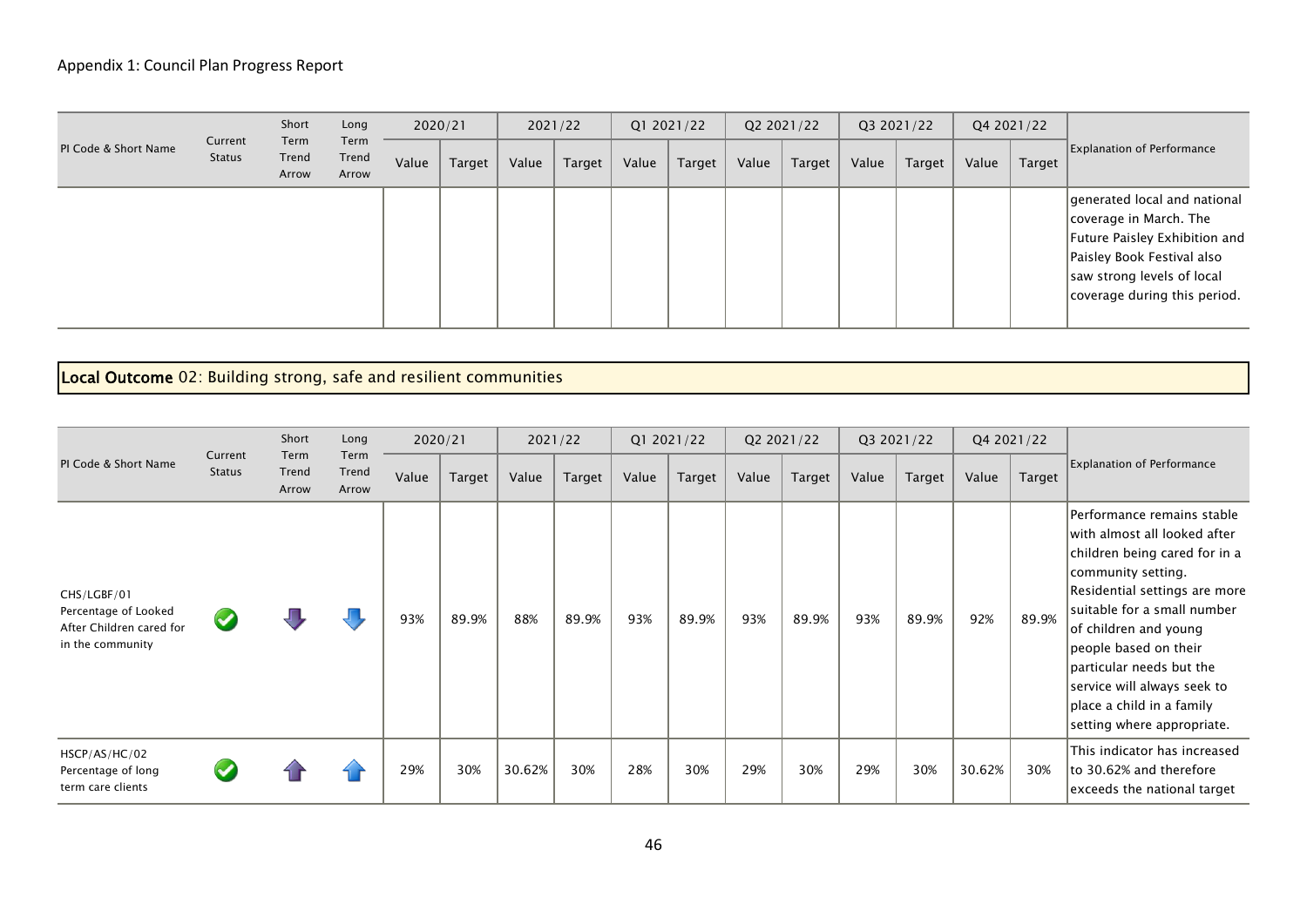|                      |                          | Short                  | Long                   |       | 2020/21 |       | 2021/22 |       | Q1 2021/22 |       | Q2 2021/22 |       | Q3 2021/22 |       | Q4 2021/22 |                                                                                                                                                                                      |
|----------------------|--------------------------|------------------------|------------------------|-------|---------|-------|---------|-------|------------|-------|------------|-------|------------|-------|------------|--------------------------------------------------------------------------------------------------------------------------------------------------------------------------------------|
| PI Code & Short Name | Current<br><b>Status</b> | Term<br>Trend<br>Arrow | Term<br>Trend<br>Arrow | Value | Target  | Value | Target  | Value | Target     | Value | Target     | Value | Target     | Value | Target     | <b>Explanation of Performance</b>                                                                                                                                                    |
|                      |                          |                        |                        |       |         |       |         |       |            |       |            |       |            |       |            | generated local and national<br> coverage in March. The<br>Future Paisley Exhibition and<br>Paisley Book Festival also<br>saw strong levels of local<br>coverage during this period. |

# Local Outcome 02: Building strong, safe and resilient communities

|                                                                                     |                          | Short                  | Long                   |       | 2020/21 |        | 2021/22 |       | Q1 2021/22 | Q2 2021/22 |        |       | Q3 2021/22 | Q4 2021/22 |        |                                                                                                                                                                                                                                                                                                                                                           |
|-------------------------------------------------------------------------------------|--------------------------|------------------------|------------------------|-------|---------|--------|---------|-------|------------|------------|--------|-------|------------|------------|--------|-----------------------------------------------------------------------------------------------------------------------------------------------------------------------------------------------------------------------------------------------------------------------------------------------------------------------------------------------------------|
| PI Code & Short Name                                                                | Current<br><b>Status</b> | Term<br>Trend<br>Arrow | Term<br>Trend<br>Arrow | Value | Target  | Value  | Target  | Value | Target     | Value      | Target | Value | Target     | Value      | Target | <b>Explanation of Performance</b>                                                                                                                                                                                                                                                                                                                         |
| CHS/LGBF/01<br>Percentage of Looked<br>After Children cared for<br>in the community | $\blacktriangledown$     |                        |                        | 93%   | 89.9%   | 88%    | 89.9%   | 93%   | 89.9%      | 93%        | 89.9%  | 93%   | 89.9%      | 92%        | 89.9%  | Performance remains stable<br>with almost all looked after<br>children being cared for in a<br>community setting.<br>Residential settings are more<br>suitable for a small number<br>of children and young<br>people based on their<br>particular needs but the<br>service will always seek to<br>place a child in a family<br>setting where appropriate. |
| HSCP/AS/HC/02<br>Percentage of long<br>term care clients                            |                          |                        |                        | 29%   | 30%     | 30.62% | 30%     | 28%   | 30%        | 29%        | 30%    | 29%   | 30%        | 30.62%     | 30%    | This indicator has increased<br>to 30.62% and therefore<br>exceeds the national target                                                                                                                                                                                                                                                                    |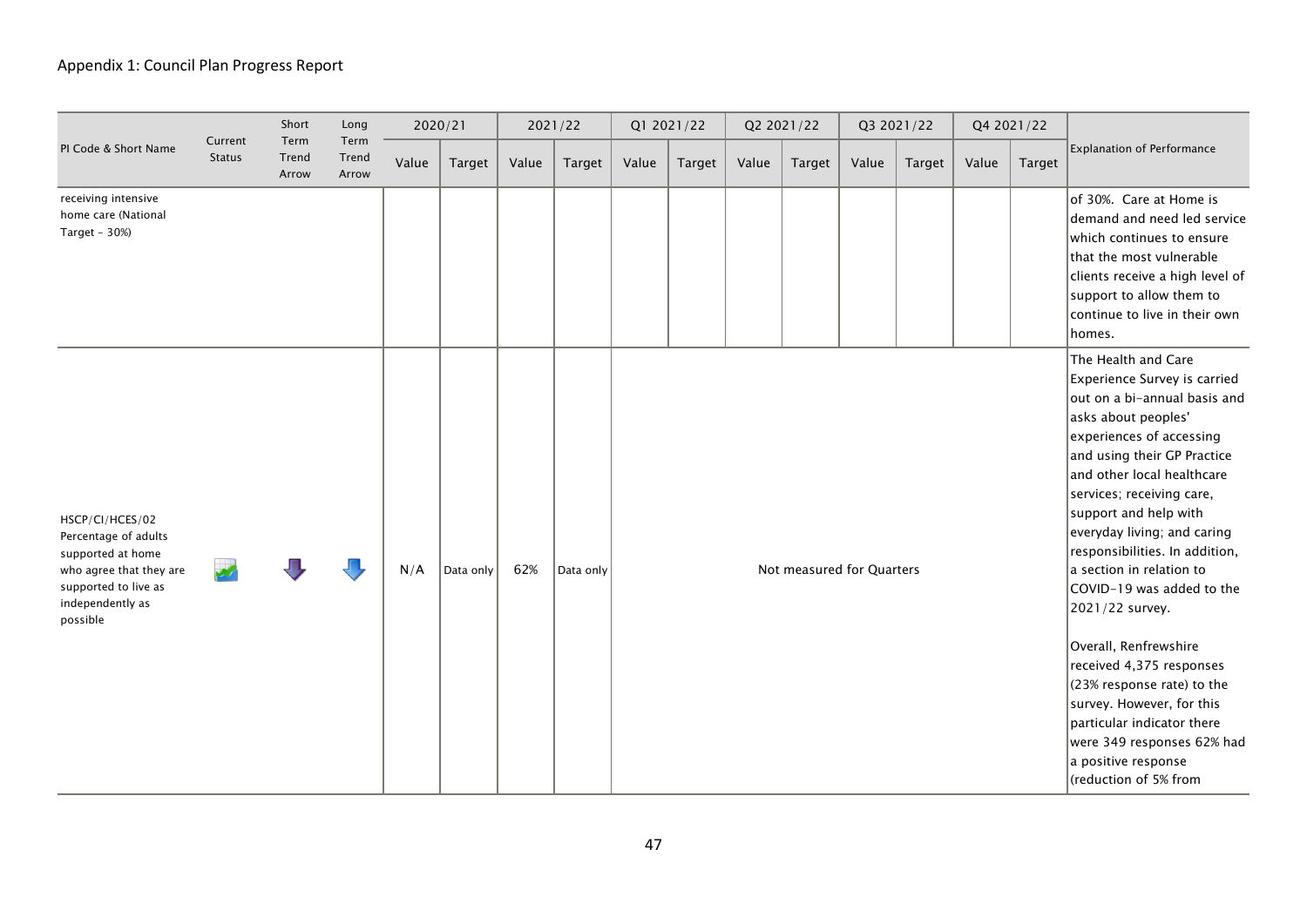|                                                                                                                                                 |                          | Short                  | Long                   | 2020/21 |           | 2021/22 |           |       | Q1 2021/22 |       | Q2 2021/22                |       | Q3 2021/22 |       | Q4 2021/22 |                                                                                                                                                                                                                                                                                                                                                                                                                                                                                                                                                                                                                                            |
|-------------------------------------------------------------------------------------------------------------------------------------------------|--------------------------|------------------------|------------------------|---------|-----------|---------|-----------|-------|------------|-------|---------------------------|-------|------------|-------|------------|--------------------------------------------------------------------------------------------------------------------------------------------------------------------------------------------------------------------------------------------------------------------------------------------------------------------------------------------------------------------------------------------------------------------------------------------------------------------------------------------------------------------------------------------------------------------------------------------------------------------------------------------|
| PI Code & Short Name                                                                                                                            | Current<br><b>Status</b> | Term<br>Trend<br>Arrow | Term<br>Trend<br>Arrow | Value   | Target    | Value   | Target    | Value | Target     | Value | Target                    | Value | Target     | Value | Target     | Explanation of Performance                                                                                                                                                                                                                                                                                                                                                                                                                                                                                                                                                                                                                 |
| receiving intensive<br>home care (National<br>Target - 30%)                                                                                     |                          |                        |                        |         |           |         |           |       |            |       |                           |       |            |       |            | of 30%. Care at Home is<br>demand and need led service<br>which continues to ensure<br>that the most vulnerable<br>clients receive a high level of<br>support to allow them to<br>continue to live in their own<br>homes.                                                                                                                                                                                                                                                                                                                                                                                                                  |
| HSCP/CI/HCES/02<br>Percentage of adults<br>supported at home<br>who agree that they are<br>supported to live as<br>independently as<br>possible |                          |                        |                        | N/A     | Data only | 62%     | Data only |       |            |       | Not measured for Quarters |       |            |       |            | The Health and Care<br>Experience Survey is carried<br>out on a bi-annual basis and<br>asks about peoples'<br>experiences of accessing<br>and using their GP Practice<br>and other local healthcare<br>services; receiving care,<br>support and help with<br>$ $ everyday living; and caring<br>responsibilities. In addition,<br>la section in relation to<br>COVID-19 was added to the<br>2021/22 survey.<br>Overall, Renfrewshire<br>received 4,375 responses<br>$(23\%$ response rate) to the<br>survey. However, for this<br>particular indicator there<br>were 349 responses 62% had<br>a positive response<br>(reduction of 5% from |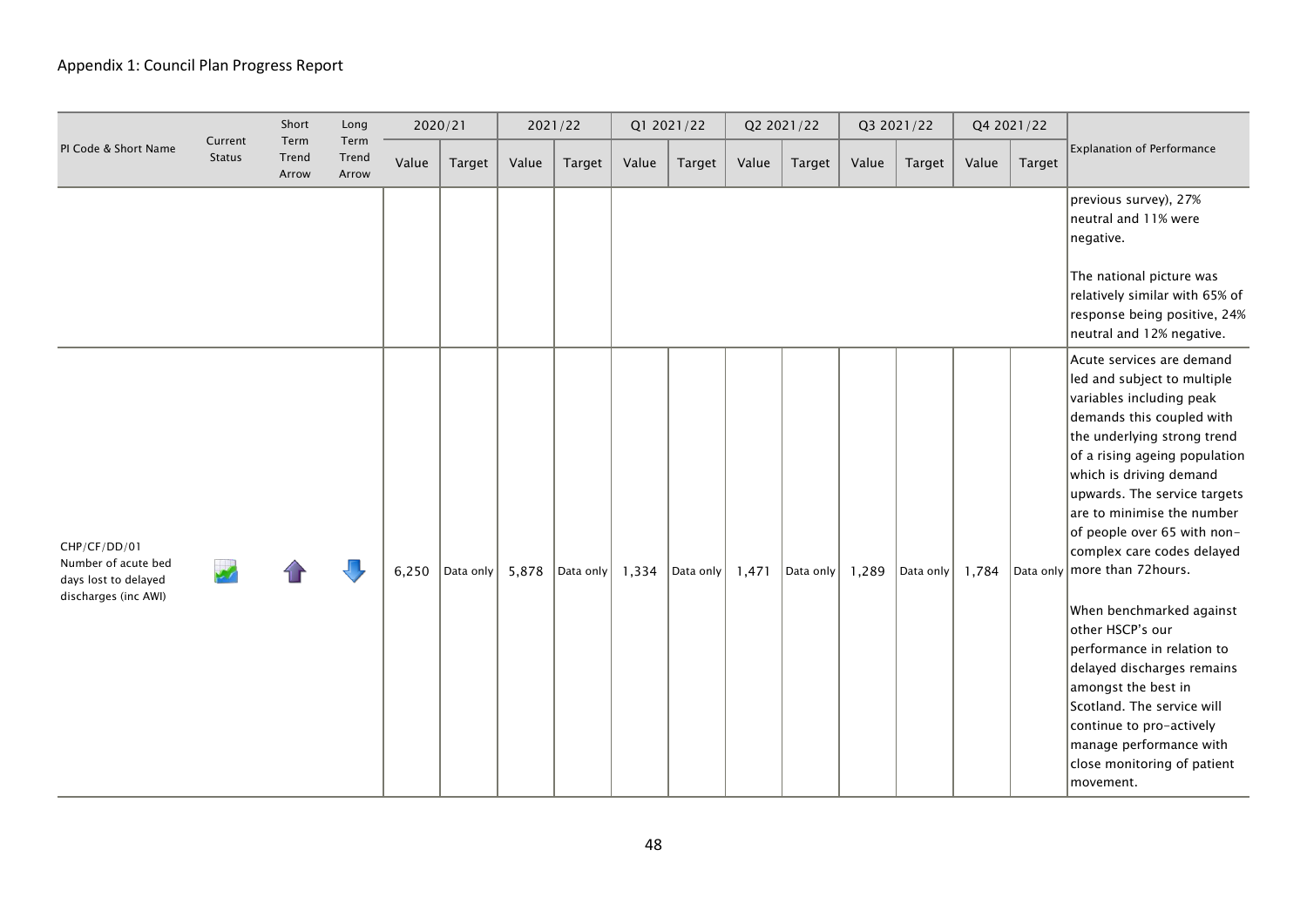|                                                                                     |                          | Short                  | Long                   | 2020/21 |           |       | 2021/22   |       | Q1 2021/22 |       | Q2 2021/22 |       | Q3 2021/22 |       | Q4 2021/22    |                                                                                                                                                                                                                                                                                                                                                                                                                                                                                                                                                                                                                                              |
|-------------------------------------------------------------------------------------|--------------------------|------------------------|------------------------|---------|-----------|-------|-----------|-------|------------|-------|------------|-------|------------|-------|---------------|----------------------------------------------------------------------------------------------------------------------------------------------------------------------------------------------------------------------------------------------------------------------------------------------------------------------------------------------------------------------------------------------------------------------------------------------------------------------------------------------------------------------------------------------------------------------------------------------------------------------------------------------|
| PI Code & Short Name                                                                | Current<br><b>Status</b> | Term<br>Trend<br>Arrow | Term<br>Trend<br>Arrow | Value   | Target    | Value | Target    | Value | Target     | Value | Target     | Value | Target     | Value | <b>Target</b> | <b>Explanation of Performance</b>                                                                                                                                                                                                                                                                                                                                                                                                                                                                                                                                                                                                            |
|                                                                                     |                          |                        |                        |         |           |       |           |       |            |       |            |       |            |       |               | previous survey), 27%<br>neutral and 11% were<br>negative.<br>The national picture was<br>relatively similar with 65% of<br>response being positive, 24%<br>neutral and 12% negative.                                                                                                                                                                                                                                                                                                                                                                                                                                                        |
| CHP/CF/DD/01<br>Number of acute bed<br>days lost to delayed<br>discharges (inc AWI) |                          |                        |                        | 6,250   | Data only | 5,878 | Data only | 1,334 | Data only  | 1,471 | Data only  | 1,289 | Data only  | 1,784 |               | Acute services are demand<br>led and subject to multiple<br>variables including peak<br>demands this coupled with<br>the underlying strong trend<br>of a rising ageing population<br>which is driving demand<br>upwards. The service targets<br>are to minimise the number<br>of people over 65 with non-<br>complex care codes delayed<br>Data only more than 72 hours.<br>When benchmarked against<br>other HSCP's our<br>performance in relation to<br>delayed discharges remains<br>amongst the best in<br>Scotland. The service will<br>continue to pro-actively<br>manage performance with<br>close monitoring of patient<br>movement. |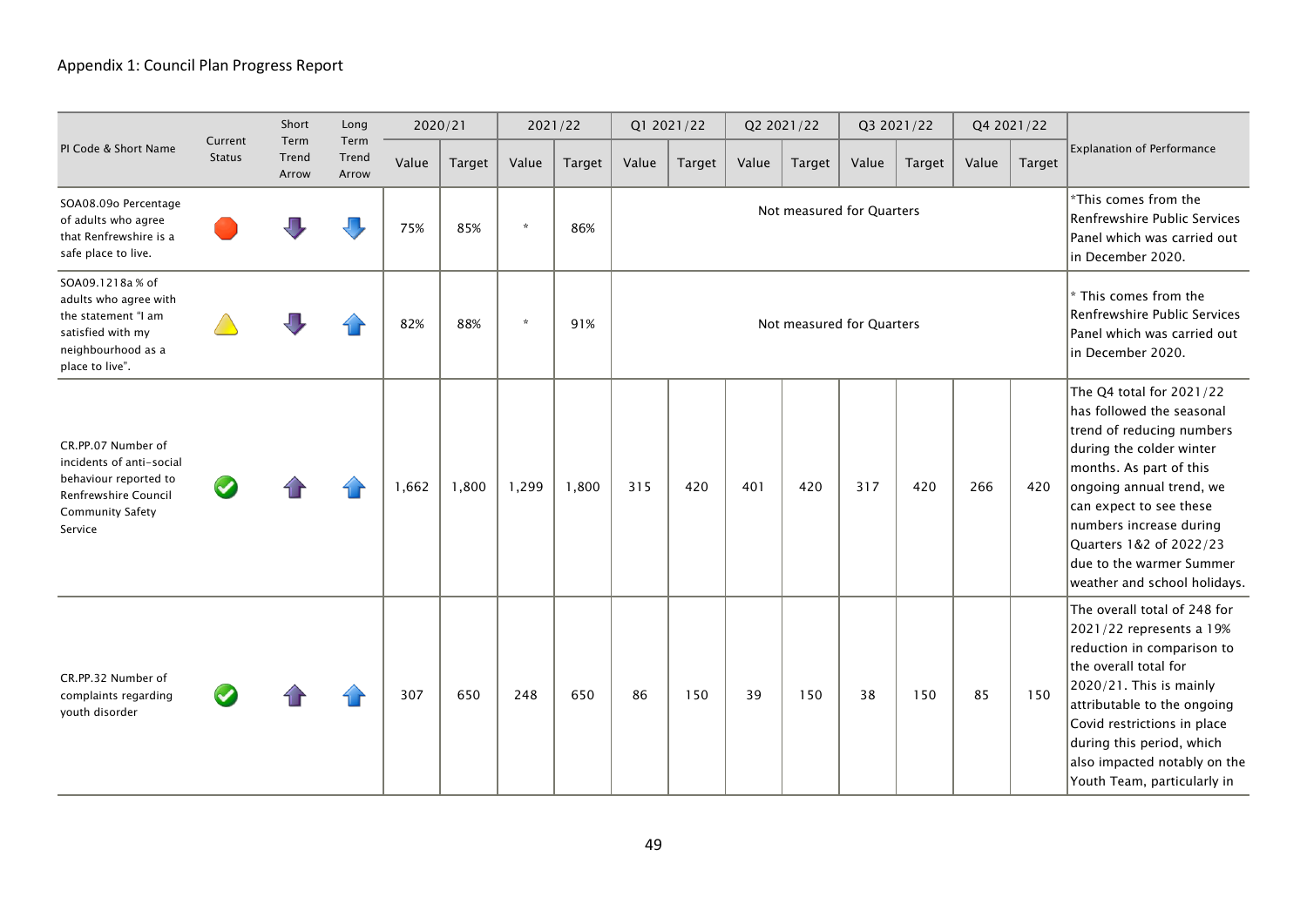|                                                                                                                                       |                          | Short                  | Long                   |       | 2020/21 |         | 2021/22 |       | Q1 2021/22 |       | Q2 2021/22                |       | Q3 2021/22    |       | Q4 2021/22    |                                                                                                                                                                                                                                                                                                                    |
|---------------------------------------------------------------------------------------------------------------------------------------|--------------------------|------------------------|------------------------|-------|---------|---------|---------|-------|------------|-------|---------------------------|-------|---------------|-------|---------------|--------------------------------------------------------------------------------------------------------------------------------------------------------------------------------------------------------------------------------------------------------------------------------------------------------------------|
| PI Code & Short Name                                                                                                                  | Current<br><b>Status</b> | Term<br>Trend<br>Arrow | Term<br>Trend<br>Arrow | Value | Target  | Value   | Target  | Value | Target     | Value | <b>Target</b>             | Value | <b>Target</b> | Value | <b>Target</b> | <b>Explanation of Performance</b>                                                                                                                                                                                                                                                                                  |
| SOA08.09o Percentage<br>of adults who agree<br>that Renfrewshire is a<br>safe place to live.                                          |                          |                        |                        | 75%   | 85%     | $\star$ | 86%     |       |            |       | Not measured for Quarters |       |               |       |               | *This comes from the<br>Renfrewshire Public Services<br>Panel which was carried out<br>in December 2020.                                                                                                                                                                                                           |
| SOA09.1218a % of<br>adults who agree with<br>the statement "I am<br>satisfied with my<br>neighbourhood as a<br>place to live".        |                          |                        |                        | 82%   | 88%     | $\star$ | 91%     |       |            |       | Not measured for Quarters |       |               |       |               | * This comes from the<br>Renfrewshire Public Services<br>Panel which was carried out<br>in December 2020.                                                                                                                                                                                                          |
| CR.PP.07 Number of<br>incidents of anti-social<br>behaviour reported to<br>Renfrewshire Council<br><b>Community Safety</b><br>Service |                          |                        |                        | 1,662 | 1,800   | 1,299   | 1,800   | 315   | 420        | 401   | 420                       | 317   | 420           | 266   | 420           | The Q4 total for 2021/22<br>has followed the seasonal<br>trend of reducing numbers<br>during the colder winter<br>months. As part of this<br>ongoing annual trend, we<br>can expect to see these<br>numbers increase during<br>Quarters 1&2 of 2022/23<br>due to the warmer Summer<br>weather and school holidays. |
| CR.PP.32 Number of<br>complaints regarding<br>youth disorder                                                                          |                          |                        |                        | 307   | 650     | 248     | 650     | 86    | 150        | 39    | 150                       | 38    | 150           | 85    | 150           | The overall total of 248 for<br>2021/22 represents a 19%<br>reduction in comparison to<br>the overall total for<br>$2020/21$ . This is mainly<br>attributable to the ongoing<br>Covid restrictions in place<br>during this period, which<br>also impacted notably on the<br>Youth Team, particularly in            |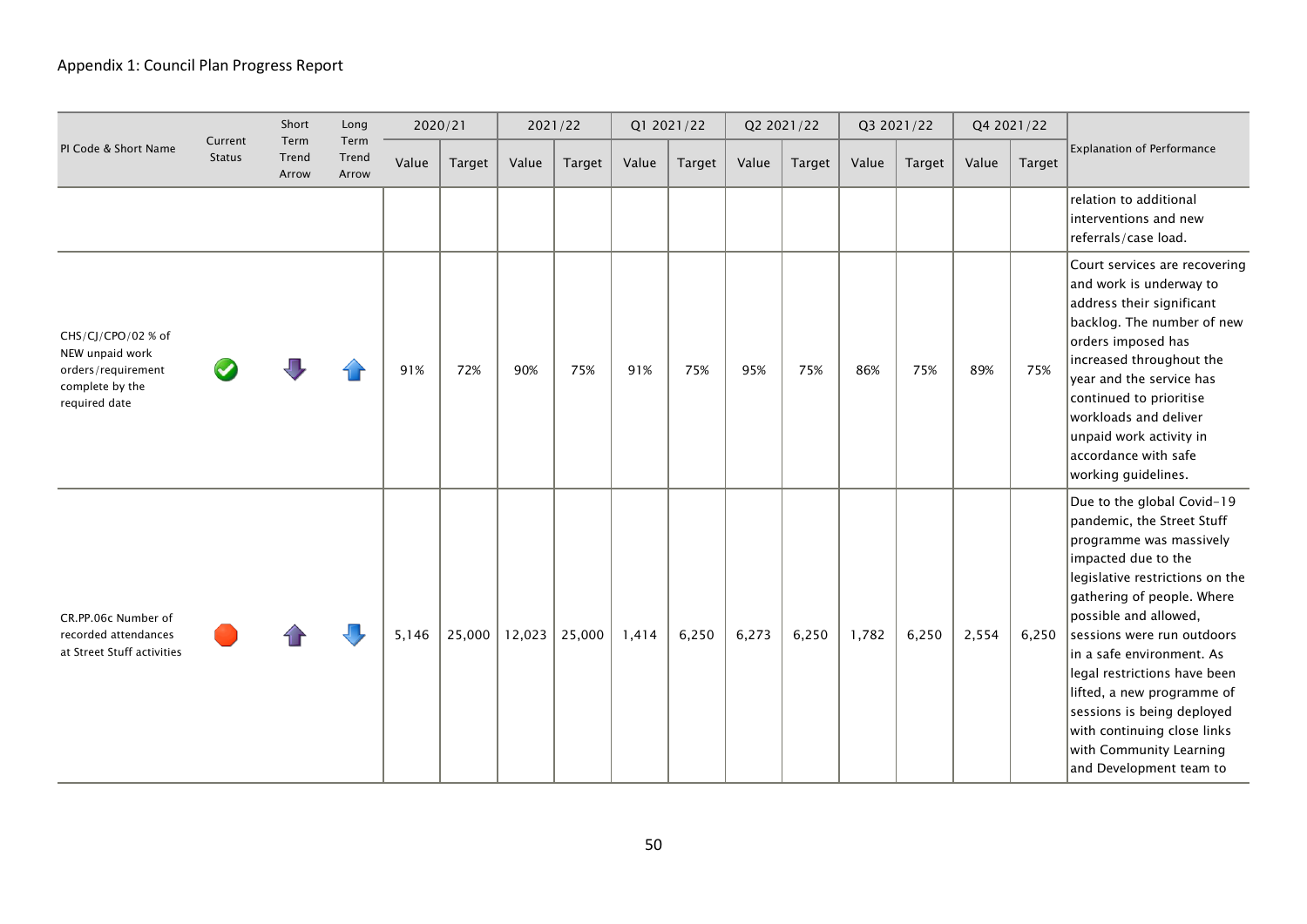|                                                                                                 |                          | Short                  | Long                   |       | 2020/21 |        | 2021/22 |       | Q1 2021/22 |       | Q2 2021/22 |       | Q3 2021/22    |       | Q4 2021/22    |                                                                                                                                                                                                                                                                                                                                                                                                                                                  |
|-------------------------------------------------------------------------------------------------|--------------------------|------------------------|------------------------|-------|---------|--------|---------|-------|------------|-------|------------|-------|---------------|-------|---------------|--------------------------------------------------------------------------------------------------------------------------------------------------------------------------------------------------------------------------------------------------------------------------------------------------------------------------------------------------------------------------------------------------------------------------------------------------|
| PI Code & Short Name                                                                            | Current<br><b>Status</b> | Term<br>Trend<br>Arrow | Term<br>Trend<br>Arrow | Value | Target  | Value  | Target  | Value | Target     | Value | Target     | Value | <b>Target</b> | Value | <b>Target</b> | <b>Explanation of Performance</b>                                                                                                                                                                                                                                                                                                                                                                                                                |
|                                                                                                 |                          |                        |                        |       |         |        |         |       |            |       |            |       |               |       |               | relation to additional<br>interventions and new<br>referrals/case load.                                                                                                                                                                                                                                                                                                                                                                          |
| CHS/CJ/CPO/02 % of<br>NEW unpaid work<br>orders/requirement<br>complete by the<br>required date |                          |                        |                        | 91%   | 72%     | 90%    | 75%     | 91%   | 75%        | 95%   | 75%        | 86%   | 75%           | 89%   | 75%           | Court services are recovering<br>and work is underway to<br>address their significant<br>backlog. The number of new<br>orders imposed has<br>increased throughout the<br>year and the service has<br>continued to prioritise<br>workloads and deliver<br>unpaid work activity in<br>accordance with safe<br>working guidelines.                                                                                                                  |
| CR.PP.06c Number of<br>recorded attendances<br>at Street Stuff activities                       |                          |                        |                        | 5,146 | 25,000  | 12,023 | 25,000  | 1,414 | 6,250      | 6,273 | 6,250      | 1,782 | 6,250         | 2,554 | 6,250         | Due to the global Covid-19<br>pandemic, the Street Stuff<br>programme was massively<br>impacted due to the<br>legislative restrictions on the<br>gathering of people. Where<br>possible and allowed,<br>sessions were run outdoors<br>in a safe environment. As<br>legal restrictions have been<br>lifted, a new programme of<br>sessions is being deployed<br>with continuing close links<br>with Community Learning<br>and Development team to |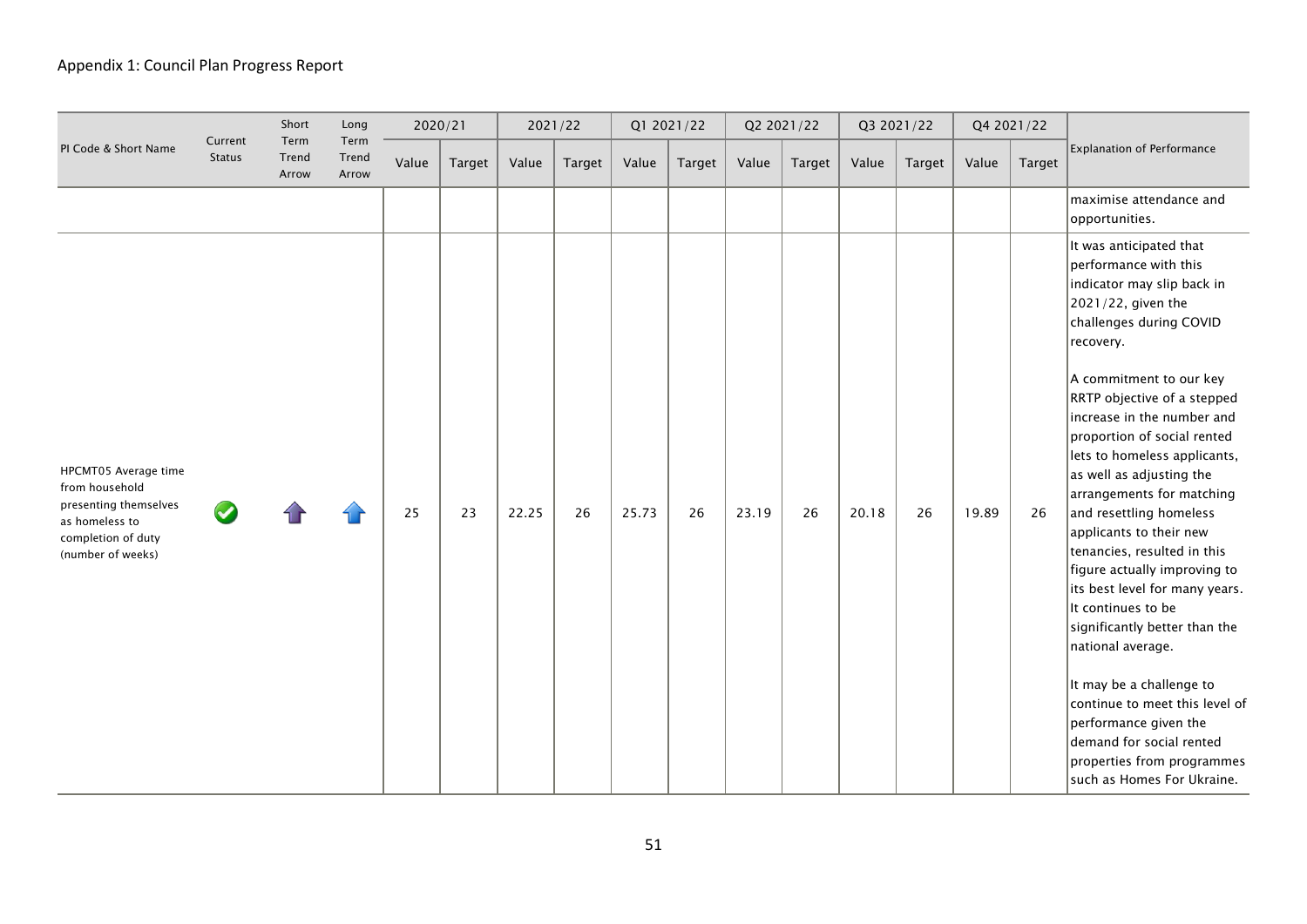|                                                                                                                              |                          | Short                  | Long                   | 2020/21 |        | 2021/22 |        |       | Q1 2021/22 |       | Q2 2021/22 |       | Q3 2021/22 | Q4 2021/22 |               |                                                                                                                                                                                                                                                                                                                                                                                                                                                                                                                                                                                                                                                                                                                                                                                |
|------------------------------------------------------------------------------------------------------------------------------|--------------------------|------------------------|------------------------|---------|--------|---------|--------|-------|------------|-------|------------|-------|------------|------------|---------------|--------------------------------------------------------------------------------------------------------------------------------------------------------------------------------------------------------------------------------------------------------------------------------------------------------------------------------------------------------------------------------------------------------------------------------------------------------------------------------------------------------------------------------------------------------------------------------------------------------------------------------------------------------------------------------------------------------------------------------------------------------------------------------|
| PI Code & Short Name                                                                                                         | Current<br><b>Status</b> | Term<br>Trend<br>Arrow | Term<br>Trend<br>Arrow | Value   | Target | Value   | Target | Value | Target     | Value | Target     | Value | Target     | Value      | <b>Target</b> | <b>Explanation of Performance</b>                                                                                                                                                                                                                                                                                                                                                                                                                                                                                                                                                                                                                                                                                                                                              |
|                                                                                                                              |                          |                        |                        |         |        |         |        |       |            |       |            |       |            |            |               | maximise attendance and<br>opportunities.                                                                                                                                                                                                                                                                                                                                                                                                                                                                                                                                                                                                                                                                                                                                      |
| HPCMT05 Average time<br>from household<br>presenting themselves<br>as homeless to<br>completion of duty<br>(number of weeks) |                          |                        |                        | 25      | 23     | 22.25   | 26     | 25.73 | 26         | 23.19 | 26         | 20.18 | 26         | 19.89      | 26            | It was anticipated that<br>performance with this<br>indicator may slip back in<br>2021/22, given the<br>challenges during COVID<br>recovery.<br>A commitment to our key<br>RRTP objective of a stepped<br>increase in the number and<br>proportion of social rented<br>lets to homeless applicants,<br>as well as adjusting the<br>arrangements for matching<br>and resettling homeless<br>applicants to their new<br>tenancies, resulted in this<br>figure actually improving to<br>its best level for many years.<br>It continues to be<br>significantly better than the<br>national average.<br>It may be a challenge to<br>continue to meet this level of<br>performance given the<br>demand for social rented<br>properties from programmes<br>such as Homes For Ukraine. |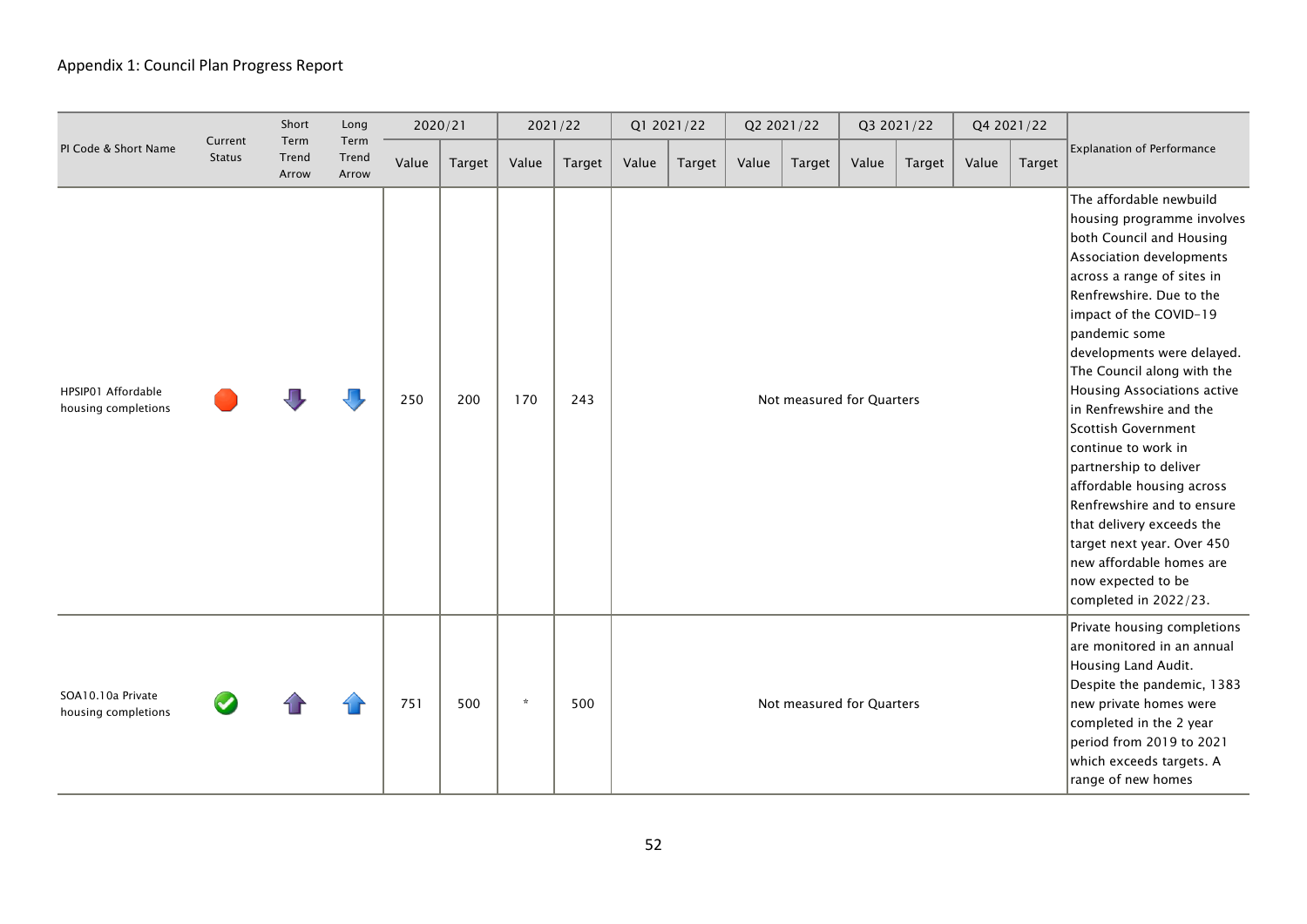|                                           |                          | Short                  | Long                   |       | 2020/21 |         | 2021/22 |       | Q1 2021/22 |       | Q2 2021/22                |       | Q3 2021/22 |       | Q4 2021/22    |                                                                                                                                                                                                                                                                                                                                                                                                                                                                                                                                                                                                                   |
|-------------------------------------------|--------------------------|------------------------|------------------------|-------|---------|---------|---------|-------|------------|-------|---------------------------|-------|------------|-------|---------------|-------------------------------------------------------------------------------------------------------------------------------------------------------------------------------------------------------------------------------------------------------------------------------------------------------------------------------------------------------------------------------------------------------------------------------------------------------------------------------------------------------------------------------------------------------------------------------------------------------------------|
| PI Code & Short Name                      | Current<br><b>Status</b> | Term<br>Trend<br>Arrow | Term<br>Trend<br>Arrow | Value | Target  | Value   | Target  | Value | Target     | Value | Target                    | Value | Target     | Value | <b>Target</b> | <b>Explanation of Performance</b>                                                                                                                                                                                                                                                                                                                                                                                                                                                                                                                                                                                 |
| HPSIP01 Affordable<br>housing completions |                          |                        |                        | 250   | 200     | 170     | 243     |       |            |       | Not measured for Quarters |       |            |       |               | The affordable newbuild<br>housing programme involves<br>both Council and Housing<br>Association developments<br>across a range of sites in<br>Renfrewshire. Due to the<br>impact of the COVID-19<br>pandemic some<br>developments were delayed.<br>The Council along with the<br>Housing Associations active<br>in Renfrewshire and the<br>Scottish Government<br>continue to work in<br>partnership to deliver<br>affordable housing across<br>Renfrewshire and to ensure<br>that delivery exceeds the<br>target next year. Over 450<br>new affordable homes are<br>now expected to be<br>completed in 2022/23. |
| SOA10.10a Private<br>housing completions  |                          |                        |                        | 751   | 500     | $\star$ | 500     |       |            |       | Not measured for Quarters |       |            |       |               | Private housing completions<br>are monitored in an annual<br>Housing Land Audit.<br>Despite the pandemic, 1383<br>new private homes were<br>completed in the 2 year<br>period from 2019 to 2021<br>which exceeds targets. A<br>range of new homes                                                                                                                                                                                                                                                                                                                                                                 |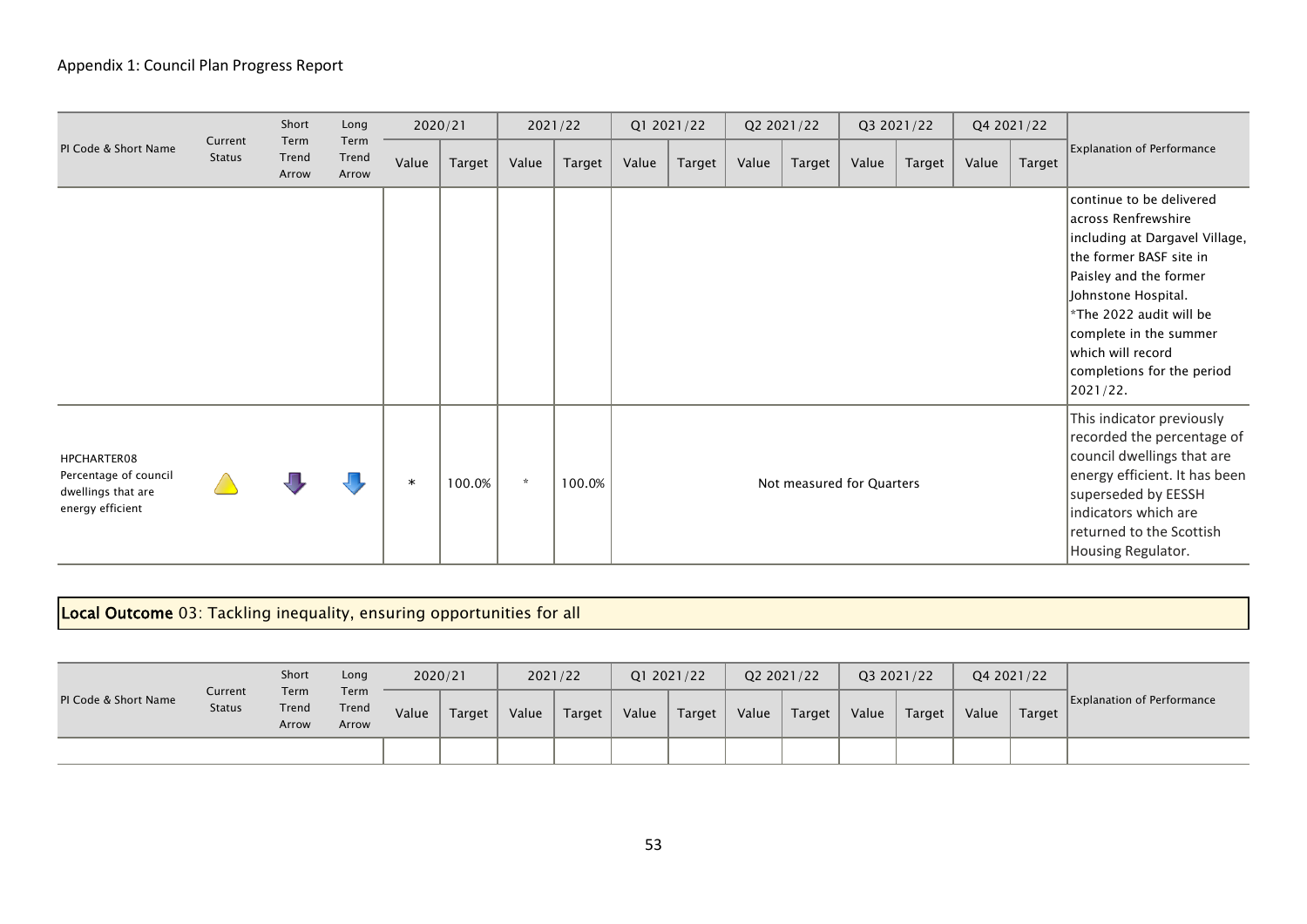|                                                                                |                          | Short                  | Long                   | 2020/21 |        |         | 2021/22 |       | Q1 2021/22 |       | Q2 2021/22                |       | Q3 2021/22 |       | Q4 2021/22 |                                                                                                                                                                                                                                                                                   |
|--------------------------------------------------------------------------------|--------------------------|------------------------|------------------------|---------|--------|---------|---------|-------|------------|-------|---------------------------|-------|------------|-------|------------|-----------------------------------------------------------------------------------------------------------------------------------------------------------------------------------------------------------------------------------------------------------------------------------|
| PI Code & Short Name                                                           | Current<br><b>Status</b> | Term<br>Trend<br>Arrow | Term<br>Trend<br>Arrow | Value   | Target | Value   | Target  | Value | Target     | Value | Target                    | Value | Target     | Value | Target     | <b>Explanation of Performance</b>                                                                                                                                                                                                                                                 |
|                                                                                |                          |                        |                        |         |        |         |         |       |            |       |                           |       |            |       |            | continue to be delivered<br>across Renfrewshire<br>including at Dargavel Village,<br>the former BASF site in<br>Paisley and the former<br>Johnstone Hospital.<br>*The 2022 audit will be<br>complete in the summer<br>which will record<br>completions for the period<br>2021/22. |
| HPCHARTER08<br>Percentage of council<br>dwellings that are<br>energy efficient |                          |                        |                        | $\ast$  | 100.0% | $\star$ | 100.0%  |       |            |       | Not measured for Quarters |       |            |       |            | This indicator previously<br>recorded the percentage of<br>council dwellings that are<br>energy efficient. It has been<br>superseded by EESSH<br>indicators which are<br>returned to the Scottish<br>Housing Regulator.                                                           |

# Local Outcome 03: Tackling inequality, ensuring opportunities for all

|                      |                          | Short                  | Long                   |       | 2020/21 |       | 2021/22 | Q1 2021/22 |        | Q2 2021/22 |        |       | Q3 2021/22 |       | Q4 2021/22 |                                   |
|----------------------|--------------------------|------------------------|------------------------|-------|---------|-------|---------|------------|--------|------------|--------|-------|------------|-------|------------|-----------------------------------|
| PI Code & Short Name | Current<br><b>Status</b> | Term<br>Trend<br>Arrow | Term<br>Trend<br>Arrow | Value | Target  | Value | Target  | Value      | Target | Value      | Target | Value | Target     | Value | Target     | <b>Explanation of Performance</b> |
|                      |                          |                        |                        |       |         |       |         |            |        |            |        |       |            |       |            |                                   |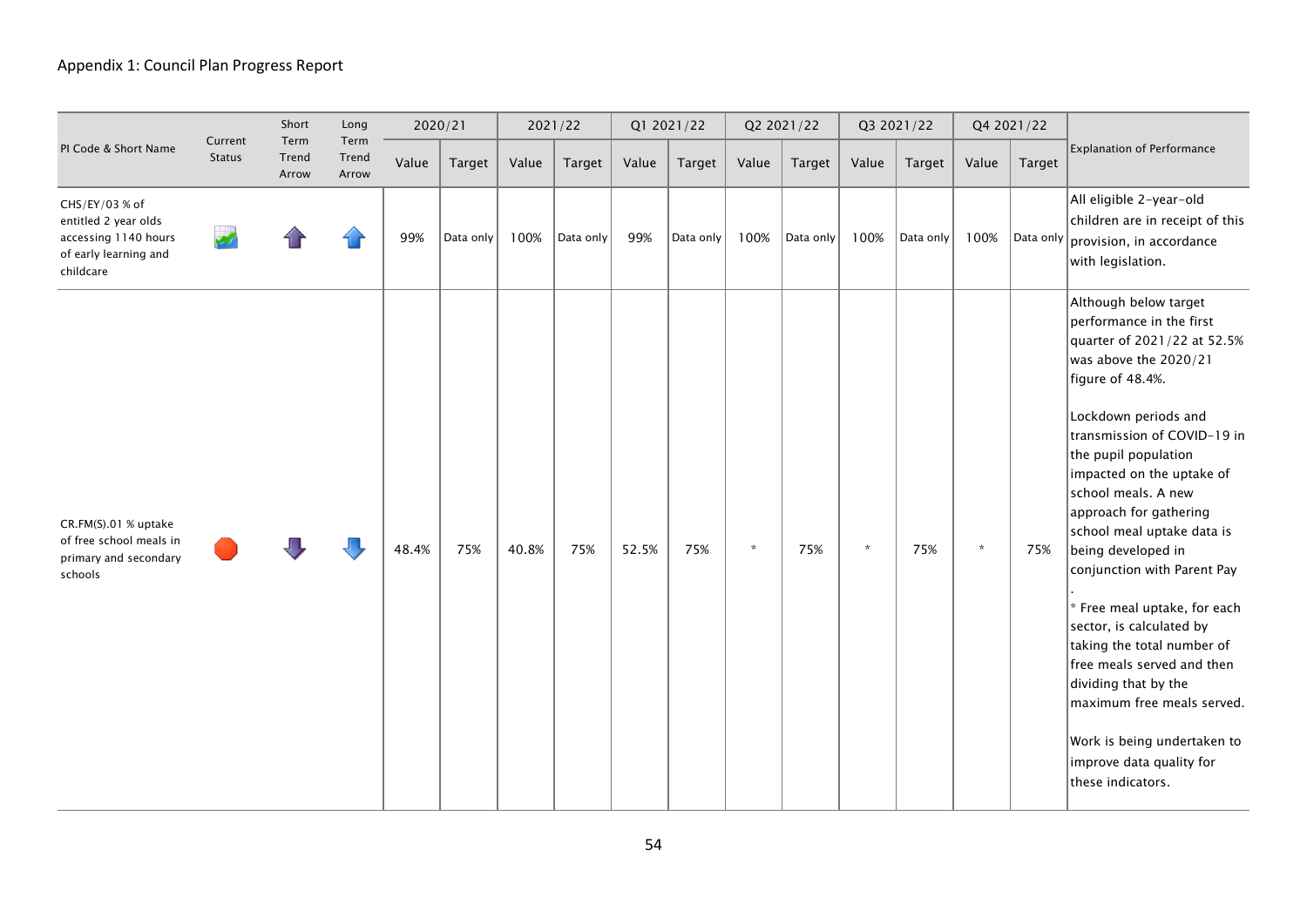|                                                                                                      |                          | Short                  | Long                   |       | 2020/21   |       | 2021/22   |       | Q1 2021/22 |         | Q2 2021/22 |         | Q3 2021/22 |         | Q4 2021/22    |                                                                                                                                                                                                                                                                                                                                                                                                                                                                                                                                                                                                                                             |
|------------------------------------------------------------------------------------------------------|--------------------------|------------------------|------------------------|-------|-----------|-------|-----------|-------|------------|---------|------------|---------|------------|---------|---------------|---------------------------------------------------------------------------------------------------------------------------------------------------------------------------------------------------------------------------------------------------------------------------------------------------------------------------------------------------------------------------------------------------------------------------------------------------------------------------------------------------------------------------------------------------------------------------------------------------------------------------------------------|
| PI Code & Short Name                                                                                 | Current<br><b>Status</b> | Term<br>Trend<br>Arrow | Term<br>Trend<br>Arrow | Value | Target    | Value | Target    | Value | Target     | Value   | Target     | Value   | Target     | Value   | <b>Target</b> | <b>Explanation of Performance</b>                                                                                                                                                                                                                                                                                                                                                                                                                                                                                                                                                                                                           |
| CHS/EY/03 % of<br>entitled 2 year olds<br>accessing 1140 hours<br>of early learning and<br>childcare |                          |                        |                        | 99%   | Data only | 100%  | Data only | 99%   | Data only  | 100%    | Data only  | 100%    | Data only  | 100%    |               | All eligible 2-year-old<br>children are in receipt of this<br> Data only $\vert$ provision, in accordance<br>with legislation.                                                                                                                                                                                                                                                                                                                                                                                                                                                                                                              |
| CR.FM(S).01 % uptake<br>of free school meals in<br>primary and secondary<br>schools                  |                          |                        |                        | 48.4% | 75%       | 40.8% | 75%       | 52.5% | 75%        | $\star$ | 75%        | $\star$ | 75%        | $\star$ | 75%           | Although below target<br>performance in the first<br>quarter of 2021/22 at 52.5%<br>was above the 2020/21<br>figure of 48.4%.<br>Lockdown periods and<br>transmission of COVID-19 in<br>the pupil population<br>impacted on the uptake of<br>school meals. A new<br>approach for gathering<br>school meal uptake data is<br>being developed in<br>conjunction with Parent Pay<br>* Free meal uptake, for each<br>sector, is calculated by<br>taking the total number of<br>free meals served and then<br>dividing that by the<br>maximum free meals served.<br>Work is being undertaken to<br>improve data quality for<br>these indicators. |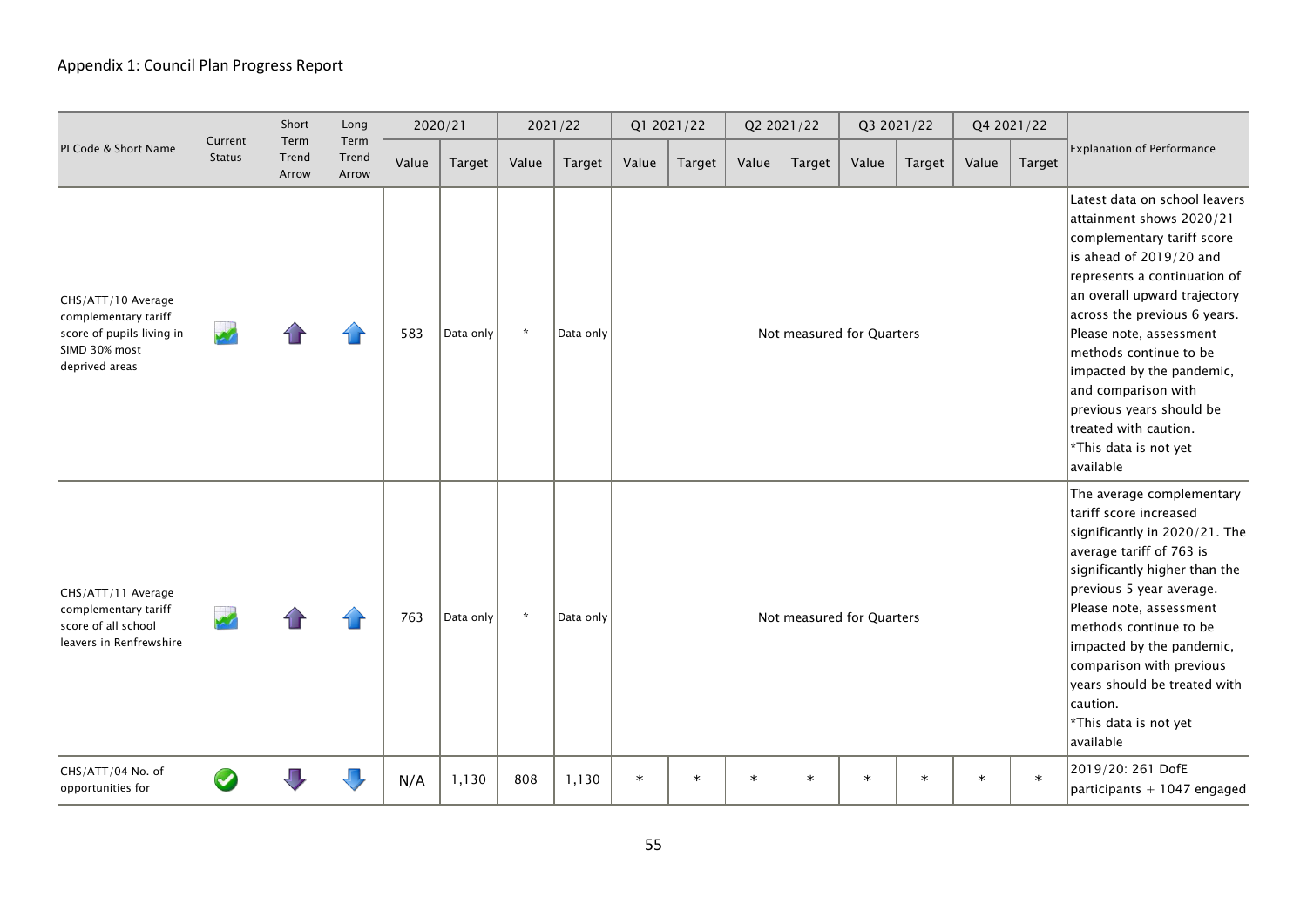|                                                                                                            |                          | Short                  | Long                   |       | 2020/21       |         | 2021/22       |        | Q1 2021/22 |        | Q2 2021/22                                                                                                                                                                                                                                                                                                                                                                    |        | Q3 2021/22 |        | Q4 2021/22    |                                                                                                                                                                                                                                                                                                                                                                                                                        |
|------------------------------------------------------------------------------------------------------------|--------------------------|------------------------|------------------------|-------|---------------|---------|---------------|--------|------------|--------|-------------------------------------------------------------------------------------------------------------------------------------------------------------------------------------------------------------------------------------------------------------------------------------------------------------------------------------------------------------------------------|--------|------------|--------|---------------|------------------------------------------------------------------------------------------------------------------------------------------------------------------------------------------------------------------------------------------------------------------------------------------------------------------------------------------------------------------------------------------------------------------------|
| PI Code & Short Name                                                                                       | Current<br><b>Status</b> | Term<br>Trend<br>Arrow | Term<br>Trend<br>Arrow | Value | <b>Target</b> | Value   | <b>Target</b> | Value  | Target     | Value  | Target                                                                                                                                                                                                                                                                                                                                                                        | Value  | Target     | Value  | <b>Target</b> | <b>Explanation of Performance</b>                                                                                                                                                                                                                                                                                                                                                                                      |
| CHS/ATT/10 Average<br>complementary tariff<br>score of pupils living in<br>SIMD 30% most<br>deprived areas |                          |                        |                        | 583   | Data only     | $\star$ | Data only     |        |            |        | Not measured for Quarters                                                                                                                                                                                                                                                                                                                                                     |        |            |        |               | Latest data on school leavers<br>attainment shows 2020/21<br>complementary tariff score<br>is ahead of 2019/20 and<br>represents a continuation of<br>an overall upward trajectory<br>across the previous 6 years.<br>Please note, assessment<br>methods continue to be<br>impacted by the pandemic,<br>and comparison with<br>previous years should be<br>treated with caution.<br>*This data is not yet<br>available |
| CHS/ATT/11 Average<br>complementary tariff<br>score of all school<br>leavers in Renfrewshire               |                          |                        |                        | 763   | Data only     | $\star$ | Data only     |        |            |        | The average complementary<br>tariff score increased<br>significantly in 2020/21. The<br>average tariff of 763 is<br>significantly higher than the<br>previous 5 year average.<br>Please note, assessment<br>methods continue to be<br>impacted by the pandemic,<br>comparison with previous<br>years should be treated with<br>caution.<br>*This data is not yet<br>available |        |            |        |               |                                                                                                                                                                                                                                                                                                                                                                                                                        |
| CHS/ATT/04 No. of<br>opportunities for                                                                     |                          |                        |                        | N/A   | 1,130         | 808     | 1,130         | $\ast$ | $\ast$     | $\ast$ | $\ast$                                                                                                                                                                                                                                                                                                                                                                        | $\ast$ | $\ast$     | $\ast$ | $\ast$        | 2019/20: 261 DofE<br>participants + 1047 engaged                                                                                                                                                                                                                                                                                                                                                                       |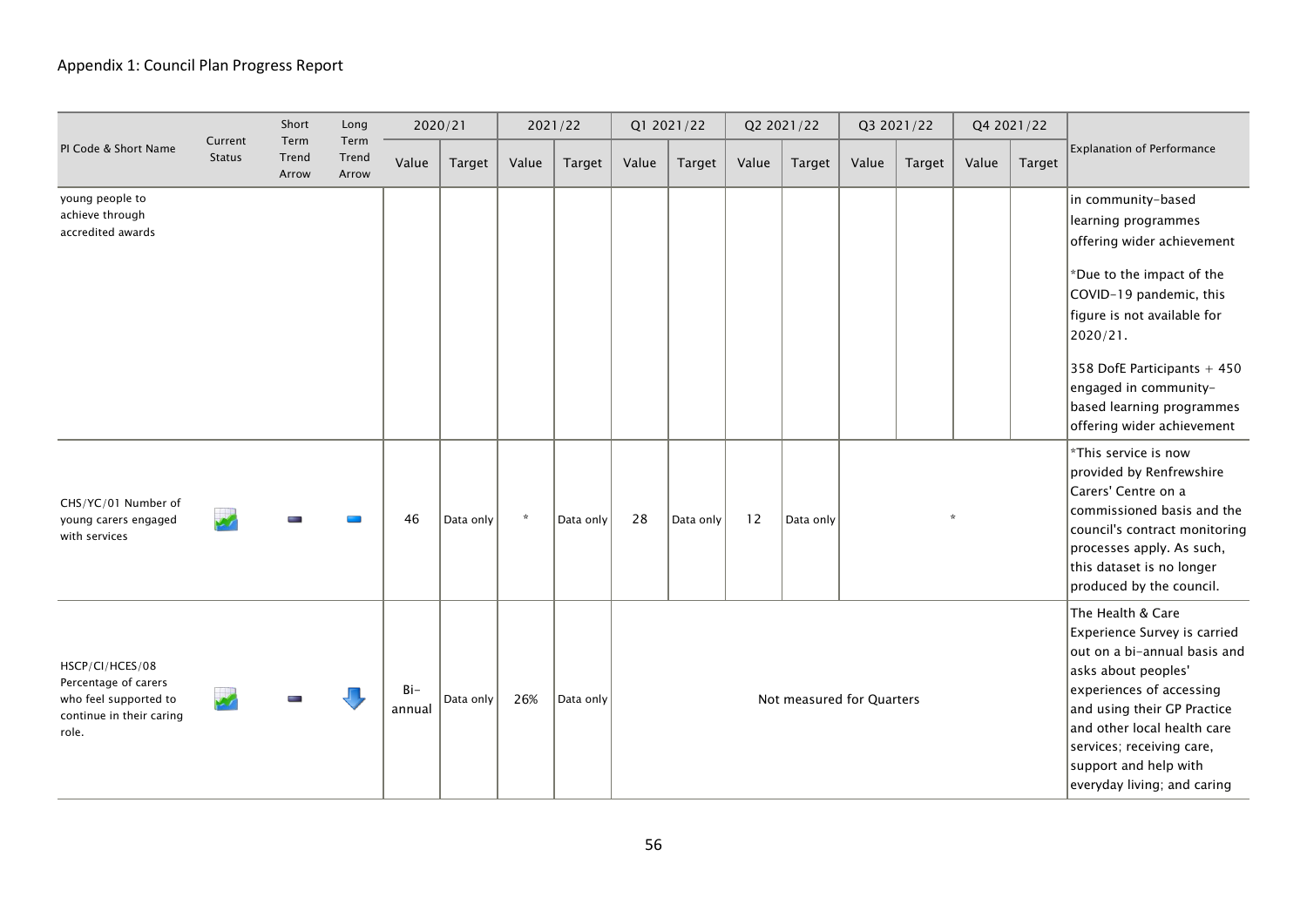|                                                                                                       |                          | Short                  | Long                   |                 | 2020/21   |         | 2021/22   |       | Q1 2021/22 |       | Q2 2021/22                |       | Q3 2021/22 |       | Q4 2021/22    |                                                                                                                                                                                                                                                                                               |
|-------------------------------------------------------------------------------------------------------|--------------------------|------------------------|------------------------|-----------------|-----------|---------|-----------|-------|------------|-------|---------------------------|-------|------------|-------|---------------|-----------------------------------------------------------------------------------------------------------------------------------------------------------------------------------------------------------------------------------------------------------------------------------------------|
| PI Code & Short Name                                                                                  | Current<br><b>Status</b> | Term<br>Trend<br>Arrow | Term<br>Trend<br>Arrow | Value           | Target    | Value   | Target    | Value | Target     | Value | Target                    | Value | Target     | Value | <b>Target</b> | <b>Explanation of Performance</b>                                                                                                                                                                                                                                                             |
| young people to<br>achieve through<br>accredited awards                                               |                          |                        |                        |                 |           |         |           |       |            |       |                           |       |            |       |               | in community-based<br>learning programmes<br>offering wider achievement<br>*Due to the impact of the<br>COVID-19 pandemic, this<br>figure is not available for<br>2020/21.<br>358 DofE Participants + 450<br>engaged in community-<br>based learning programmes<br>offering wider achievement |
| CHS/YC/01 Number of<br>young carers engaged<br>with services                                          |                          |                        |                        | 46              | Data only | $\star$ | Data only | 28    | Data only  | 12    | Data only                 |       |            |       |               | *This service is now<br>provided by Renfrewshire<br>Carers' Centre on a<br>commissioned basis and the<br>council's contract monitoring<br>processes apply. As such,<br>this dataset is no longer<br>produced by the council.                                                                  |
| HSCP/CI/HCES/08<br>Percentage of carers<br>who feel supported to<br>continue in their caring<br>role. |                          |                        |                        | $Bi-$<br>annual | Data only | 26%     | Data only |       |            |       | Not measured for Quarters |       |            |       |               | The Health & Care<br>Experience Survey is carried<br>out on a bi-annual basis and<br>asks about peoples'<br>experiences of accessing<br>and using their GP Practice<br>and other local health care<br>services; receiving care,<br>support and help with<br>everyday living; and caring       |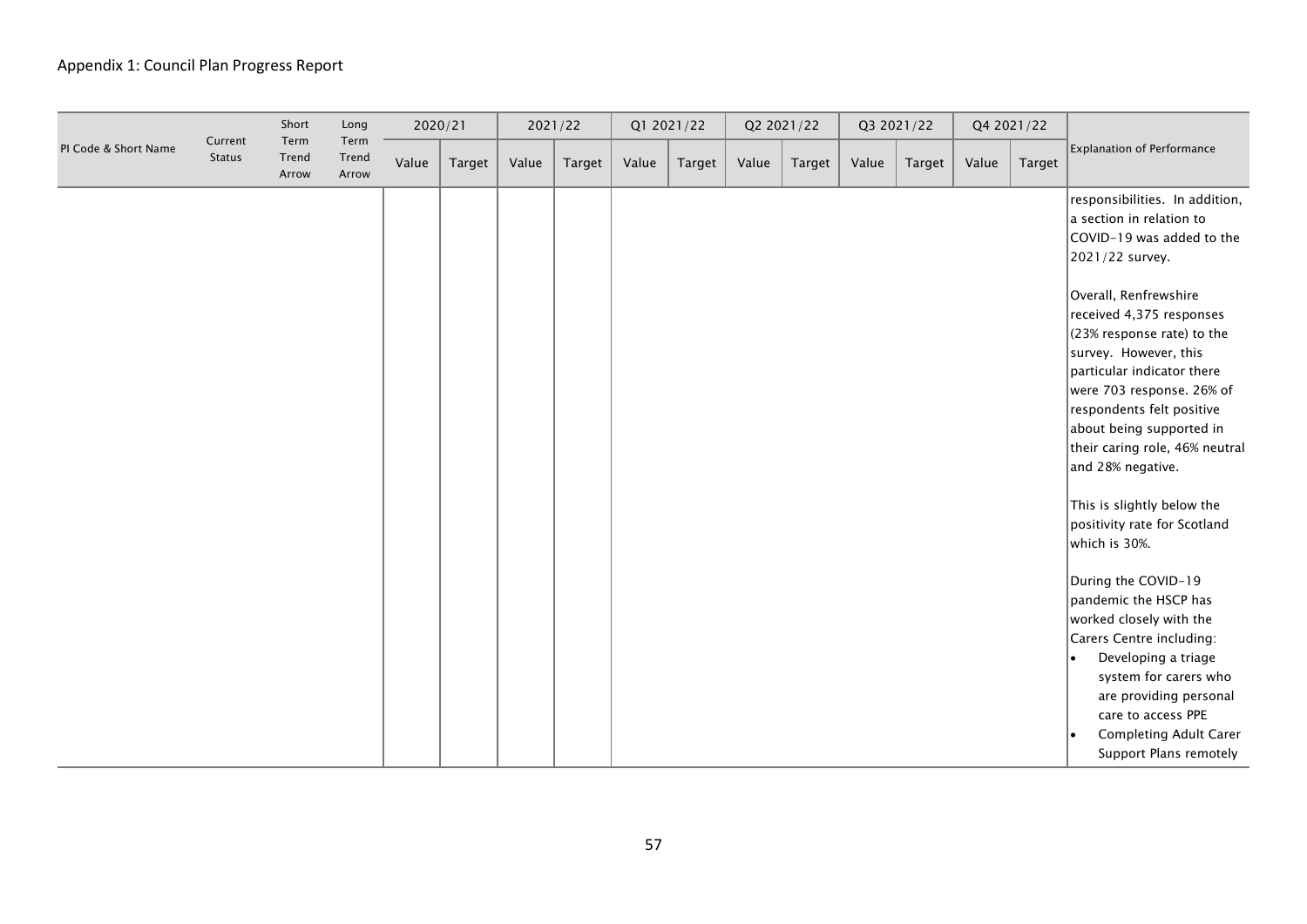|                      |                          | Short                  | Long                   | 2020/21 |        |       | 2021/22 |       | Q1 2021/22 |       | Q2 2021/22 |       | Q3 2021/22 |       | Q4 2021/22 |                                                                                                                                                                                                                                                                                                                                                                                                                                   |
|----------------------|--------------------------|------------------------|------------------------|---------|--------|-------|---------|-------|------------|-------|------------|-------|------------|-------|------------|-----------------------------------------------------------------------------------------------------------------------------------------------------------------------------------------------------------------------------------------------------------------------------------------------------------------------------------------------------------------------------------------------------------------------------------|
| PI Code & Short Name | Current<br><b>Status</b> | Term<br>Trend<br>Arrow | Term<br>Trend<br>Arrow | Value   | Target | Value | Target  | Value | Target     | Value | Target     | Value | Target     | Value | Target     | <b>Explanation of Performance</b>                                                                                                                                                                                                                                                                                                                                                                                                 |
|                      |                          |                        |                        |         |        |       |         |       |            |       |            |       |            |       |            | responsibilities. In addition,<br>a section in relation to<br>COVID-19 was added to the<br>2021/22 survey.<br>Overall, Renfrewshire<br>received 4,375 responses<br>$(23%$ response rate) to the<br>survey. However, this<br>particular indicator there<br>were 703 response. 26% of<br>respondents felt positive<br>about being supported in<br>their caring role, 46% neutral<br>and 28% negative.<br>This is slightly below the |
|                      |                          |                        |                        |         |        |       |         |       |            |       |            |       |            |       |            | positivity rate for Scotland<br>which is 30%.                                                                                                                                                                                                                                                                                                                                                                                     |
|                      |                          |                        |                        |         |        |       |         |       |            |       |            |       |            |       |            | During the COVID-19<br>pandemic the HSCP has<br>worked closely with the<br>Carers Centre including:<br>Developing a triage<br>I۰<br>system for carers who<br>are providing personal<br>care to access PPE<br>Completing Adult Carer<br>Support Plans remotely                                                                                                                                                                     |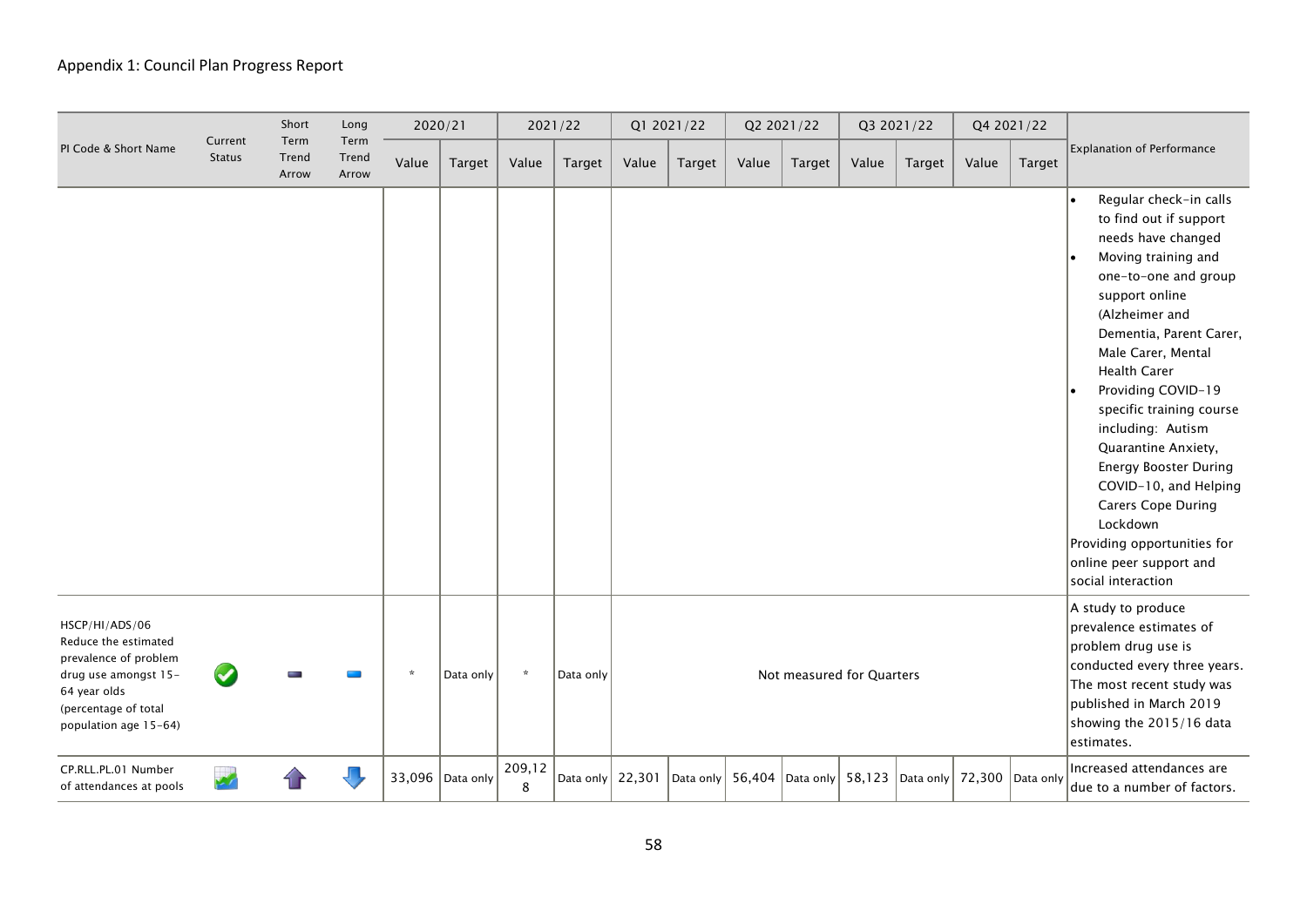|                                                                                                                                                          |                          | Short                  | Long                   |         | 2020/21          |             | 2021/22                  |       | Q1 2021/22 |       | Q2 2021/22                |       | Q3 2021/22                                                                   |       | Q4 2021/22 |                                                                                                                                                                                                                                                                                                                                                                                                                                                                                                                   |
|----------------------------------------------------------------------------------------------------------------------------------------------------------|--------------------------|------------------------|------------------------|---------|------------------|-------------|--------------------------|-------|------------|-------|---------------------------|-------|------------------------------------------------------------------------------|-------|------------|-------------------------------------------------------------------------------------------------------------------------------------------------------------------------------------------------------------------------------------------------------------------------------------------------------------------------------------------------------------------------------------------------------------------------------------------------------------------------------------------------------------------|
| PI Code & Short Name                                                                                                                                     | Current<br><b>Status</b> | Term<br>Trend<br>Arrow | Term<br>Trend<br>Arrow | Value   | Target           | Value       | <b>Target</b>            | Value | Target     | Value | Target                    | Value | <b>Target</b>                                                                | Value | Target     | <b>Explanation of Performance</b>                                                                                                                                                                                                                                                                                                                                                                                                                                                                                 |
|                                                                                                                                                          |                          |                        |                        |         |                  |             |                          |       |            |       |                           |       |                                                                              |       |            | Regular check-in calls<br>to find out if support<br>needs have changed<br>Moving training and<br>one-to-one and group<br>support online<br>(Alzheimer and<br>Dementia, Parent Carer,<br>Male Carer, Mental<br><b>Health Carer</b><br>Providing COVID-19<br>specific training course<br>including: Autism<br>Quarantine Anxiety,<br><b>Energy Booster During</b><br>COVID-10, and Helping<br><b>Carers Cope During</b><br>Lockdown<br>Providing opportunities for<br>online peer support and<br>social interaction |
| HSCP/HI/ADS/06<br>Reduce the estimated<br>prevalence of problem<br>drug use amongst 15-<br>64 year olds<br>(percentage of total<br>population age 15-64) |                          |                        |                        | $\star$ | Data only        | $\star$     | Data only                |       |            |       | Not measured for Quarters |       |                                                                              |       |            | A study to produce<br>prevalence estimates of<br>problem drug use is<br>conducted every three years.<br>The most recent study was<br>published in March 2019<br>showing the 2015/16 data<br>estimates.                                                                                                                                                                                                                                                                                                            |
| CP.RLL.PL.01 Number<br>of attendances at pools                                                                                                           |                          |                        |                        |         | 33,096 Data only | 209,12<br>8 | Data only $\vert$ 22,301 |       |            |       |                           |       | $ $ Data only   56,404   Data only   58,123   Data only   72,300   Data only |       |            | Increased attendances are<br>due to a number of factors.                                                                                                                                                                                                                                                                                                                                                                                                                                                          |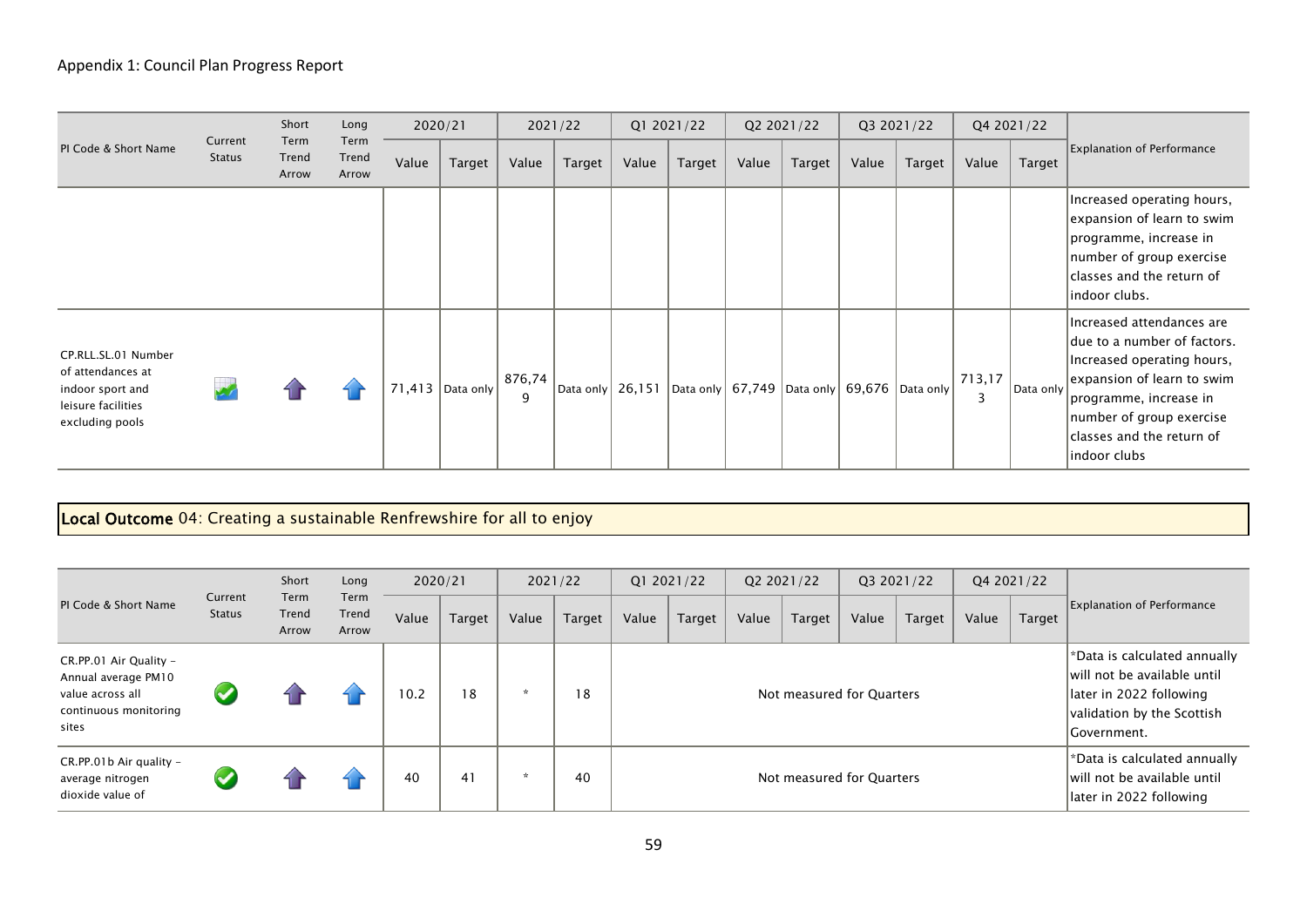|                                                                                                       |                   | Short                  | Long                   |       | 2020/21                  |             | 2021/22            |       | Q1 2021/22 |       | Q2 2021/22                                          |       | Q3 2021/22 |             | Q4 2021/22 |                                                                                                                                                                                                                         |
|-------------------------------------------------------------------------------------------------------|-------------------|------------------------|------------------------|-------|--------------------------|-------------|--------------------|-------|------------|-------|-----------------------------------------------------|-------|------------|-------------|------------|-------------------------------------------------------------------------------------------------------------------------------------------------------------------------------------------------------------------------|
| PI Code & Short Name                                                                                  | Current<br>Status | Term<br>Trend<br>Arrow | Term<br>Trend<br>Arrow | Value | Target                   | Value       | Target             | Value | Target     | Value | Target                                              | Value | Target     | Value       | Target     | <b>Explanation of Performance</b>                                                                                                                                                                                       |
|                                                                                                       |                   |                        |                        |       |                          |             |                    |       |            |       |                                                     |       |            |             |            | Increased operating hours,<br>expansion of learn to swim<br>programme, increase in<br>number of group exercise<br>classes and the return of<br>indoor clubs.                                                            |
| CP.RLL.SL.01 Number<br>of attendances at<br>indoor sport and<br>leisure facilities<br>excluding pools |                   |                        |                        |       | 71,413 $ $ Data only $ $ | 876,74<br>9 | Data only   26,151 |       |            |       | Data only   67,749   Data only   69,676   Data only |       |            | 713,17<br>3 | Data only  | Increased attendances are<br>due to a number of factors.<br>Increased operating hours,<br>expansion of learn to swim<br>programme, increase in<br>number of group exercise<br>classes and the return of<br>indoor clubs |

# Local Outcome 04: Creating a sustainable Renfrewshire for all to enjoy

|                                                                                                     |                   | Short                  | Long                   | 2020/21 |        | 2021/22 |        |                           | Q1 2021/22 |       | Q2 2021/22 |       | Q3 2021/22 |       | Q4 2021/22 |                                                                                                                                       |
|-----------------------------------------------------------------------------------------------------|-------------------|------------------------|------------------------|---------|--------|---------|--------|---------------------------|------------|-------|------------|-------|------------|-------|------------|---------------------------------------------------------------------------------------------------------------------------------------|
| PI Code & Short Name                                                                                | Current<br>Status | Term<br>Trend<br>Arrow | Term<br>Trend<br>Arrow | Value   | Target | Value   | Target | Value                     | Target     | Value | Target     | Value | Target     | Value | Target     | <b>Explanation of Performance</b>                                                                                                     |
| CR.PP.01 Air Quality -<br>Annual average PM10<br>value across all<br>continuous monitoring<br>sites | $\checkmark$      |                        |                        | 10.2    | 18     |         | 18     | Not measured for Quarters |            |       |            |       |            |       |            | *Data is calculated annually<br>will not be available until<br>later in 2022 following<br>validation by the Scottish<br>  Government. |
| $CR.PP.01b Air quality -$<br>average nitrogen<br>dioxide value of                                   |                   |                        |                        | 40      | 41     |         | 40     | Not measured for Quarters |            |       |            |       |            |       |            | *Data is calculated annually<br>will not be available until<br>Iater in 2022 following                                                |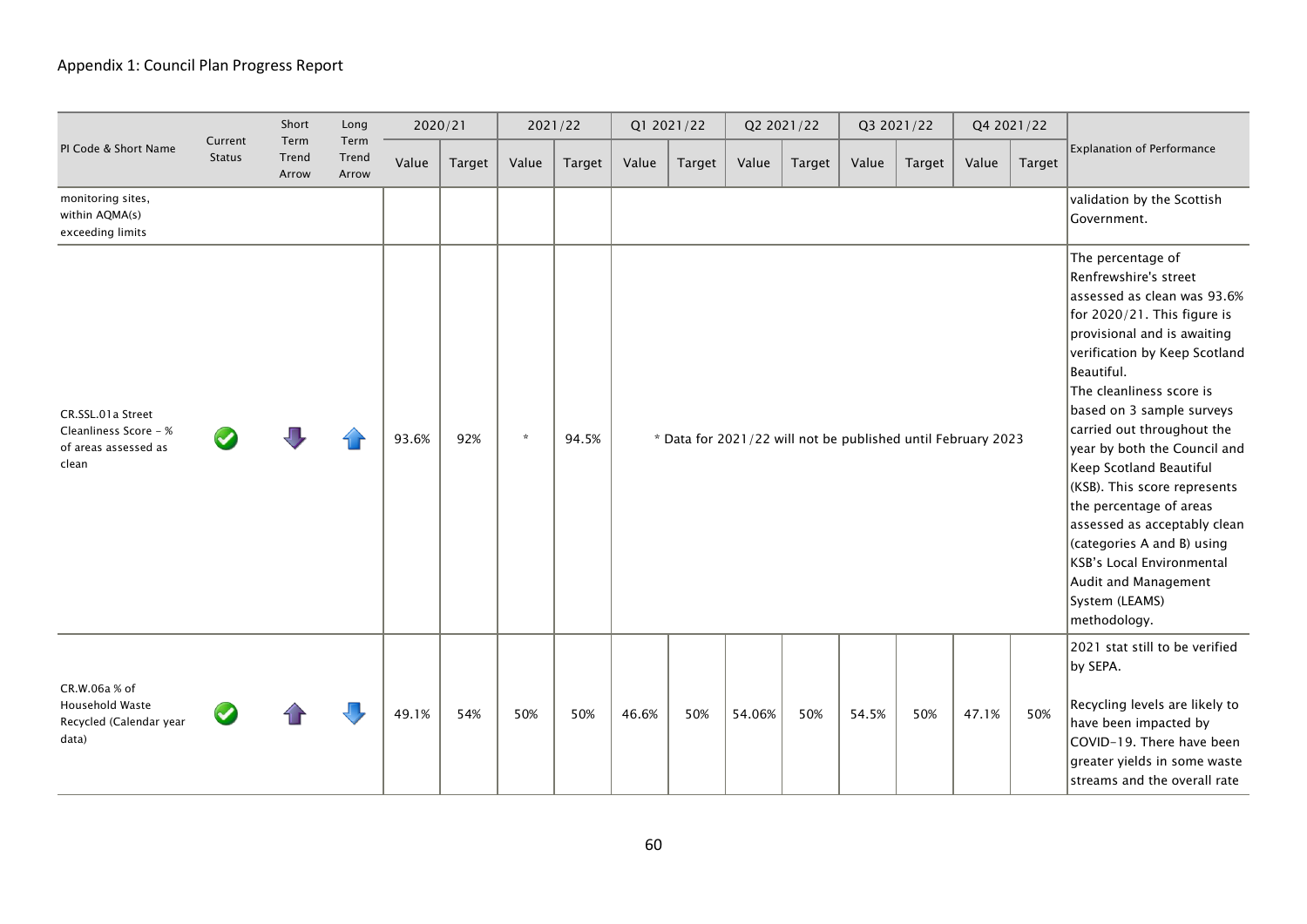|                                                                             |                          | Short                  | Long                   | 2020/21 |        | 2021/22 |        |       | Q1 2021/22 |                                                              | Q2 2021/22 |       | Q3 2021/22 |       | Q4 2021/22 |                                                                                                                                                                                                                                                                                                                                                                                                                                                                                                                                                                 |
|-----------------------------------------------------------------------------|--------------------------|------------------------|------------------------|---------|--------|---------|--------|-------|------------|--------------------------------------------------------------|------------|-------|------------|-------|------------|-----------------------------------------------------------------------------------------------------------------------------------------------------------------------------------------------------------------------------------------------------------------------------------------------------------------------------------------------------------------------------------------------------------------------------------------------------------------------------------------------------------------------------------------------------------------|
| PI Code & Short Name                                                        | Current<br><b>Status</b> | Term<br>Trend<br>Arrow | Term<br>Trend<br>Arrow | Value   | Target | Value   | Target | Value | Target     | Value                                                        | Target     | Value | Target     | Value | Target     | <b>Explanation of Performance</b>                                                                                                                                                                                                                                                                                                                                                                                                                                                                                                                               |
| monitoring sites,<br>within AQMA(s)<br>exceeding limits                     |                          |                        |                        |         |        |         |        |       |            |                                                              |            |       |            |       |            | validation by the Scottish<br>Government.                                                                                                                                                                                                                                                                                                                                                                                                                                                                                                                       |
| CR.SSL.01a Street<br>Cleanliness Score - %<br>of areas assessed as<br>clean |                          |                        |                        | 93.6%   | 92%    | $\star$ | 94.5%  |       |            | * Data for 2021/22 will not be published until February 2023 |            |       |            |       |            | The percentage of<br>Renfrewshire's street<br>assessed as clean was 93.6%<br>for 2020/21. This figure is<br>provisional and is awaiting<br>verification by Keep Scotland<br>Beautiful.<br>The cleanliness score is<br>based on 3 sample surveys<br>carried out throughout the<br>year by both the Council and<br>Keep Scotland Beautiful<br>(KSB). This score represents<br>the percentage of areas<br>assessed as acceptably clean<br>(categories A and B) using<br><b>KSB's Local Environmental</b><br>Audit and Management<br>System (LEAMS)<br>methodology. |
| CR.W.06a % of<br>Household Waste<br>Recycled (Calendar year<br>data)        |                          |                        |                        | 49.1%   | 54%    | 50%     | 50%    | 46.6% | 50%        | 54.06%                                                       | 50%        | 54.5% | 50%        | 47.1% | 50%        | 2021 stat still to be verified<br>by SEPA.<br>Recycling levels are likely to<br>have been impacted by<br>COVID-19. There have been<br>greater yields in some waste<br>streams and the overall rate                                                                                                                                                                                                                                                                                                                                                              |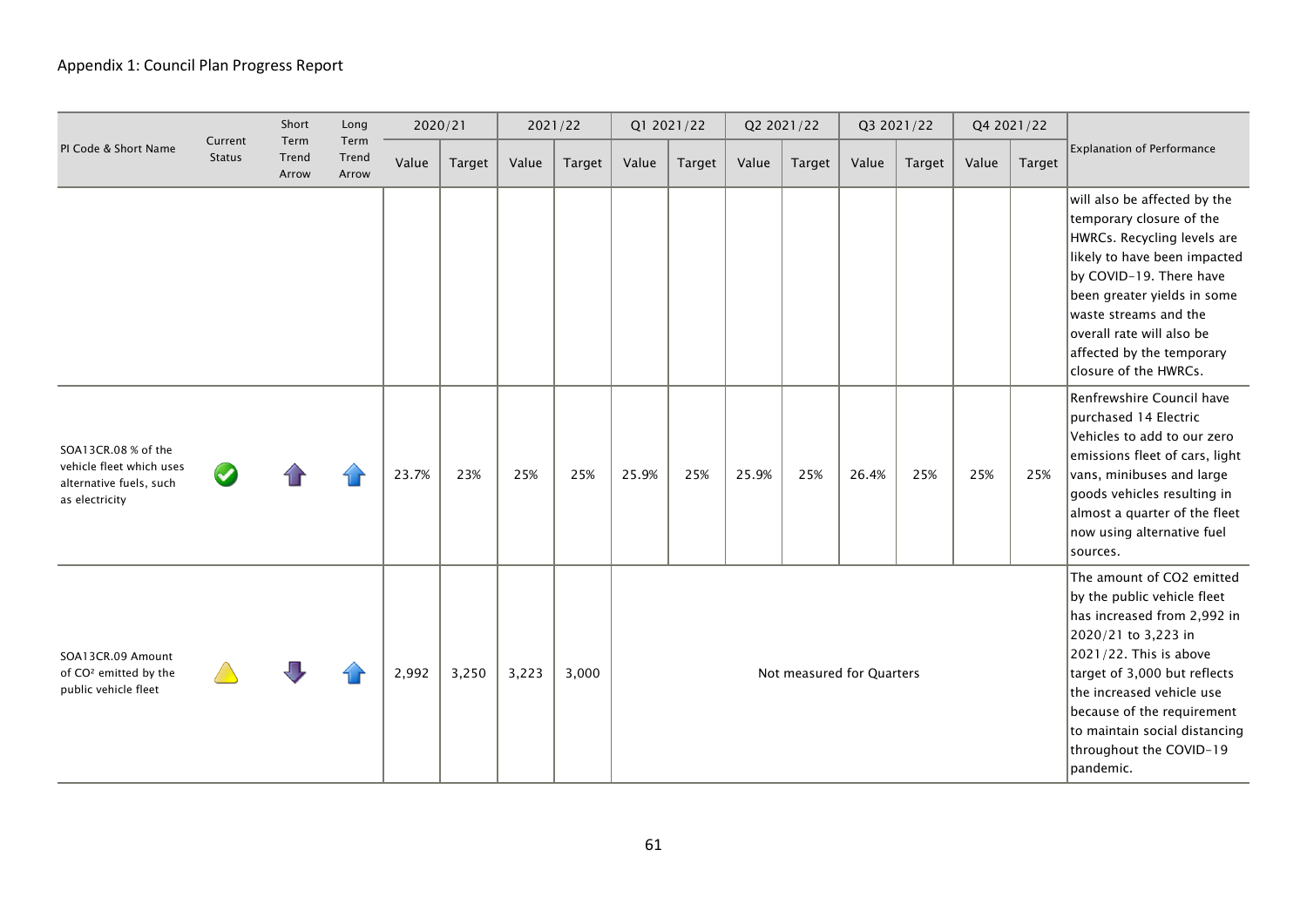|                                                                                              |                          | Short                  | Long                   |       | 2020/21 |       | 2021/22 |                           | Q1 2021/22 |       | Q2 2021/22 |       | Q3 2021/22 |       | Q4 2021/22 |                                                                                                                                                                                                                                                                                                              |
|----------------------------------------------------------------------------------------------|--------------------------|------------------------|------------------------|-------|---------|-------|---------|---------------------------|------------|-------|------------|-------|------------|-------|------------|--------------------------------------------------------------------------------------------------------------------------------------------------------------------------------------------------------------------------------------------------------------------------------------------------------------|
| PI Code & Short Name                                                                         | Current<br><b>Status</b> | Term<br>Trend<br>Arrow | Term<br>Trend<br>Arrow | Value | Target  | Value | Target  | Value                     | Target     | Value | Target     | Value | Target     | Value | Target     | <b>Explanation of Performance</b>                                                                                                                                                                                                                                                                            |
|                                                                                              |                          |                        |                        |       |         |       |         |                           |            |       |            |       |            |       |            | will also be affected by the<br>temporary closure of the<br>HWRCs. Recycling levels are<br>likely to have been impacted<br>by COVID-19. There have<br>been greater yields in some<br>waste streams and the<br>overall rate will also be<br>affected by the temporary<br>closure of the HWRCs.                |
| SOA13CR.08 % of the<br>vehicle fleet which uses<br>alternative fuels, such<br>as electricity |                          |                        |                        | 23.7% | 23%     | 25%   | 25%     | 25.9%                     | 25%        | 25.9% | 25%        | 26.4% | 25%        | 25%   | 25%        | Renfrewshire Council have<br>purchased 14 Electric<br>Vehicles to add to our zero<br>emissions fleet of cars, light<br>$ {\mathsf{vans}},$ minibuses and large<br>goods vehicles resulting in<br>almost a quarter of the fleet<br>now using alternative fuel<br>sources.                                     |
| SOA13CR.09 Amount<br>of CO <sup>2</sup> emitted by the<br>public vehicle fleet               |                          |                        |                        | 2,992 | 3,250   | 3,223 | 3,000   | Not measured for Quarters |            |       |            |       |            |       |            | The amount of CO2 emitted<br>by the public vehicle fleet<br>has increased from 2,992 in<br>2020/21 to 3,223 in<br>2021/22. This is above<br>target of 3,000 but reflects<br>the increased vehicle use<br>because of the requirement<br>to maintain social distancing<br>throughout the COVID-19<br>pandemic. |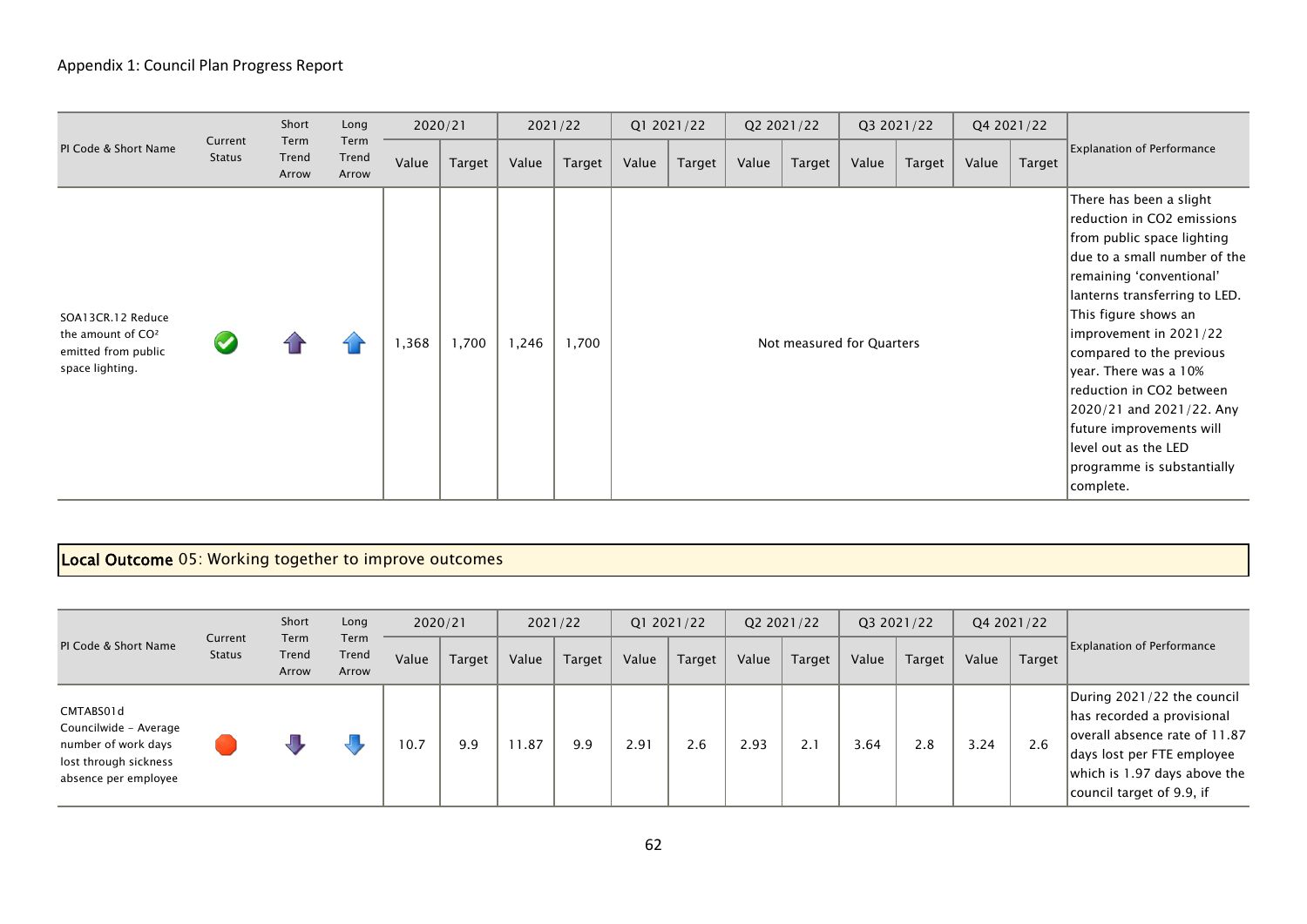|                                                                                              |                          | Short                  | Long                   |       | 2020/21 |        | 2021/22       |       | Q1 2021/22    |       | Q2 2021/22                |       | Q3 2021/22 | Q4 2021/22 |        |                                                                                                                                                                                                                                                                                                                                                                                                                                                |
|----------------------------------------------------------------------------------------------|--------------------------|------------------------|------------------------|-------|---------|--------|---------------|-------|---------------|-------|---------------------------|-------|------------|------------|--------|------------------------------------------------------------------------------------------------------------------------------------------------------------------------------------------------------------------------------------------------------------------------------------------------------------------------------------------------------------------------------------------------------------------------------------------------|
| PI Code & Short Name                                                                         | Current<br><b>Status</b> | Term<br>Trend<br>Arrow | Term<br>Trend<br>Arrow | Value | Target  | Value  | <b>Target</b> | Value | <b>Target</b> | Value | Target                    | Value | Target     | Value      | Target | <b>Explanation of Performance</b>                                                                                                                                                                                                                                                                                                                                                                                                              |
| SOA13CR.12 Reduce<br>the amount of CO <sup>2</sup><br>emitted from public<br>space lighting. |                          |                        |                        | 368,  | 1,700   | 246, ا | 1,700         |       |               |       | Not measured for Quarters |       |            |            |        | There has been a slight<br>reduction in CO2 emissions<br>from public space lighting<br>due to a small number of the<br>remaining 'conventional'<br>lanterns transferring to LED.<br>This figure shows an<br>improvement in 2021/22<br>compared to the previous<br>year. There was a 10%<br>reduction in CO2 between<br>2020/21 and 2021/22. Any<br>future improvements will<br>level out as the LED<br>programme is substantially<br>complete. |

# Local Outcome 05: Working together to improve outcomes

|                                                                                                            |                          | Short                  | Long                   |       | 2020/21 |        | 2021/22 |       | Q1 2021/22 |       | Q2 2021/22    |       | Q3 2021/22    |       | Q4 2021/22 |                                                                                                                                                                                      |
|------------------------------------------------------------------------------------------------------------|--------------------------|------------------------|------------------------|-------|---------|--------|---------|-------|------------|-------|---------------|-------|---------------|-------|------------|--------------------------------------------------------------------------------------------------------------------------------------------------------------------------------------|
| PI Code & Short Name                                                                                       | Current<br><b>Status</b> | Term<br>Trend<br>Arrow | Term<br>Trend<br>Arrow | Value | Target  | Value  | Target  | Value | Target     | Value | <b>Target</b> | Value | <b>Target</b> | Value | Target     | <b>Explanation of Performance</b>                                                                                                                                                    |
| CMTABS01d<br>Councilwide - Average<br>number of work days<br>lost through sickness<br>absence per employee |                          |                        |                        | 10.7  | 9.9     | . . 87 | 9.9     | 2.91  | 2.6        | 2.93  | 2.1           | 3.64  | 2.8           | 3.24  | 2.6        | During 2021/22 the council<br>has recorded a provisional<br>overall absence rate of 11.87<br>days lost per FTE employee<br>which is 1.97 days above the<br>council target of 9.9, if |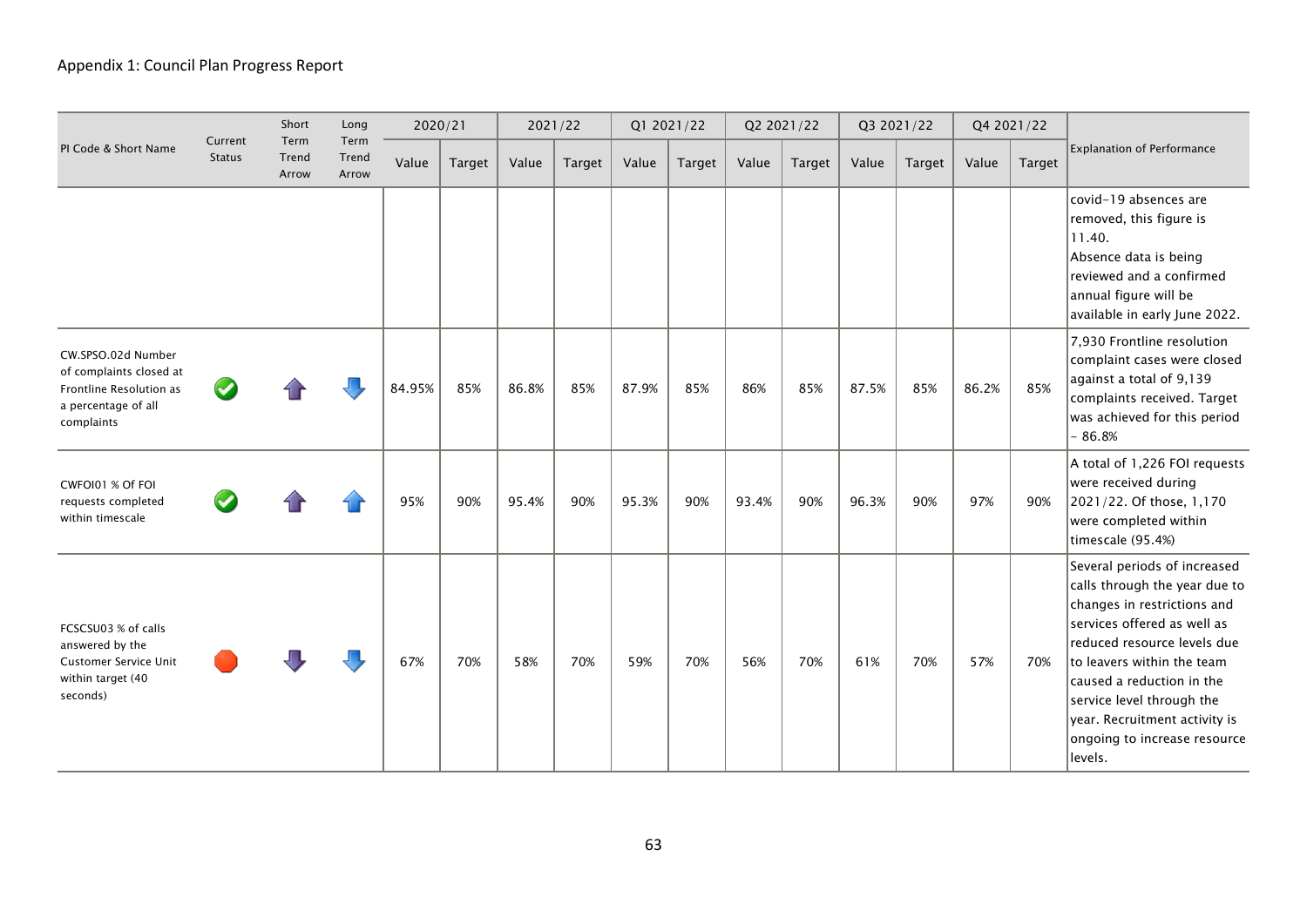|                                                                                                               |                          | Short                  | Long                   |        | 2020/21 |       | 2021/22 |       | Q1 2021/22 |       | Q2 2021/22    |       | Q3 2021/22 |       | Q4 2021/22 |                                                                                                                                                                                                                                                                                                                                |
|---------------------------------------------------------------------------------------------------------------|--------------------------|------------------------|------------------------|--------|---------|-------|---------|-------|------------|-------|---------------|-------|------------|-------|------------|--------------------------------------------------------------------------------------------------------------------------------------------------------------------------------------------------------------------------------------------------------------------------------------------------------------------------------|
| PI Code & Short Name                                                                                          | Current<br><b>Status</b> | Term<br>Trend<br>Arrow | Term<br>Trend<br>Arrow | Value  | Target  | Value | Target  | Value | Target     | Value | <b>Target</b> | Value | Target     | Value | Target     | <b>Explanation of Performance</b>                                                                                                                                                                                                                                                                                              |
|                                                                                                               |                          |                        |                        |        |         |       |         |       |            |       |               |       |            |       |            | covid-19 absences are<br>removed, this figure is<br>11.40.<br>Absence data is being<br>reviewed and a confirmed<br>annual figure will be<br>available in early June 2022.                                                                                                                                                      |
| CW.SPSO.02d Number<br>of complaints closed at<br>Frontline Resolution as<br>a percentage of all<br>complaints |                          |                        |                        | 84.95% | 85%     | 86.8% | 85%     | 87.9% | 85%        | 86%   | 85%           | 87.5% | 85%        | 86.2% | 85%        | 7,930 Frontline resolution<br>complaint cases were closed<br>against a total of 9,139<br>complaints received. Target<br>was achieved for this period<br>$-86.8%$                                                                                                                                                               |
| CWFOI01 % Of FOI<br>requests completed<br>within timescale                                                    |                          |                        |                        | 95%    | 90%     | 95.4% | 90%     | 95.3% | 90%        | 93.4% | 90%           | 96.3% | 90%        | 97%   | 90%        | A total of 1,226 FOI requests<br>were received during<br>2021/22. Of those, 1,170<br>were completed within<br>timescale (95.4%)                                                                                                                                                                                                |
| FCSCSU03 % of calls<br>answered by the<br><b>Customer Service Unit</b><br>within target (40<br>seconds)       |                          |                        |                        | 67%    | 70%     | 58%   | 70%     | 59%   | 70%        | 56%   | 70%           | 61%   | 70%        | 57%   | 70%        | Several periods of increased<br>calls through the year due to<br>changes in restrictions and<br>services offered as well as<br>reduced resource levels due<br>to leavers within the team<br>caused a reduction in the<br>service level through the<br>year. Recruitment activity is<br>ongoing to increase resource<br>levels. |